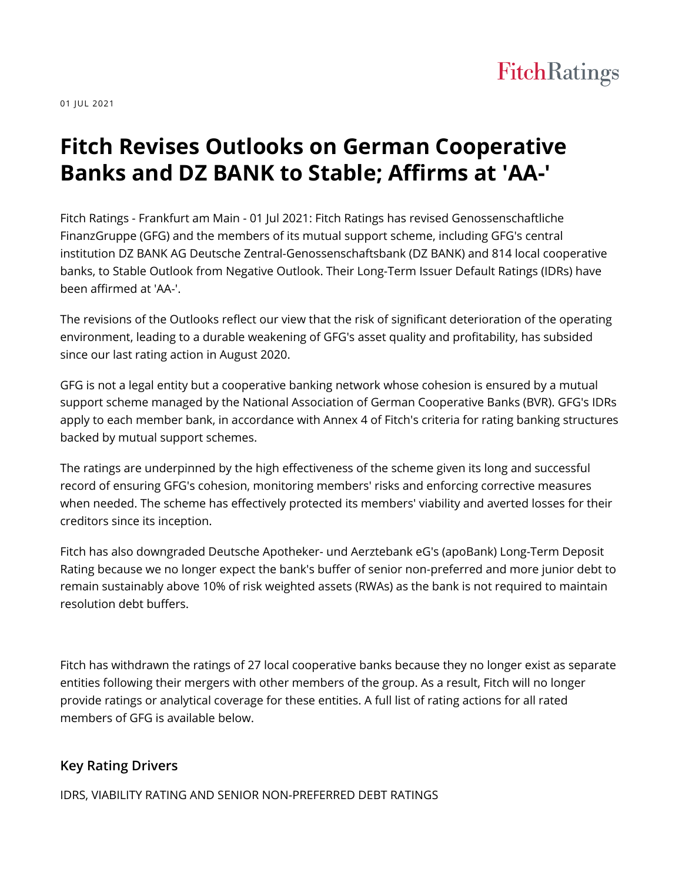

01 JUL 2021

# **Fitch Revises Outlooks on German Cooperative Banks and DZ BANK to Stable; Affirms at 'AA-'**

Fitch Ratings - Frankfurt am Main - 01 Jul 2021: Fitch Ratings has revised Genossenschaftliche FinanzGruppe (GFG) and the members of its mutual support scheme, including GFG's central institution DZ BANK AG Deutsche Zentral-Genossenschaftsbank (DZ BANK) and 814 local cooperative banks, to Stable Outlook from Negative Outlook. Their Long-Term Issuer Default Ratings (IDRs) have been affirmed at 'AA-'.

The revisions of the Outlooks reflect our view that the risk of significant deterioration of the operating environment, leading to a durable weakening of GFG's asset quality and profitability, has subsided since our last rating action in August 2020.

GFG is not a legal entity but a cooperative banking network whose cohesion is ensured by a mutual support scheme managed by the National Association of German Cooperative Banks (BVR). GFG's IDRs apply to each member bank, in accordance with Annex 4 of Fitch's criteria for rating banking structures backed by mutual support schemes.

The ratings are underpinned by the high effectiveness of the scheme given its long and successful record of ensuring GFG's cohesion, monitoring members' risks and enforcing corrective measures when needed. The scheme has effectively protected its members' viability and averted losses for their creditors since its inception.

Fitch has also downgraded Deutsche Apotheker- und Aerztebank eG's (apoBank) Long-Term Deposit Rating because we no longer expect the bank's buffer of senior non-preferred and more junior debt to remain sustainably above 10% of risk weighted assets (RWAs) as the bank is not required to maintain resolution debt buffers.

Fitch has withdrawn the ratings of 27 local cooperative banks because they no longer exist as separate entities following their mergers with other members of the group. As a result, Fitch will no longer provide ratings or analytical coverage for these entities. A full list of rating actions for all rated members of GFG is available below.

## **Key Rating Drivers**

IDRS, VIABILITY RATING AND SENIOR NON-PREFERRED DEBT RATINGS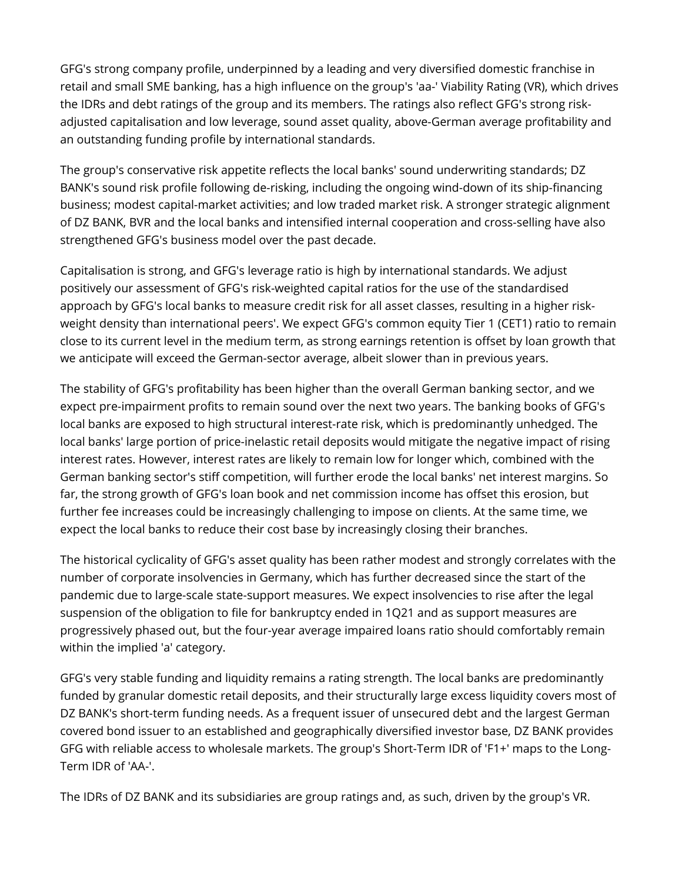GFG's strong company profile, underpinned by a leading and very diversified domestic franchise in retail and small SME banking, has a high influence on the group's 'aa-' Viability Rating (VR), which drives the IDRs and debt ratings of the group and its members. The ratings also reflect GFG's strong riskadjusted capitalisation and low leverage, sound asset quality, above-German average profitability and an outstanding funding profile by international standards.

The group's conservative risk appetite reflects the local banks' sound underwriting standards; DZ BANK's sound risk profile following de-risking, including the ongoing wind-down of its ship-financing business; modest capital-market activities; and low traded market risk. A stronger strategic alignment of DZ BANK, BVR and the local banks and intensified internal cooperation and cross-selling have also strengthened GFG's business model over the past decade.

Capitalisation is strong, and GFG's leverage ratio is high by international standards. We adjust positively our assessment of GFG's risk-weighted capital ratios for the use of the standardised approach by GFG's local banks to measure credit risk for all asset classes, resulting in a higher riskweight density than international peers'. We expect GFG's common equity Tier 1 (CET1) ratio to remain close to its current level in the medium term, as strong earnings retention is offset by loan growth that we anticipate will exceed the German-sector average, albeit slower than in previous years.

The stability of GFG's profitability has been higher than the overall German banking sector, and we expect pre-impairment profits to remain sound over the next two years. The banking books of GFG's local banks are exposed to high structural interest-rate risk, which is predominantly unhedged. The local banks' large portion of price-inelastic retail deposits would mitigate the negative impact of rising interest rates. However, interest rates are likely to remain low for longer which, combined with the German banking sector's stiff competition, will further erode the local banks' net interest margins. So far, the strong growth of GFG's loan book and net commission income has offset this erosion, but further fee increases could be increasingly challenging to impose on clients. At the same time, we expect the local banks to reduce their cost base by increasingly closing their branches.

The historical cyclicality of GFG's asset quality has been rather modest and strongly correlates with the number of corporate insolvencies in Germany, which has further decreased since the start of the pandemic due to large-scale state-support measures. We expect insolvencies to rise after the legal suspension of the obligation to file for bankruptcy ended in 1Q21 and as support measures are progressively phased out, but the four-year average impaired loans ratio should comfortably remain within the implied 'a' category.

GFG's very stable funding and liquidity remains a rating strength. The local banks are predominantly funded by granular domestic retail deposits, and their structurally large excess liquidity covers most of DZ BANK's short-term funding needs. As a frequent issuer of unsecured debt and the largest German covered bond issuer to an established and geographically diversified investor base, DZ BANK provides GFG with reliable access to wholesale markets. The group's Short-Term IDR of 'F1+' maps to the Long-Term IDR of 'AA-'.

The IDRs of DZ BANK and its subsidiaries are group ratings and, as such, driven by the group's VR.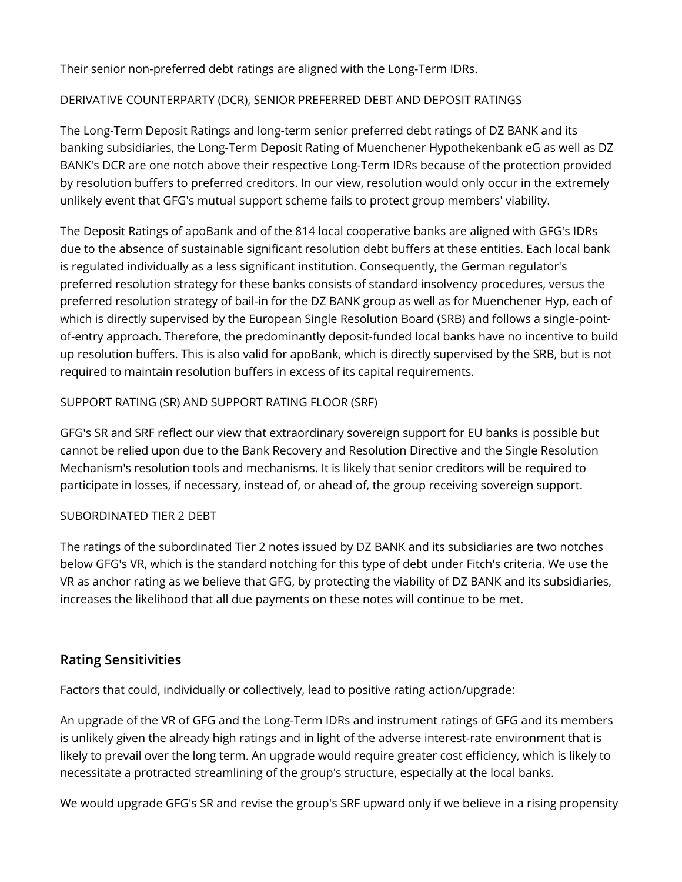Their senior non-preferred debt ratings are aligned with the Long-Term IDRs.

### DERIVATIVE COUNTERPARTY (DCR), SENIOR PREFERRED DEBT AND DEPOSIT RATINGS

The Long-Term Deposit Ratings and long-term senior preferred debt ratings of DZ BANK and its banking subsidiaries, the Long-Term Deposit Rating of Muenchener Hypothekenbank eG as well as DZ BANK's DCR are one notch above their respective Long-Term IDRs because of the protection provided by resolution buffers to preferred creditors. In our view, resolution would only occur in the extremely unlikely event that GFG's mutual support scheme fails to protect group members' viability.

The Deposit Ratings of apoBank and of the 814 local cooperative banks are aligned with GFG's IDRs due to the absence of sustainable significant resolution debt buffers at these entities. Each local bank is regulated individually as a less significant institution. Consequently, the German regulator's preferred resolution strategy for these banks consists of standard insolvency procedures, versus the preferred resolution strategy of bail-in for the DZ BANK group as well as for Muenchener Hyp, each of which is directly supervised by the European Single Resolution Board (SRB) and follows a single-pointof-entry approach. Therefore, the predominantly deposit-funded local banks have no incentive to build up resolution buffers. This is also valid for apoBank, which is directly supervised by the SRB, but is not required to maintain resolution buffers in excess of its capital requirements.

### SUPPORT RATING (SR) AND SUPPORT RATING FLOOR (SRF)

GFG's SR and SRF reflect our view that extraordinary sovereign support for EU banks is possible but cannot be relied upon due to the Bank Recovery and Resolution Directive and the Single Resolution Mechanism's resolution tools and mechanisms. It is likely that senior creditors will be required to participate in losses, if necessary, instead of, or ahead of, the group receiving sovereign support.

### SUBORDINATED TIER 2 DEBT

The ratings of the subordinated Tier 2 notes issued by DZ BANK and its subsidiaries are two notches below GFG's VR, which is the standard notching for this type of debt under Fitch's criteria. We use the VR as anchor rating as we believe that GFG, by protecting the viability of DZ BANK and its subsidiaries, increases the likelihood that all due payments on these notes will continue to be met.

## **Rating Sensitivities**

Factors that could, individually or collectively, lead to positive rating action/upgrade:

An upgrade of the VR of GFG and the Long-Term IDRs and instrument ratings of GFG and its members is unlikely given the already high ratings and in light of the adverse interest-rate environment that is likely to prevail over the long term. An upgrade would require greater cost efficiency, which is likely to necessitate a protracted streamlining of the group's structure, especially at the local banks.

We would upgrade GFG's SR and revise the group's SRF upward only if we believe in a rising propensity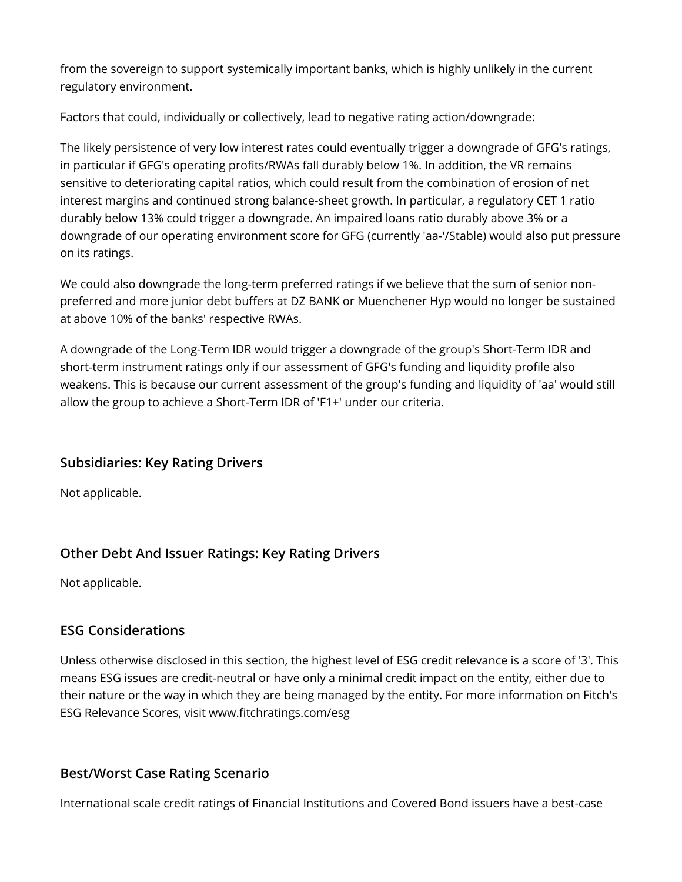from the sovereign to support systemically important banks, which is highly unlikely in the current regulatory environment.

Factors that could, individually or collectively, lead to negative rating action/downgrade:

The likely persistence of very low interest rates could eventually trigger a downgrade of GFG's ratings, in particular if GFG's operating profits/RWAs fall durably below 1%. In addition, the VR remains sensitive to deteriorating capital ratios, which could result from the combination of erosion of net interest margins and continued strong balance-sheet growth. In particular, a regulatory CET 1 ratio durably below 13% could trigger a downgrade. An impaired loans ratio durably above 3% or a downgrade of our operating environment score for GFG (currently 'aa-'/Stable) would also put pressure on its ratings.

We could also downgrade the long-term preferred ratings if we believe that the sum of senior nonpreferred and more junior debt buffers at DZ BANK or Muenchener Hyp would no longer be sustained at above 10% of the banks' respective RWAs.

A downgrade of the Long-Term IDR would trigger a downgrade of the group's Short-Term IDR and short-term instrument ratings only if our assessment of GFG's funding and liquidity profile also weakens. This is because our current assessment of the group's funding and liquidity of 'aa' would still allow the group to achieve a Short-Term IDR of 'F1+' under our criteria.

## **Subsidiaries: Key Rating Drivers**

Not applicable.

## **Other Debt And Issuer Ratings: Key Rating Drivers**

Not applicable.

## **ESG Considerations**

Unless otherwise disclosed in this section, the highest level of ESG credit relevance is a score of '3'. This means ESG issues are credit-neutral or have only a minimal credit impact on the entity, either due to their nature or the way in which they are being managed by the entity. For more information on Fitch's ESG Relevance Scores, visit www.fitchratings.com/esg

## **Best/Worst Case Rating Scenario**

International scale credit ratings of Financial Institutions and Covered Bond issuers have a best-case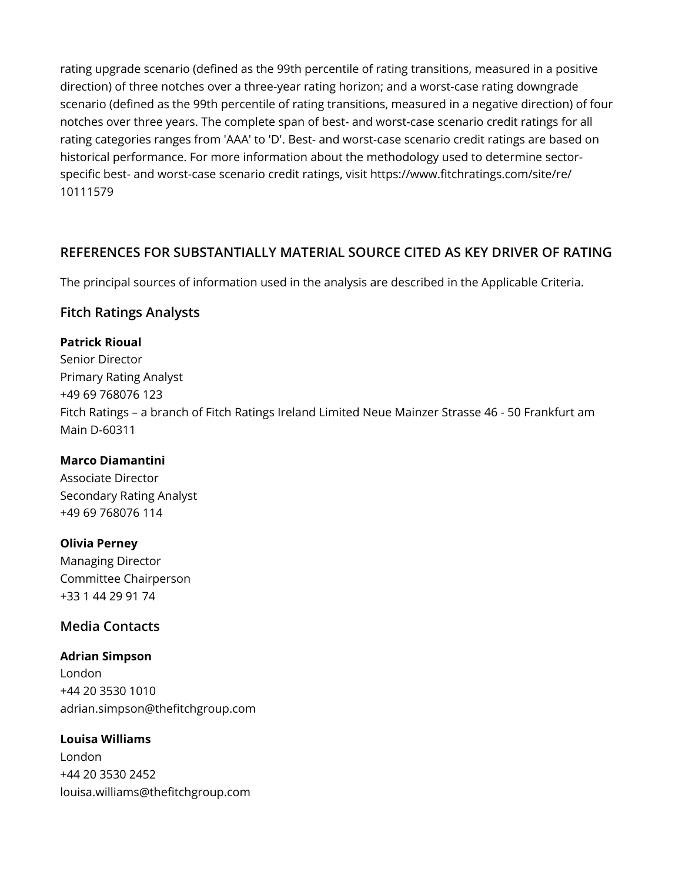rating upgrade scenario (defined as the 99th percentile of rating transitions, measured in a positive direction) of three notches over a three-year rating horizon; and a worst-case rating downgrade scenario (defined as the 99th percentile of rating transitions, measured in a negative direction) of four notches over three years. The complete span of best- and worst-case scenario credit ratings for all rating categories ranges from 'AAA' to 'D'. Best- and worst-case scenario credit ratings are based on historical performance. For more information about the methodology used to determine sectorspecific best- and worst-case scenario credit ratings, visit https://www.fitchratings.com/site/re/ 10111579

## **REFERENCES FOR SUBSTANTIALLY MATERIAL SOURCE CITED AS KEY DRIVER OF RATING**

The principal sources of information used in the analysis are described in the Applicable Criteria.

## **Fitch Ratings Analysts**

## **Patrick Rioual**

Senior Director Primary Rating Analyst +49 69 768076 123 Fitch Ratings – a branch of Fitch Ratings Ireland Limited Neue Mainzer Strasse 46 - 50 Frankfurt am Main D-60311

### **Marco Diamantini**

Associate Director Secondary Rating Analyst +49 69 768076 114

### **Olivia Perney**

Managing Director Committee Chairperson +33 1 44 29 91 74

## **Media Contacts**

**Adrian Simpson** London +44 20 3530 1010 adrian.simpson@thefitchgroup.com

## **Louisa Williams**

London +44 20 3530 2452 louisa.williams@thefitchgroup.com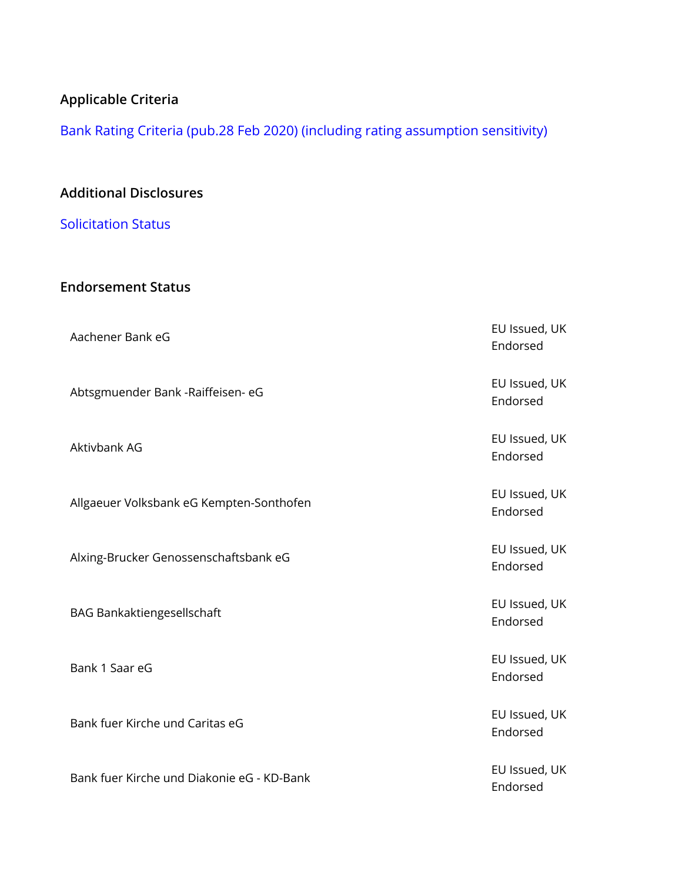## **Applicable Criteria**

[Bank Rating Criteria \(pub.28 Feb 2020\) \(including rating assumption sensitivity\)](https://app.fitchconnect.com/search/research/article/RPT_10110041)

## **Additional Disclosures**

[Solicitation Status](https://www.fitchratings.com/research/non-bank-financial-institutions/fitch-revises-outlooks-on-german-cooperative-banks-dz-bank-to-stable-affirms-at-aa-01-07-2021#solicitation-status)

## **Endorsement Status**

| Aachener Bank eG                           | EU Issued, UK<br>Endorsed |
|--------------------------------------------|---------------------------|
| Abtsgmuender Bank - Raiffeisen- eG         | EU Issued, UK<br>Endorsed |
| Aktivbank AG                               | EU Issued, UK<br>Endorsed |
| Allgaeuer Volksbank eG Kempten-Sonthofen   | EU Issued, UK<br>Endorsed |
| Alxing-Brucker Genossenschaftsbank eG      | EU Issued, UK<br>Endorsed |
| <b>BAG Bankaktiengesellschaft</b>          | EU Issued, UK<br>Endorsed |
| Bank 1 Saar eG                             | EU Issued, UK<br>Endorsed |
| Bank fuer Kirche und Caritas eG            | EU Issued, UK<br>Endorsed |
| Bank fuer Kirche und Diakonie eG - KD-Bank | EU Issued, UK<br>Endorsed |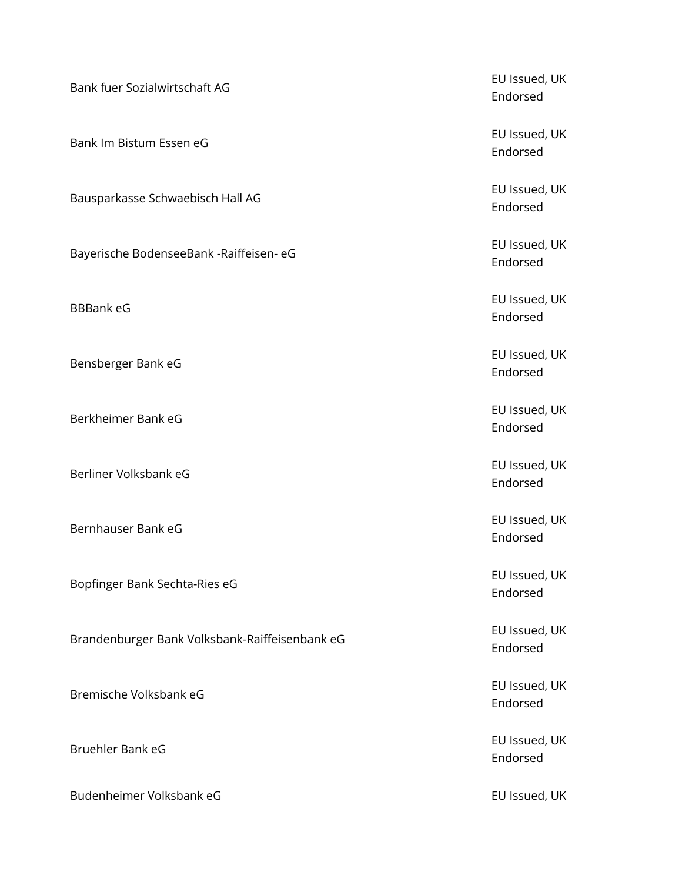| Bank fuer Sozialwirtschaft AG                  | EU Issued, UK<br>Endorsed |
|------------------------------------------------|---------------------------|
| Bank Im Bistum Essen eG                        | EU Issued, UK<br>Endorsed |
| Bausparkasse Schwaebisch Hall AG               | EU Issued, UK<br>Endorsed |
| Bayerische BodenseeBank -Raiffeisen- eG        | EU Issued, UK<br>Endorsed |
| <b>BBBank eG</b>                               | EU Issued, UK<br>Endorsed |
| Bensberger Bank eG                             | EU Issued, UK<br>Endorsed |
| Berkheimer Bank eG                             | EU Issued, UK<br>Endorsed |
| Berliner Volksbank eG                          | EU Issued, UK<br>Endorsed |
| Bernhauser Bank eG                             | EU Issued, UK<br>Endorsed |
| Bopfinger Bank Sechta-Ries eG                  | EU Issued, UK<br>Endorsed |
| Brandenburger Bank Volksbank-Raiffeisenbank eG | EU Issued, UK<br>Endorsed |
| Bremische Volksbank eG                         | EU Issued, UK<br>Endorsed |
| Bruehler Bank eG                               | EU Issued, UK<br>Endorsed |
| Budenheimer Volksbank eG                       | EU Issued, UK             |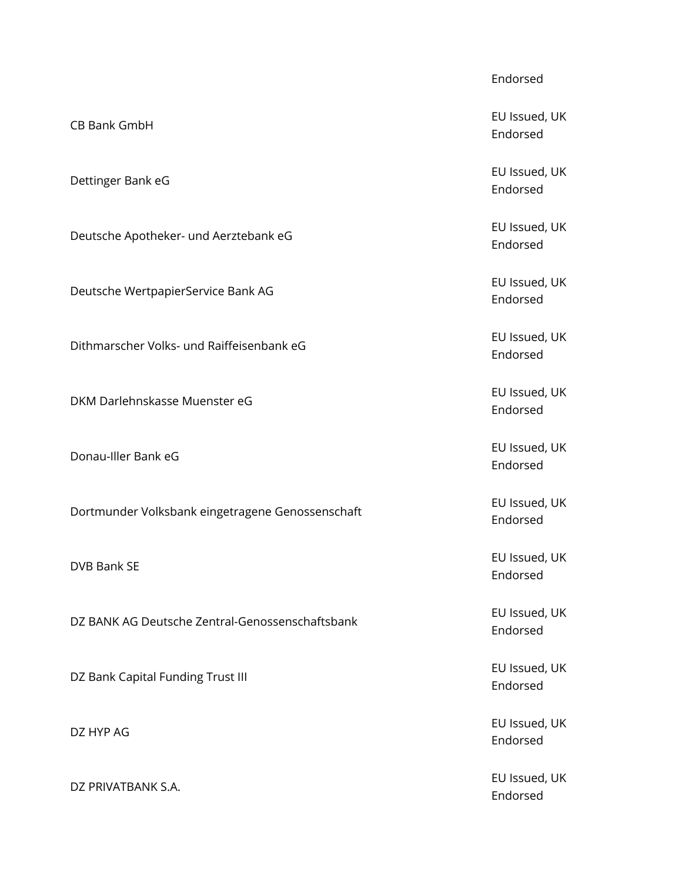|                                                  | Endorsed                  |
|--------------------------------------------------|---------------------------|
| <b>CB Bank GmbH</b>                              | EU Issued, UK<br>Endorsed |
| Dettinger Bank eG                                | EU Issued, UK<br>Endorsed |
| Deutsche Apotheker- und Aerztebank eG            | EU Issued, UK<br>Endorsed |
| Deutsche WertpapierService Bank AG               | EU Issued, UK<br>Endorsed |
| Dithmarscher Volks- und Raiffeisenbank eG        | EU Issued, UK<br>Endorsed |
| DKM Darlehnskasse Muenster eG                    | EU Issued, UK<br>Endorsed |
| Donau-Iller Bank eG                              | EU Issued, UK<br>Endorsed |
| Dortmunder Volksbank eingetragene Genossenschaft | EU Issued, UK<br>Endorsed |
| DVB Bank SE                                      | EU Issued, UK<br>Endorsed |
| DZ BANK AG Deutsche Zentral-Genossenschaftsbank  | EU Issued, UK<br>Endorsed |
| DZ Bank Capital Funding Trust III                | EU Issued, UK<br>Endorsed |
| DZ HYP AG                                        | EU Issued, UK<br>Endorsed |
| DZ PRIVATBANK S.A.                               | EU Issued, UK<br>Endorsed |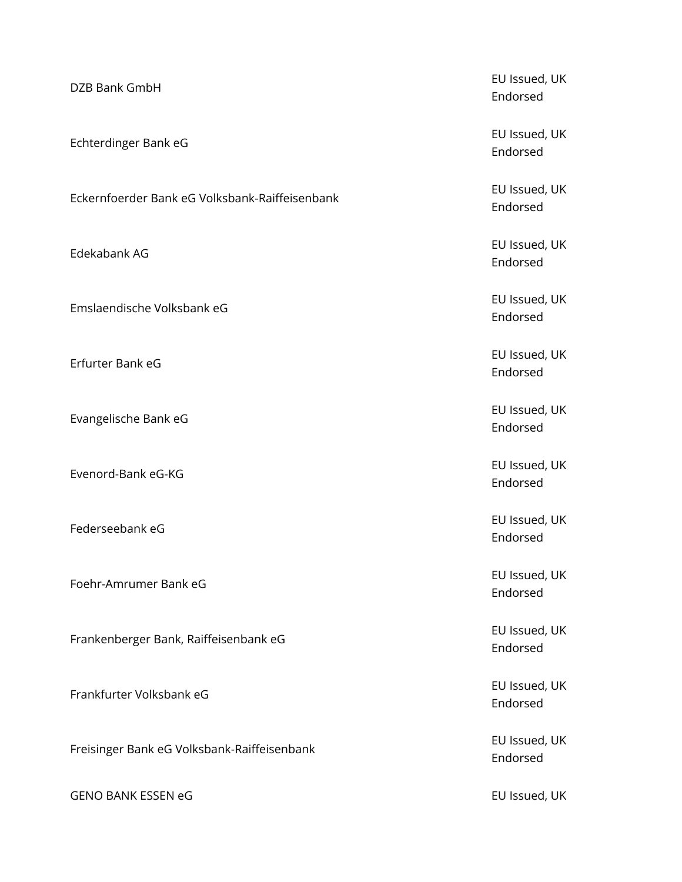| DZB Bank GmbH                                  | EU Issued, UK<br>Endorsed |
|------------------------------------------------|---------------------------|
| Echterdinger Bank eG                           | EU Issued, UK<br>Endorsed |
| Eckernfoerder Bank eG Volksbank-Raiffeisenbank | EU Issued, UK<br>Endorsed |
| Edekabank AG                                   | EU Issued, UK<br>Endorsed |
| Emslaendische Volksbank eG                     | EU Issued, UK<br>Endorsed |
| Erfurter Bank eG                               | EU Issued, UK<br>Endorsed |
| Evangelische Bank eG                           | EU Issued, UK<br>Endorsed |
| Evenord-Bank eG-KG                             | EU Issued, UK<br>Endorsed |
| Federseebank eG                                | EU Issued, UK<br>Endorsed |
| Foehr-Amrumer Bank eG                          | EU Issued, UK<br>Endorsed |
| Frankenberger Bank, Raiffeisenbank eG          | EU Issued, UK<br>Endorsed |
| Frankfurter Volksbank eG                       | EU Issued, UK<br>Endorsed |
| Freisinger Bank eG Volksbank-Raiffeisenbank    | EU Issued, UK<br>Endorsed |
| <b>GENO BANK ESSEN eG</b>                      | EU Issued, UK             |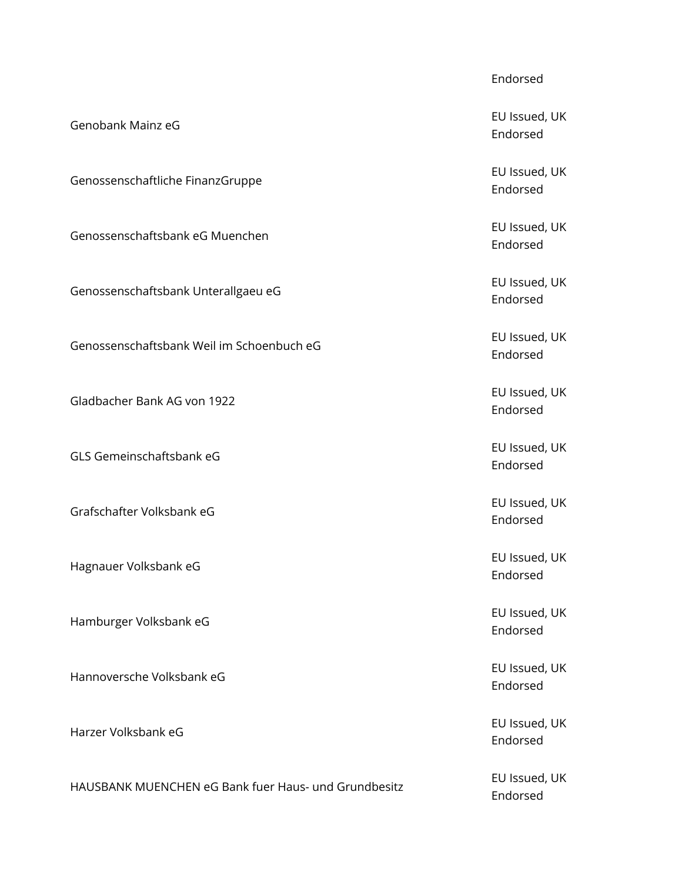| Genobank Mainz eG                                    | EU Issued, UK<br>Endorsed |
|------------------------------------------------------|---------------------------|
| Genossenschaftliche FinanzGruppe                     | EU Issued, UK<br>Endorsed |
| Genossenschaftsbank eG Muenchen                      | EU Issued, UK<br>Endorsed |
| Genossenschaftsbank Unterallgaeu eG                  | EU Issued, UK<br>Endorsed |
| Genossenschaftsbank Weil im Schoenbuch eG            | EU Issued, UK<br>Endorsed |
| Gladbacher Bank AG von 1922                          | EU Issued, UK<br>Endorsed |
| GLS Gemeinschaftsbank eG                             | EU Issued, UK<br>Endorsed |
| Grafschafter Volksbank eG                            | EU Issued, UK<br>Endorsed |
| Hagnauer Volksbank eG                                | EU Issued, UK<br>Endorsed |
| Hamburger Volksbank eG                               | EU Issued, UK<br>Endorsed |
| Hannoversche Volksbank eG                            | EU Issued, UK<br>Endorsed |
| Harzer Volksbank eG                                  | EU Issued, UK<br>Endorsed |
| HAUSBANK MUENCHEN eG Bank fuer Haus- und Grundbesitz | EU Issued, UK             |

#### Endorsed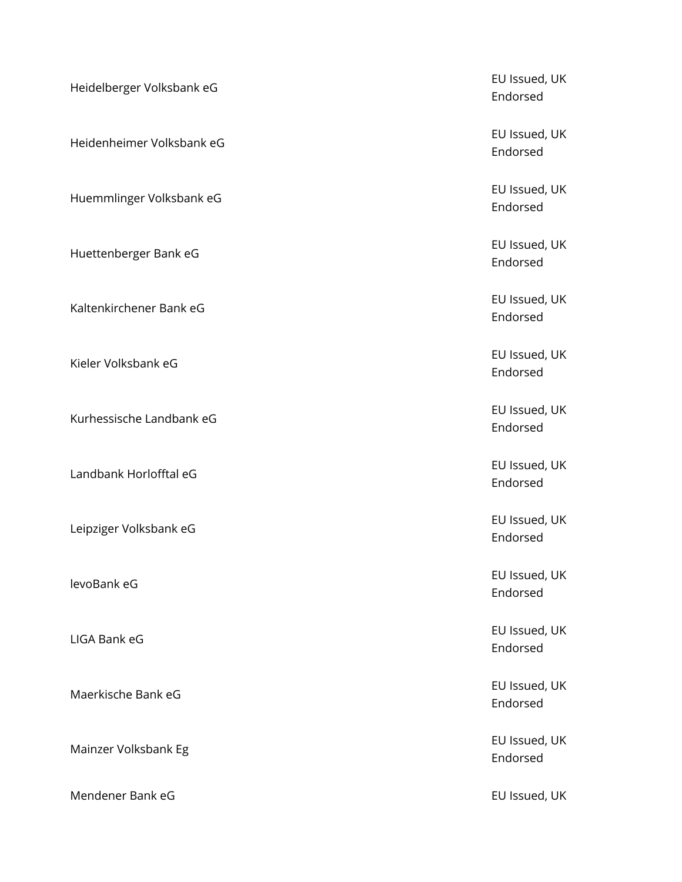| Heidelberger Volksbank eG | EU Issued, UK<br>Endorsed |
|---------------------------|---------------------------|
| Heidenheimer Volksbank eG | EU Issued, UK<br>Endorsed |
| Huemmlinger Volksbank eG  | EU Issued, UK<br>Endorsed |
| Huettenberger Bank eG     | EU Issued, UK<br>Endorsed |
| Kaltenkirchener Bank eG   | EU Issued, UK<br>Endorsed |
| Kieler Volksbank eG       | EU Issued, UK<br>Endorsed |
| Kurhessische Landbank eG  | EU Issued, UK<br>Endorsed |
| Landbank Horlofftal eG    | EU Issued, UK<br>Endorsed |
| Leipziger Volksbank eG    | EU Issued, UK<br>Endorsed |
| levoBank eG               | EU Issued, UK<br>Endorsed |
| LIGA Bank eG              | EU Issued, UK<br>Endorsed |
| Maerkische Bank eG        | EU Issued, UK<br>Endorsed |
| Mainzer Volksbank Eg      | EU Issued, UK<br>Endorsed |
| Mendener Bank eG          | EU Issued, UK             |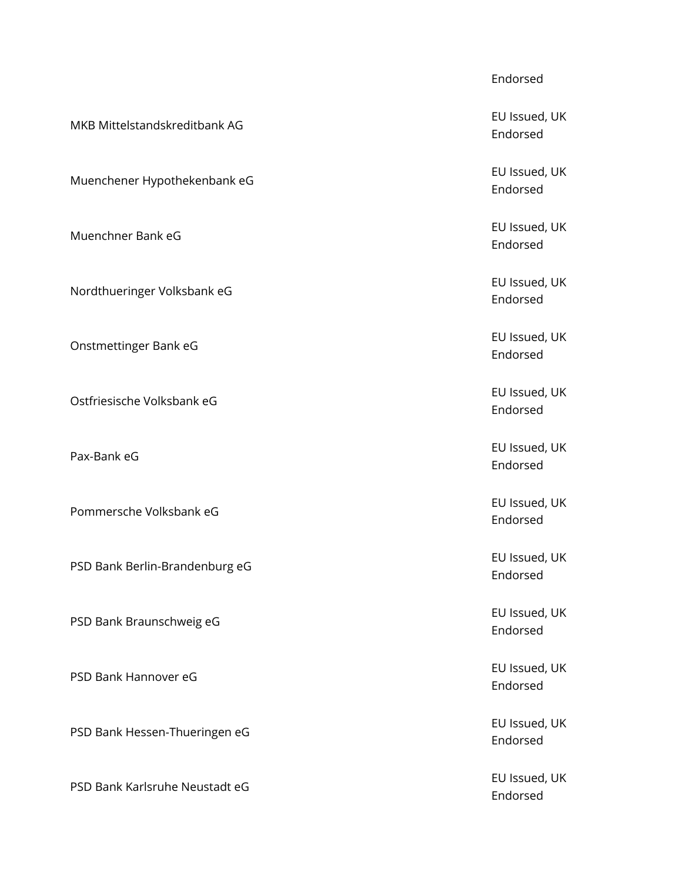MKB Mittelstandskreditbank AG EU Issued, UK

Muenchener Hypothekenbank eG<br>
Muenchener Hypothekenbank eG

Nordthueringer Volksbank eG<br>
Nordthueringer Volksbank eG<br>
The Current of the Current of the Current of the Current of the Current of the Current of the Current of the Current of the Current of the Current of the Current of

Onstmettinger Bank eG EU Issued, UK

Ostfriesische Volksbank eG et al. EU Issued, UK

Pommersche Volksbank eG et al. et al. et al. et al. et al. et al. et al. et al. et al. et al. et al. et al. et<br>EU Issued, UK

PSD Bank Berlin-Brandenburg eG EU Issued, UK

PSD Bank Braunschweig eG EU Issued, UK and the EU Issued, UK

PSD Bank Hessen-Thueringen eG EU Issued, UK

PSD Bank Karlsruhe Neustadt eG EU Issued, UK

Endorsed

Endorsed

Endorsed

Muenchner Bank eG EU Issued, UK Endorsed

Endorsed

Endorsed

Endorsed

Pax-Bank eG EU Issued, UK Endorsed

Endorsed

Endorsed

Endorsed

PSD Bank Hannover eG EU Issued, UK Endorsed

Endorsed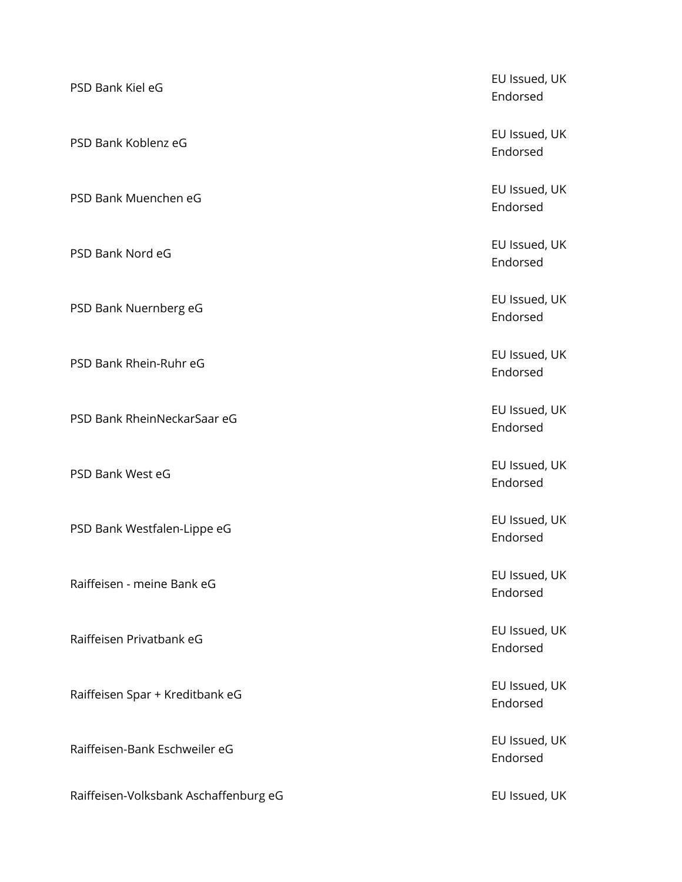| PSD Bank Kiel eG                      | EU Issued, UK<br>Endorsed |
|---------------------------------------|---------------------------|
| PSD Bank Koblenz eG                   | EU Issued, UK<br>Endorsed |
| PSD Bank Muenchen eG                  | EU Issued, UK<br>Endorsed |
| PSD Bank Nord eG                      | EU Issued, UK<br>Endorsed |
| PSD Bank Nuernberg eG                 | EU Issued, UK<br>Endorsed |
| PSD Bank Rhein-Ruhr eG                | EU Issued, UK<br>Endorsed |
| PSD Bank RheinNeckarSaar eG           | EU Issued, UK<br>Endorsed |
| PSD Bank West eG                      | EU Issued, UK<br>Endorsed |
| PSD Bank Westfalen-Lippe eG           | EU Issued, UK<br>Endorsed |
| Raiffeisen - meine Bank eG            | EU Issued, UK<br>Endorsed |
| Raiffeisen Privatbank eG              | EU Issued, UK<br>Endorsed |
| Raiffeisen Spar + Kreditbank eG       | EU Issued, UK<br>Endorsed |
| Raiffeisen-Bank Eschweiler eG         | EU Issued, UK<br>Endorsed |
| Raiffeisen-Volksbank Aschaffenburg eG | EU Issued, UK             |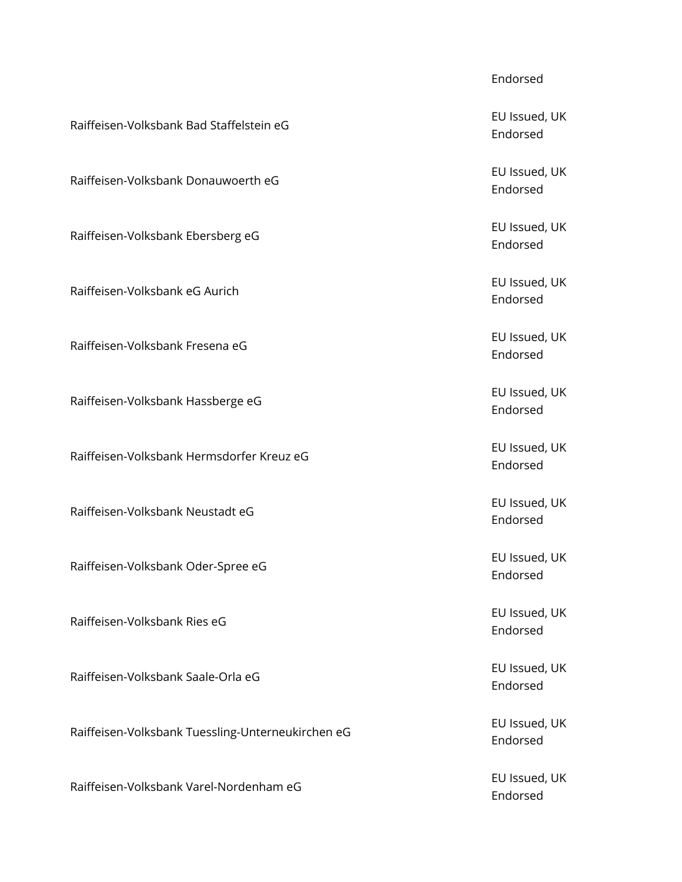# Raiffeisen-Volksbank Bad Staffelstein eG EU Issued, UK

Raiffeisen-Volksbank Donauwoerth eG EU Issued, UK

Raiffeisen-Volksbank Ebersberg eG EU Issued, UK

Raiffeisen-Volksbank eG Aurich EU Issued, UK

Raiffeisen-Volksbank Fresena eG EU Issued, UK

Raiffeisen-Volksbank Hassberge eG EU Issued, UK

Raiffeisen-Volksbank Hermsdorfer Kreuz eG EU Issued, UK

Raiffeisen-Volksbank Neustadt eG EU Issued, UK

Raiffeisen-Volksbank Oder-Spree eG EU Issued, UK

Raiffeisen-Volksbank Ries eG EU Issued, UK

Raiffeisen-Volksbank Saale-Orla eG EU Issued, UK

Raiffeisen-Volksbank Tuessling-Unterneukirchen eG EU Issued, UK

Raiffeisen-Volksbank Varel-Nordenham eG<br>EU Issued, UK

#### Endorsed

Endorsed

Endorsed

Endorsed

Endorsed

Endorsed

Endorsed

Endorsed

Endorsed

Endorsed

Endorsed

Endorsed

Endorsed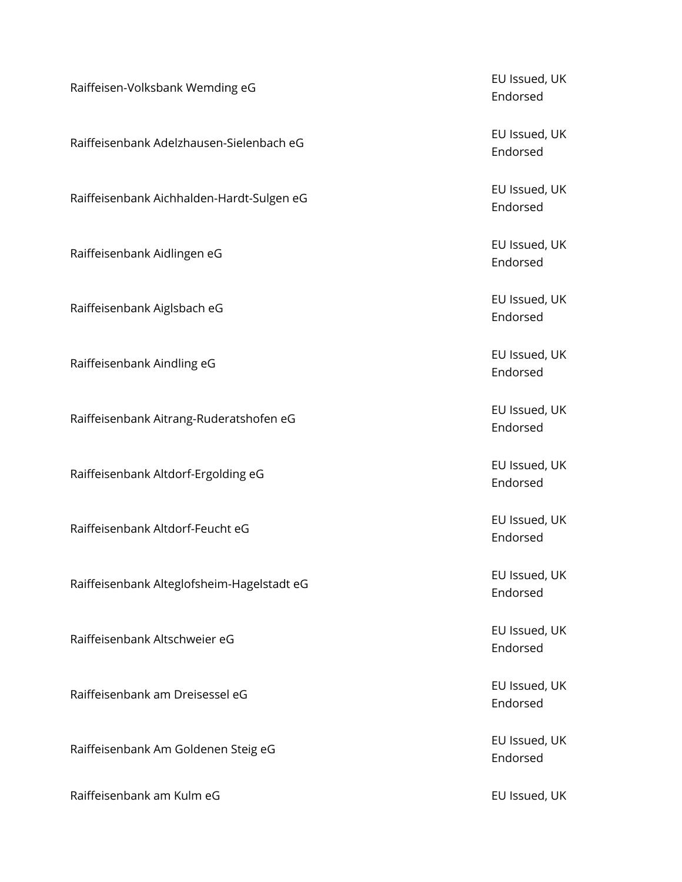Raiffeisen-Volksbank Wemding eG<br>
Raiffeisen-Volksbank Wemding eG Raiffeisenbank Adelzhausen-Sielenbach eG EU Issued, UK Raiffeisenbank Aichhalden-Hardt-Sulgen eG<br>
Faiffeisenbank Aichhalden-Hardt-Sulgen eG Raiffeisenbank Aidlingen eG EU Issued, UK Raiffeisenbank Aiglsbach eG EU Issued, UK and the EU Issued, UK Raiffeisenbank Aindling eG<br>
Raiffeisenbank Aindling eG Raiffeisenbank Aitrang-Ruderatshofen eG<br>The EU Issued, UK Raiffeisenbank Altdorf-Ergolding eG<br>
Raiffeisenbank Altdorf-Ergolding eG<br>
The Current of Land of Land of Land of Land of Land of Land of Land of Land of Land of Land of Land of Land of Land of Land of Land of Land of Land Raiffeisenbank Altdorf-Feucht eG EU Issued, UK

Raiffeisenbank Alteglofsheim-Hagelstadt eG<br>
Fullssued, UK

Raiffeisenbank Altschweier eG EU Issued, UK

Raiffeisenbank am Dreisessel eG EU Issued, UK

Raiffeisenbank Am Goldenen Steig eG<br>
Raiffeisenbank Am Goldenen Steig eG

Raiffeisenbank am Kulm eG et al. and the extendio of the EU Issued, UK

Endorsed

Endorsed

Endorsed

Endorsed

Endorsed

Endorsed

Endorsed

Endorsed

Endorsed

Endorsed

Endorsed

Endorsed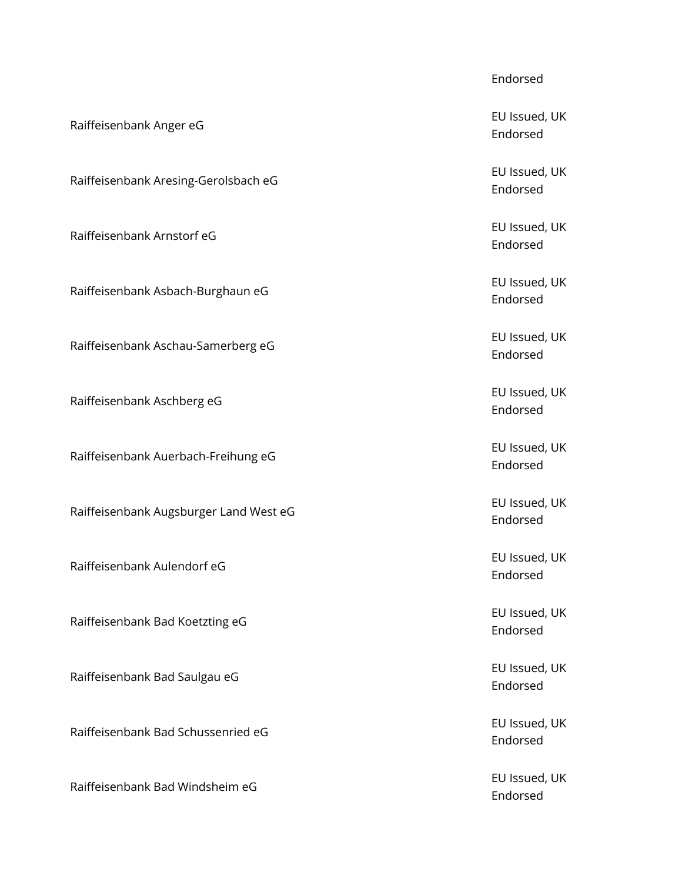Raiffeisenbank Anger eG EU Issued, UK Desembank Anger eG

Raiffeisenbank Aresing-Gerolsbach eG EU Issued, UK

Raiffeisenbank Arnstorf eG EU Issued, UK

Raiffeisenbank Asbach-Burghaun eG<br>
Raiffeisenbank Asbach-Burghaun eG<br>
The Communication of the Cultum of the Cultum of the Cultum of the Cultum of the Cultum of the Cultum of the Cultum of the Cultum of the Cultum of the C

Raiffeisenbank Aschau-Samerberg eG<br>
Raiffeisenbank Aschau-Samerberg eG<br>
The Culture of the Culture of the Culture of the Culture of the Culture of the Culture of the Culture of the Culture of the Culture of the Culture of

Raiffeisenbank Aschberg eG EU Issued, UK EU Issued, UK

Raiffeisenbank Auerbach-Freihung eG<br>
Raiffeisenbank Auerbach-Freihung eG<br>
The Culture of the Culture of the Culture of the Culture of the Culture of the Culture of the Culture of the Culture of the Culture of the Culture o

Raiffeisenbank Augsburger Land West eG<br>
The Culture of the Culture of the Culture of the Culture of the Culture of the Culture of the Culture of the Cu

Raiffeisenbank Aulendorf eG EU Issued, UK

Raiffeisenbank Bad Koetzting eG<br>
Raiffeisenbank Bad Koetzting eG

Raiffeisenbank Bad Saulgau eG<br>
Raiffeisenbank Bad Saulgau eG

Raiffeisenbank Bad Schussenried eG EU Issued, UK

Raiffeisenbank Bad Windsheim eG EU Issued, UK

#### Endorsed

Endorsed

Endorsed

Endorsed

Endorsed

Endorsed

Endorsed

Endorsed

Endorsed

Endorsed

Endorsed

Endorsed

Endorsed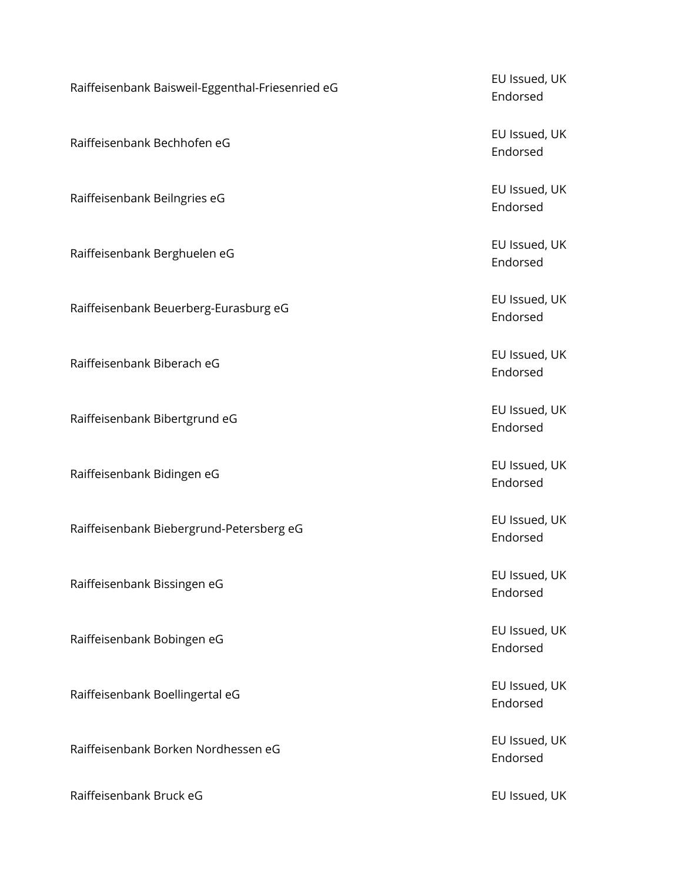Raiffeisenbank Baisweil-Eggenthal-Friesenried eG<br>
Fullssued, UK

Raiffeisenbank Bechhofen eG EU Issued, UK

Raiffeisenbank Beilngries eG EU Issued, UK

Raiffeisenbank Berghuelen eG<br>
Raiffeisenbank Berghuelen eG<br>
The Culture of the Culture of the Culture of the Culture of the Culture of the Culture of the Culture of the Culture of the Culture of the Culture of the Culture

Raiffeisenbank Beuerberg-Eurasburg eG<br>
Raiffeisenbank Beuerberg-Eurasburg eG<br>
The Current of the Current of the Current of the Current of the Current of the Current of the Current of the Current of the Current of the Curre

Raiffeisenbank Biberach eG EU Issued, UK

Raiffeisenbank Bibertgrund eG EU Issued, UK

Raiffeisenbank Bidingen eG<br>
Raiffeisenbank Bidingen eG

Raiffeisenbank Biebergrund-Petersberg eG<br>
Raiffeisenbank Biebergrund-Petersberg eG<br>
The Culture of the Culture of the Culture of the Culture of the Culture of the Culture of the Culture of the Culture of the Culture of the

Raiffeisenbank Bissingen eG EU Issued, UK

Raiffeisenbank Bobingen eG<br>
Raiffeisenbank Bobingen eG

Raiffeisenbank Boellingertal eG<br>
Raiffeisenbank Boellingertal eG

Raiffeisenbank Borken Nordhessen eG EU Issued, UK

Raiffeisenbank Bruck eG **EU Issued, UK EU** Issued, UK

Endorsed

Endorsed

Endorsed

Endorsed

Endorsed

Endorsed

Endorsed

Endorsed

Endorsed

Endorsed

Endorsed

Endorsed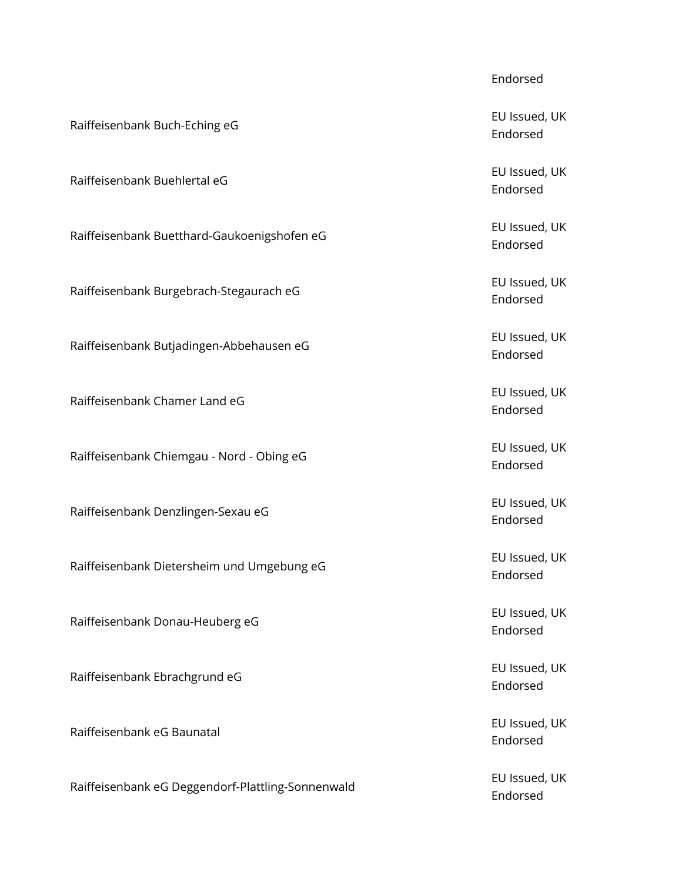Raiffeisenbank Buch-Eching eG<br>
Raiffeisenbank Buch-Eching eG

Raiffeisenbank Buehlertal eG EU Issued, UK

Raiffeisenbank Buetthard-Gaukoenigshofen eG<br>The EU Issued, UK

Raiffeisenbank Burgebrach-Stegaurach eG<br>
EU Issued, UK

Raiffeisenbank Butjadingen-Abbehausen eG<br>
EU Issued, UK

Raiffeisenbank Chamer Land eG EU Issued, UK

Raiffeisenbank Chiemgau - Nord - Obing eG<br>
Figure - Land - Chiemgau - Nord - Obing eG

Raiffeisenbank Denzlingen-Sexau eG<br>
Raiffeisenbank Denzlingen-Sexau eG

Raiffeisenbank Dietersheim und Umgebung eG<br>
expansive and the EU Issued, UK

Raiffeisenbank Donau-Heuberg eG<br>
Raiffeisenbank Donau-Heuberg eG

Raiffeisenbank Ebrachgrund eG EU Issued, UK

Raiffeisenbank eG Baunatal EU Issued, UK

Raiffeisenbank eG Deggendorf-Plattling-Sonnenwald EU Issued, UK

#### Endorsed

Endorsed

Endorsed

Endorsed

Endorsed

Endorsed

Endorsed

Endorsed

Endorsed

Endorsed

Endorsed

Endorsed

Endorsed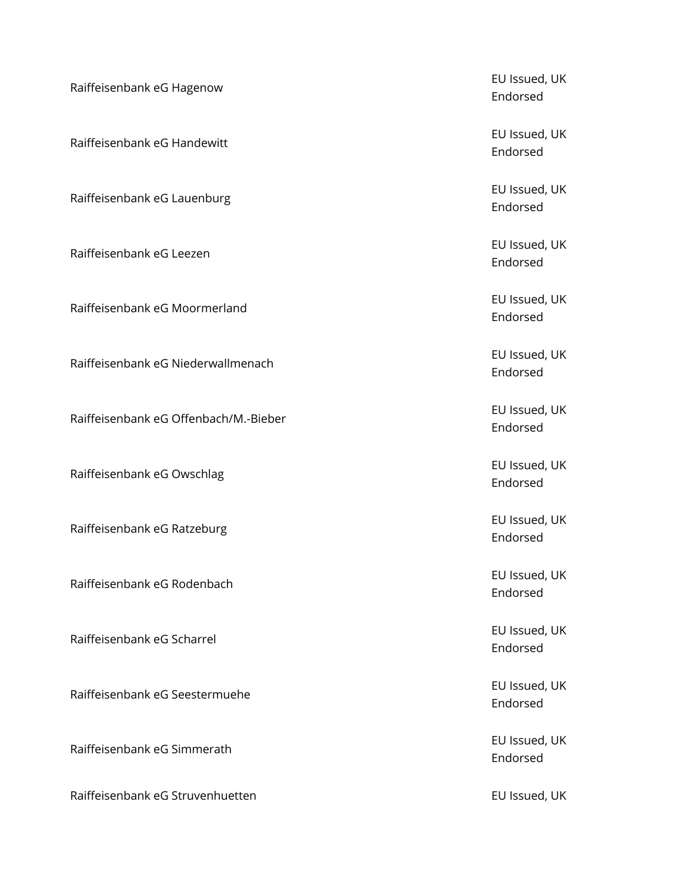Raiffeisenbank eG Hagenow EU Issued, UK Raiffeisenbank eG Handewitt EU Issued, UK Raiffeisenbank eG Lauenburg et al. et al. et al. et al. et al. et al. et al. et al. et al. et al. et al. et al<br>
EU Issued, UK Raiffeisenbank eG Leezen EU Issued, UK Raiffeisenbank eG Moormerland EU Issued, UK Raiffeisenbank eG Niederwallmenach en andere andere andere en andere EU Issued, UK Raiffeisenbank eG Offenbach/M.-Bieber EU Issued, UK Raiffeisenbank eG Owschlag EU Issued, UK and the EU Issued, UK Raiffeisenbank eG Ratzeburg EU Issued, UK Raiffeisenbank eG Rodenbach EU Issued, UK Raiffeisenbank eG Scharrel EU Issued, UK Raiffeisenbank eG Seestermuehe EU Issued, UK

Raiffeisenbank eG Struvenhuetten en andere andere EU Issued, UK

Endorsed

Endorsed

Endorsed

Endorsed

Endorsed

Endorsed

Endorsed

Endorsed

Endorsed

Endorsed

Endorsed

Endorsed

Raiffeisenbank eG Simmerath EU Issued, UK Endorsed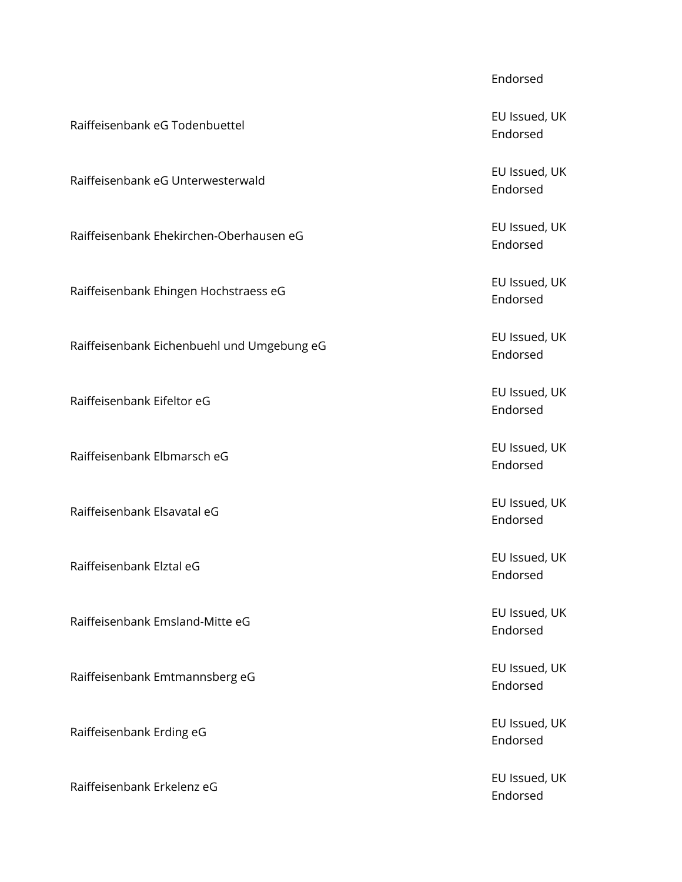Raiffeisenbank eG Todenbuettel EU Issued, UK Raiffeisenbank eG Unterwesterwald EU Issued, UK Raiffeisenbank Ehekirchen-Oberhausen eG EU Issued, UK Raiffeisenbank Ehingen Hochstraess eG<br>
Raiffeisenbank Ehingen Hochstraess eG<br>
The Current Current Current Current Current Current Current Current Current Current Current Current Current Current Current Current Current Curr Raiffeisenbank Eichenbuehl und Umgebung eG<br>
EU Issued, UK Raiffeisenbank Fifeltor eG<br>EU Issued, UK Raiffeisenbank Elbmarsch eG EU Issued, UK Raiffeisenbank Elsavatal eG EU Issued, UK Raiffeisenbank Elztal eG EU Issued, UK Raiffeisenbank Emsland-Mitte eG EU Issued, UK Raiffeisenbank Emtmannsberg eG<br>
Raiffeisenbank Emtmannsberg eG Raiffeisenbank Erding eG EU Issued, UK EU Issued, UK

Raiffeisenbank Erkelenz eG EU Issued, UK

#### Endorsed

Endorsed

Endorsed

Endorsed

Endorsed

Endorsed

Endorsed

Endorsed

Endorsed

Endorsed

Endorsed

Endorsed

Endorsed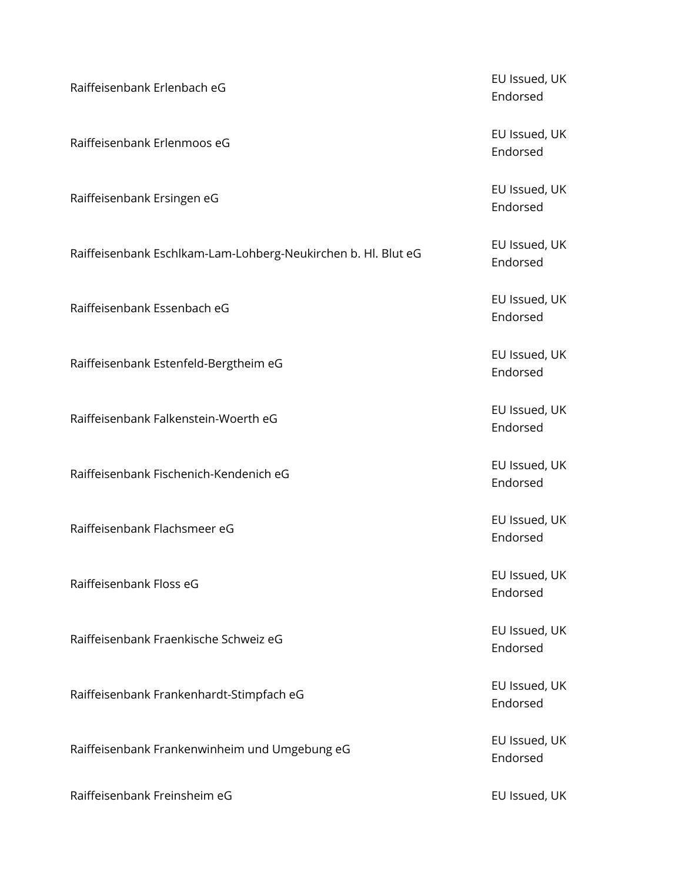| Raiffeisenbank Erlenbach eG                                   | EU Issued, UK<br>Endorsed |
|---------------------------------------------------------------|---------------------------|
| Raiffeisenbank Erlenmoos eG                                   | EU Issued, UK<br>Endorsed |
| Raiffeisenbank Ersingen eG                                    | EU Issued, UK<br>Endorsed |
| Raiffeisenbank Eschlkam-Lam-Lohberg-Neukirchen b. Hl. Blut eG | EU Issued, UK<br>Endorsed |
| Raiffeisenbank Essenbach eG                                   | EU Issued, UK<br>Endorsed |
| Raiffeisenbank Estenfeld-Bergtheim eG                         | EU Issued, UK<br>Endorsed |
| Raiffeisenbank Falkenstein-Woerth eG                          | EU Issued, UK<br>Endorsed |
| Raiffeisenbank Fischenich-Kendenich eG                        | EU Issued, UK<br>Endorsed |
| Raiffeisenbank Flachsmeer eG                                  | EU Issued, UK<br>Endorsed |
| Raiffeisenbank Floss eG                                       | EU Issued, UK<br>Endorsed |
| Raiffeisenbank Fraenkische Schweiz eG                         | EU Issued, UK<br>Endorsed |
| Raiffeisenbank Frankenhardt-Stimpfach eG                      | EU Issued, UK<br>Endorsed |
| Raiffeisenbank Frankenwinheim und Umgebung eG                 | EU Issued, UK<br>Endorsed |
| Raiffeisenbank Freinsheim eG                                  | EU Issued, UK             |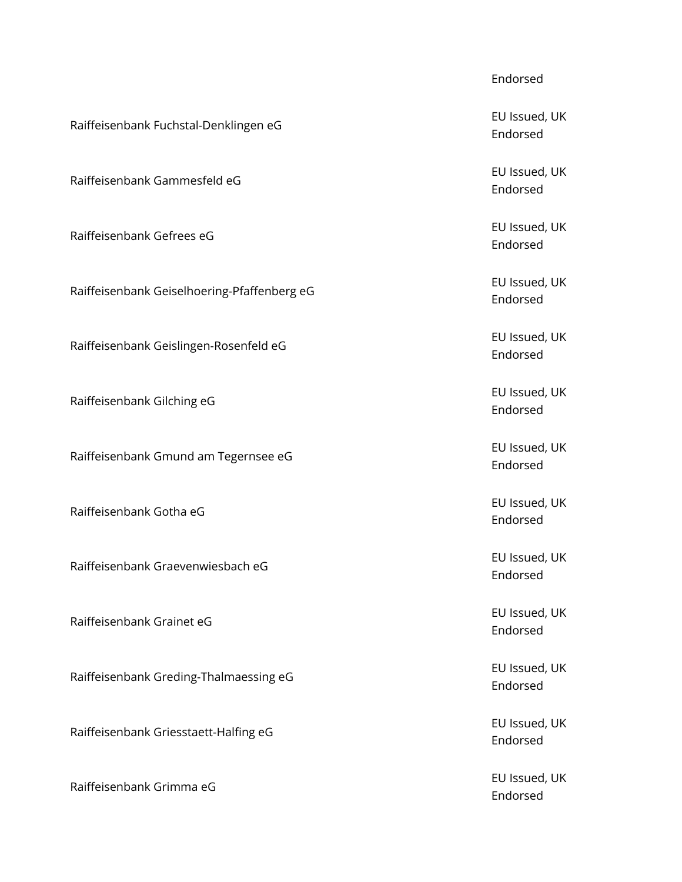Raiffeisenbank Fuchstal-Denklingen eG<br>
Raiffeisenbank Fuchstal-Denklingen eG<br>
The Current of the Current of the Current of the Current of the Current of the Current of the Current of the Current of the Current of the Curre

Raiffeisenbank Gammesfeld eG EU Issued, UK

Raiffeisenbank Gefrees eG EU Issued, UK

Raiffeisenbank Geiselhoering-Pfaffenberg eG<br>
Raiffeisenbank Geiselhoering-Pfaffenberg eG<br>
The Culture of the Culture of the Culture of the Culture of the Culture of the Culture of the Culture of the Culture of the Culture

Raiffeisenbank Geislingen-Rosenfeld eG<br>
Raiffeisenbank Geislingen-Rosenfeld eG<br>
The Current of Lucian Constanting of Lucian Constanting of Lucian Constanting of Lucian Constanting of Lucian Constanting of Lucian Constantin

Raiffeisenbank Gilching eG EU Issued, UK

Raiffeisenbank Gmund am Tegernsee eG<br>
Raiffeisenbank Gmund am Tegernsee eG

Raiffeisenbank Gotha eG EU Issued, UK

Raiffeisenbank Graevenwiesbach eG EU Issued, UK

Raiffeisenbank Grainet eG<br>
Raiffeisenbank Grainet eG

Raiffeisenbank Greding-Thalmaessing eG<br>
Raiffeisenbank Greding-Thalmaessing eG

Raiffeisenbank Griesstaett-Halfing eG<br>
Raiffeisenbank Griesstaett-Halfing eG

Raiffeisenbank Grimma eG et al. et al. et al. et al. et al. et al. et al. et al. et al. et al. et al. et al. e<br>EU Issued, UK

Endorsed

Endorsed

Endorsed

Endorsed

Endorsed

Endorsed

Endorsed

Endorsed

Endorsed

Endorsed

Endorsed

Endorsed

Endorsed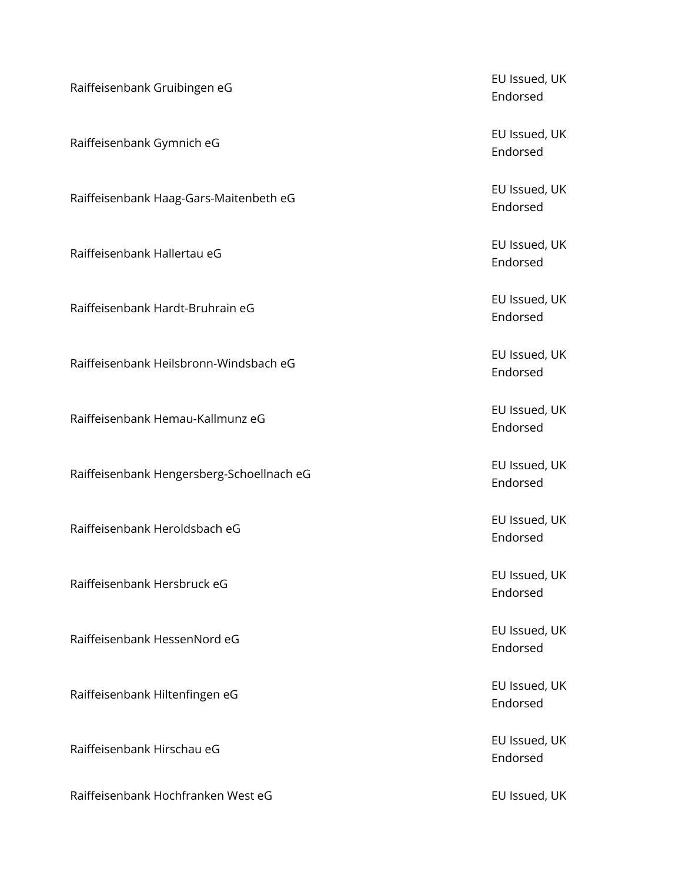Raiffeisenbank Gruibingen eG<br>
Raiffeisenbank Gruibingen eG Raiffeisenbank Gymnich eG EU Issued, UK EU Issued, UK Raiffeisenbank Haag-Gars-Maitenbeth eG<br>
Raiffeisenbank Haag-Gars-Maitenbeth eG Raiffeisenbank Hallertau eG<br>
EU Issued, UK Raiffeisenbank Hardt-Bruhrain eG<br>
EU Issued, UK Raiffeisenbank Heilsbronn-Windsbach eG EU Issued, UK Raiffeisenbank Hemau-Kallmunz eG EU Issued, UK Raiffeisenbank Hengersberg-Schoellnach eG<br>
EU Issued, UK Raiffeisenbank Heroldsbach eG EU Issued, UK Raiffeisenbank Hersbruck eG EU Issued, UK Raiffeisenbank HessenNord eG EU Issued, UK Raiffeisenbank Hiltenfingen eG<br>
Raiffeisenbank Hiltenfingen eG

Raiffeisenbank Hochfranken West eG EU Issued, UK

Endorsed

Endorsed

Endorsed

Endorsed

Endorsed

Endorsed

Endorsed

Endorsed

Endorsed

Endorsed

Endorsed

Endorsed

Raiffeisenbank Hirschau eG EU Issued, UK Endorsed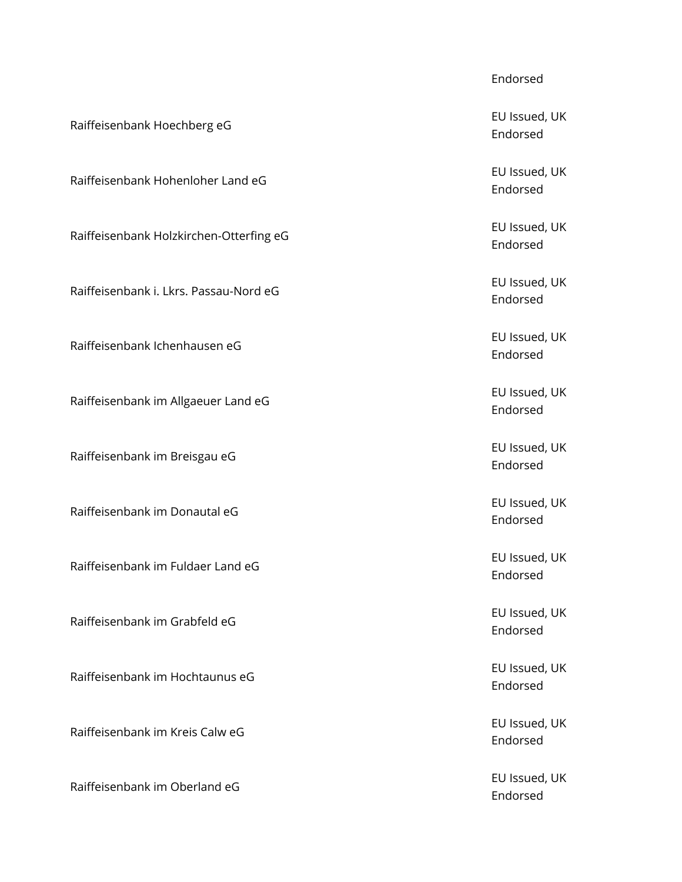Raiffeisenbank Hoechberg eG EU Issued, UK

Raiffeisenbank Hohenloher Land eG EU Issued, UK

Raiffeisenbank Holzkirchen-Otterfing eG<br>
Raiffeisenbank Holzkirchen-Otterfing eG<br>
The Culture of the Culture of the Culture of the Culture of the Culture of the Culture of the Culture of the Culture of the Culture of the C

Raiffeisenbank i. Lkrs. Passau-Nord eG EU Issued, UK

Raiffeisenbank Ichenhausen eG EU Issued, UK

Raiffeisenbank im Allgaeuer Land eG<br>
Raiffeisenbank im Allgaeuer Land eG

Raiffeisenbank im Breisgau eG<br>
Raiffeisenbank im Breisgau eG

Raiffeisenbank im Donautal eG et al. et al. et al. et al. et al. et al. et al. et al. et al. et al. et al. et a

Raiffeisenbank im Fuldaer Land eG EU Issued, UK

Raiffeisenbank im Grabfeld eG EU Issued, UK

Raiffeisenbank im Hochtaunus eG EU Issued, UK

Raiffeisenbank im Kreis Calw eG EU Issued, UK

Raiffeisenbank im Oberland eG et al. et al. et al. et al. et al. et al. et al. et al. et al. et al. et al. et a

#### Endorsed

Endorsed

Endorsed

Endorsed

Endorsed

Endorsed

Endorsed

Endorsed

Endorsed

Endorsed

Endorsed

Endorsed

Endorsed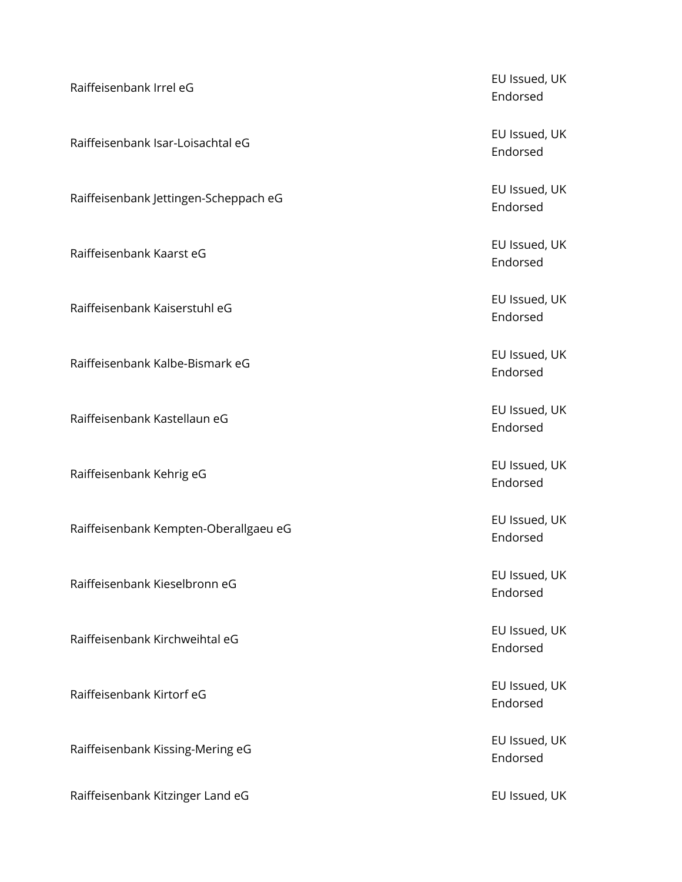Raiffeisenbank Irrel eG EU Issued, UK Raiffeisenbank Isar-Loisachtal eG EU Issued, UK Raiffeisenbank Jettingen-Scheppach eG<br>
Raiffeisenbank Jettingen-Scheppach eG<br>
The Current of the Current of the Current of the Current of the Current of the Current of the Current of the Current of the Current of the Curre Raiffeisenbank Kaarst eG EU Issued, UK Raiffeisenbank Kaiserstuhl eG EU Issued, UK Raiffeisenbank Kalbe-Bismark eG EU Issued, UK Raiffeisenbank Kastellaun eG EU Issued, UK Raiffeisenbank Kehrig eG EU Issued, UK EU Issued, UK Raiffeisenbank Kempten-Oberallgaeu eG<br>
Raiffeisenbank Kempten-Oberallgaeu eG Raiffeisenbank Kieselbronn eG et al. EU Issued, UK Raiffeisenbank Kirchweihtal eG EU Issued, UK

Raiffeisenbank Kissing-Mering eG EU Issued, UK

Raiffeisenbank Kitzinger Land eG EU Issued, UK

Endorsed

Endorsed

Endorsed

Endorsed

Endorsed

Endorsed

Endorsed

Endorsed

Endorsed

Endorsed

Endorsed

Raiffeisenbank Kirtorf eG EU Issued, UK Endorsed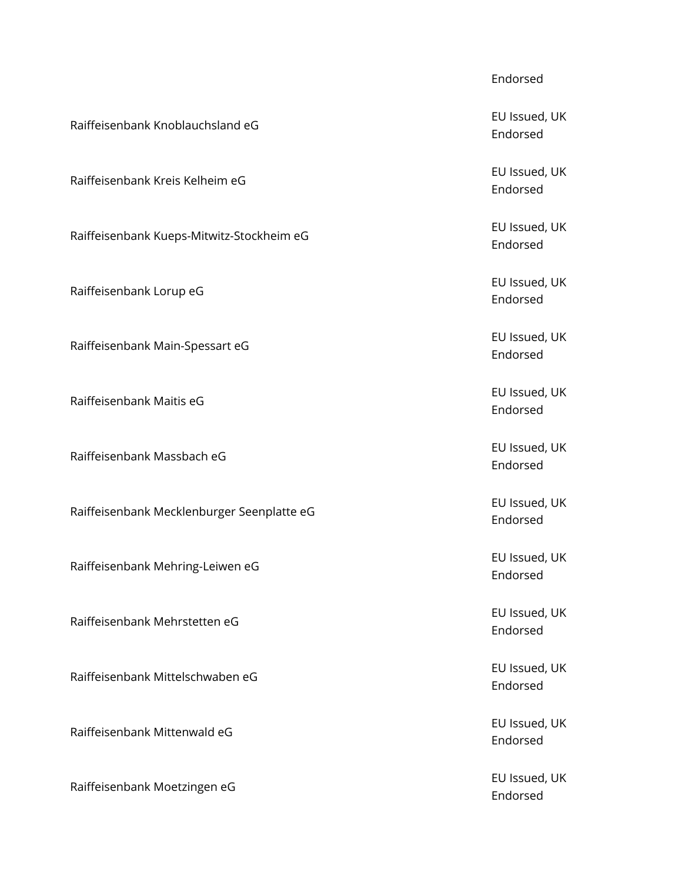Raiffeisenbank Knoblauchsland eG EU Issued, UK

Raiffeisenbank Kreis Kelheim eG EU Issued, UK

Raiffeisenbank Kueps-Mitwitz-Stockheim eG<br>
Fig. 1. The EU Issued, UK

Raiffeisenbank Lorup eG EU Issued, UK EU Issued, UK

Raiffeisenbank Main-Spessart eG<br>
Raiffeisenbank Main-Spessart eG

Raiffeisenbank Maitis eG EU Issued, UK

Raiffeisenbank Massbach eG EU Issued, UK

Raiffeisenbank Mecklenburger Seenplatte eG<br>
Raiffeisenbank Mecklenburger Seenplatte eG<br>
The Current of Land Current of Land Current of Land Current of Land Current of Land Current of Land Current of Land Current of Land Cu

Raiffeisenbank Mehring-Leiwen eG<br>
Raiffeisenbank Mehring-Leiwen eG

Raiffeisenbank Mehrstetten eG EU Issued, UK

Raiffeisenbank Mittelschwaben eG EU Issued, UK

Raiffeisenbank Mittenwald eG EU Issued, UK

Raiffeisenbank Moetzingen eG EU Issued, UK

#### Endorsed

Endorsed

Endorsed

Endorsed

Endorsed

Endorsed

Endorsed

Endorsed

Endorsed

Endorsed

Endorsed

Endorsed

Endorsed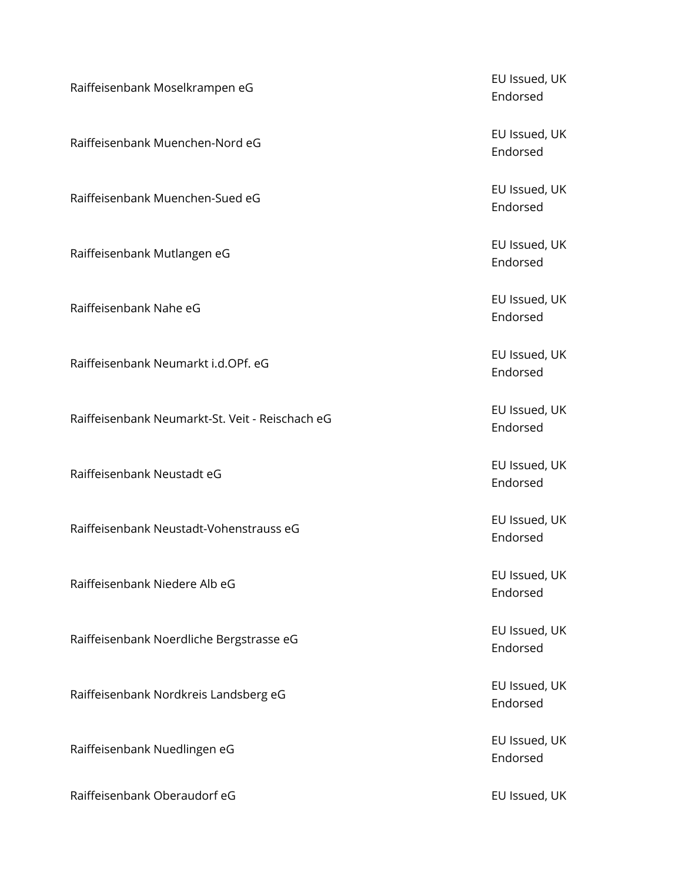Raiffeisenbank Moselkrampen eG<br>
Raiffeisenbank Moselkrampen eG

Raiffeisenbank Muenchen-Nord eG EU Issued, UK

Raiffeisenbank Muenchen-Sued eG EU Issued, UK

Raiffeisenbank Mutlangen eG EU Issued, UK

Raiffeisenbank Neumarkt i.d.OPf. eG EU Issued, UK

Raiffeisenbank Neumarkt-St. Veit - Reischach eG EU Issued, UK

Raiffeisenbank Neustadt eG EU Issued, UK

Raiffeisenbank Neustadt-Vohenstrauss eG EU Issued, UK

Raiffeisenbank Niedere Alb eG EU Issued, UK

Raiffeisenbank Noerdliche Bergstrasse eG<br>
EU Issued, UK

Raiffeisenbank Nordkreis Landsberg eG EU Issued, UK

Raiffeisenbank Nuedlingen eG<br>
Raiffeisenbank Nuedlingen eG

Raiffeisenbank Oberaudorf eG **EU Issued, UK** EU Issued, UK

Endorsed

Endorsed

Endorsed

Endorsed

Raiffeisenbank Nahe eG EU Issued, UK Endorsed

Endorsed

Endorsed

Endorsed

Endorsed

Endorsed

Endorsed

Endorsed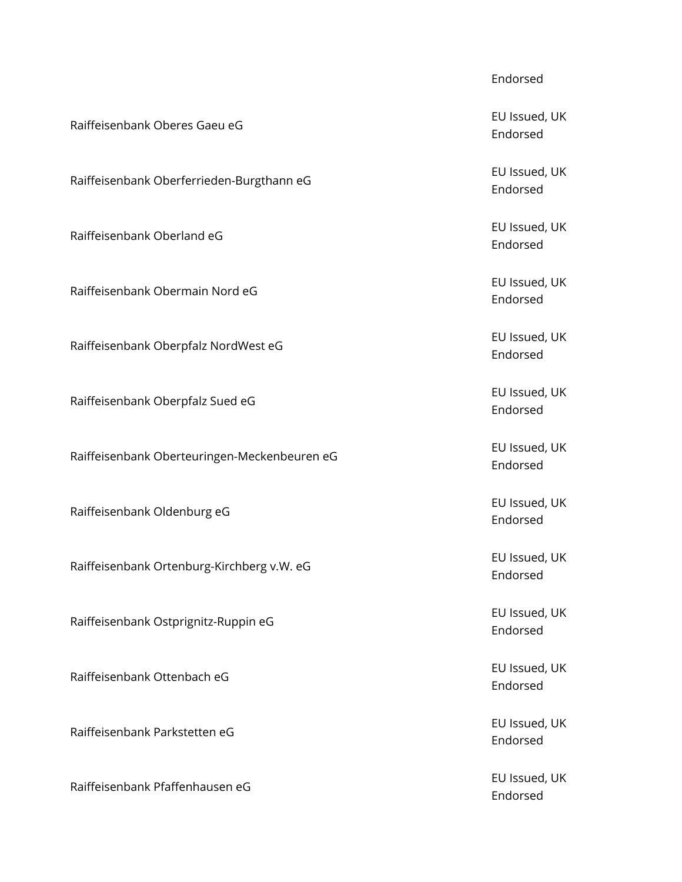# Raiffeisenbank Oberes Gaeu eG EU Issued, UK

Raiffeisenbank Oberferrieden-Burgthann eG<br>
EU Issued, UK

Raiffeisenbank Oberland eG EU Issued, UK

Raiffeisenbank Obermain Nord eG<br>
EU Issued, UK

Raiffeisenbank Oberpfalz NordWest eG EU Issued, UK

Raiffeisenbank Oberpfalz Sued eG EU Issued, UK

Raiffeisenbank Oberteuringen-Meckenbeuren eG<br>
EU Issued, UK

Raiffeisenbank Oldenburg eG EU Issued, UK

Raiffeisenbank Ortenburg-Kirchberg v.W. eG<br>
= The Cultum of the Cultum of the Cultum of the Cultum of the Cultum of the Cultum of the Cultum of the Cultum

Raiffeisenbank Ostprignitz-Ruppin eG<br>
Raiffeisenbank Ostprignitz-Ruppin eG

Raiffeisenbank Ottenbach eG EU Issued, UK

Raiffeisenbank Parkstetten eG EU Issued, UK

Raiffeisenbank Pfaffenhausen eG EU Issued, UK

#### Endorsed

Endorsed

Endorsed

Endorsed

Endorsed

Endorsed

Endorsed

Endorsed

Endorsed

Endorsed

Endorsed

Endorsed

Endorsed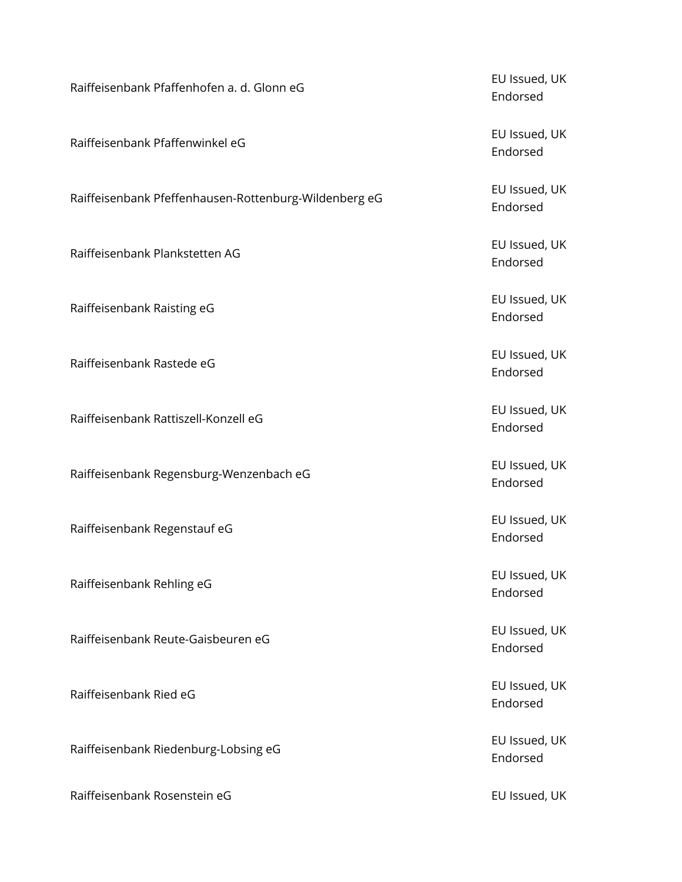| Raiffeisenbank Pfaffenhofen a. d. Glonn eG            | EU Issued, UK<br>Endorsed |
|-------------------------------------------------------|---------------------------|
| Raiffeisenbank Pfaffenwinkel eG                       | EU Issued, UK<br>Endorsed |
| Raiffeisenbank Pfeffenhausen-Rottenburg-Wildenberg eG | EU Issued, UK<br>Endorsed |
| Raiffeisenbank Plankstetten AG                        | EU Issued, UK<br>Endorsed |
| Raiffeisenbank Raisting eG                            | EU Issued, UK<br>Endorsed |
| Raiffeisenbank Rastede eG                             | EU Issued, UK<br>Endorsed |
| Raiffeisenbank Rattiszell-Konzell eG                  | EU Issued, UK<br>Endorsed |
| Raiffeisenbank Regensburg-Wenzenbach eG               | EU Issued, UK<br>Endorsed |
| Raiffeisenbank Regenstauf eG                          | EU Issued, UK<br>Endorsed |
| Raiffeisenbank Rehling eG                             | EU Issued, UK<br>Endorsed |
| Raiffeisenbank Reute-Gaisbeuren eG                    | EU Issued, UK<br>Endorsed |
| Raiffeisenbank Ried eG                                | EU Issued, UK<br>Endorsed |
| Raiffeisenbank Riedenburg-Lobsing eG                  | EU Issued, UK<br>Endorsed |
| Raiffeisenbank Rosenstein eG                          | EU Issued, UK             |

Issued, UK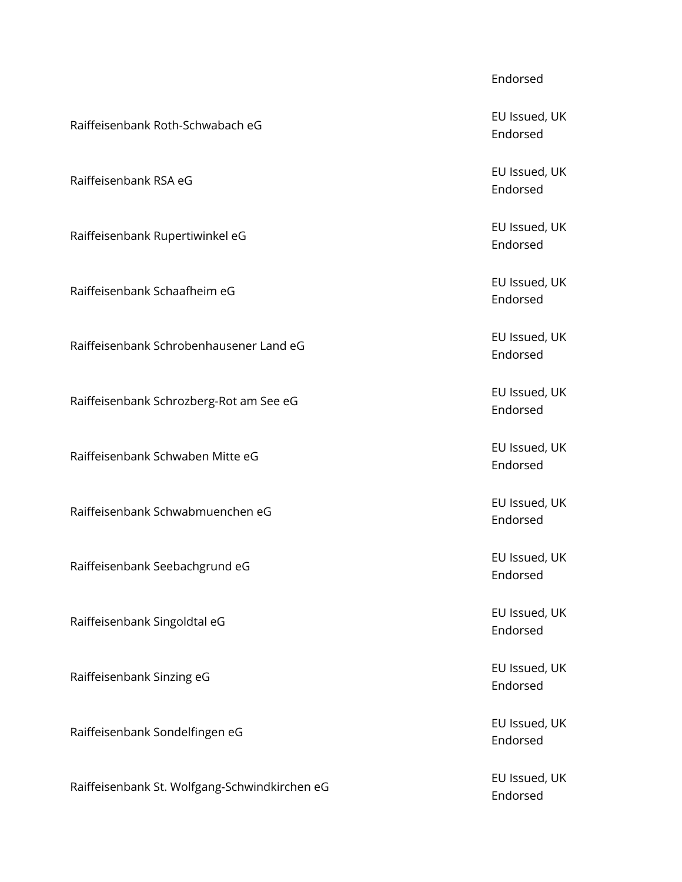Raiffeisenbank Roth-Schwabach eG EU Issued, UK

Raiffeisenbank Rupertiwinkel eG<br>
Raiffeisenbank Rupertiwinkel eG

Raiffeisenbank Schaafheim eG<br>
EU Issued, UK

Raiffeisenbank Schrobenhausener Land eG EU Issued, UK

Raiffeisenbank Schrozberg-Rot am See eG<br>
The Culture of the Culture of the EU Issued, UK

Raiffeisenbank Schwaben Mitte eG

Raiffeisenbank Schwabmuenchen eG EU Issued, UK

Raiffeisenbank Seebachgrund eG EU Issued, UK

Raiffeisenbank Singoldtal eG<br>
Raiffeisenbank Singoldtal eG

Raiffeisenbank Sinzing eG EU Issued, UK and the EU Issued, UK

Raiffeisenbank Sondelfingen eG<br>
Raiffeisenbank Sondelfingen eG

Raiffeisenbank St. Wolfgang-Schwindkirchen eG<br>
Fullssued, UK

#### Endorsed

Endorsed

Raiffeisenbank RSA eG EU Issued, UK Endorsed

Endorsed

Endorsed

Endorsed

Endorsed

Endorsed

Endorsed

Endorsed

Endorsed

Endorsed

Endorsed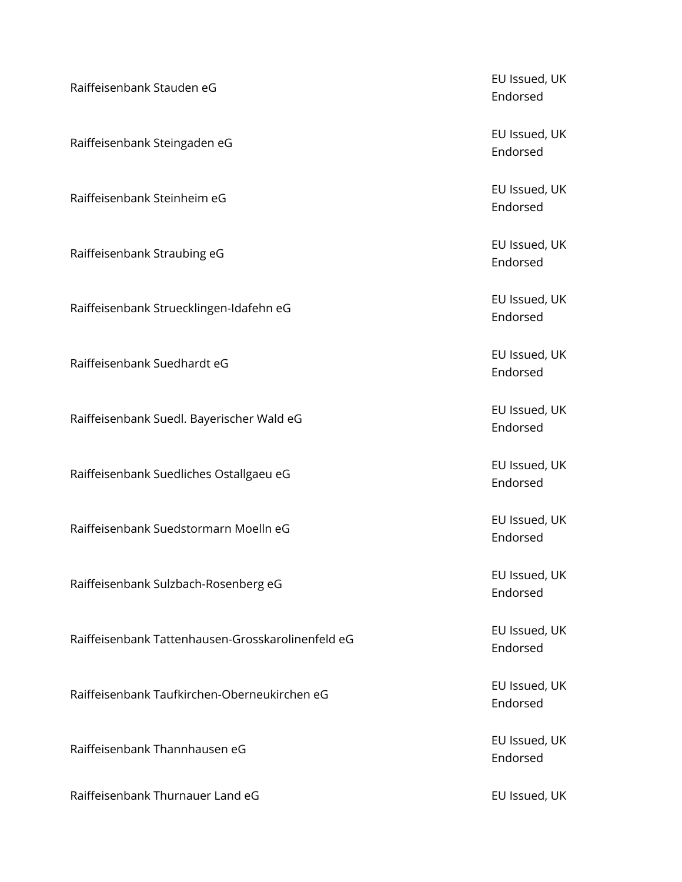Raiffeisenbank Stauden eG EU Issued, UK Raiffeisenbank Steingaden eG EU Issued, UK Raiffeisenbank Steinheim eG et al. EU Issued, UK Raiffeisenbank Straubing eG EU Issued, UK Raiffeisenbank Struecklingen-Idafehn eG<br>
Raiffeisenbank Struecklingen-Idafehn eG<br>
The Current of Television of Television of Television of Television of Television of Television of Television Raiffeisenbank Suedhardt eG EU Issued, UK Raiffeisenbank Suedl. Bayerischer Wald eG<br>
Raiffeisenbank Suedl. Bayerischer Wald eG Raiffeisenbank Suedliches Ostallgaeu eG<br>
EU Issued, UK Raiffeisenbank Suedstormarn Moelln eG EU Issued, UK Raiffeisenbank Sulzbach-Rosenberg eG EU Issued, UK Raiffeisenbank Tattenhausen-Grosskarolinenfeld eG EU Issued, UK Raiffeisenbank Taufkirchen-Oberneukirchen eG EU Issued, UK Raiffeisenbank Thannhausen eG EU Issued, UK

Raiffeisenbank Thurnauer Land eG EU Issued, UK

Endorsed

Endorsed

Endorsed

Endorsed

Endorsed

Endorsed

Endorsed

Endorsed

Endorsed

Endorsed

Endorsed

Endorsed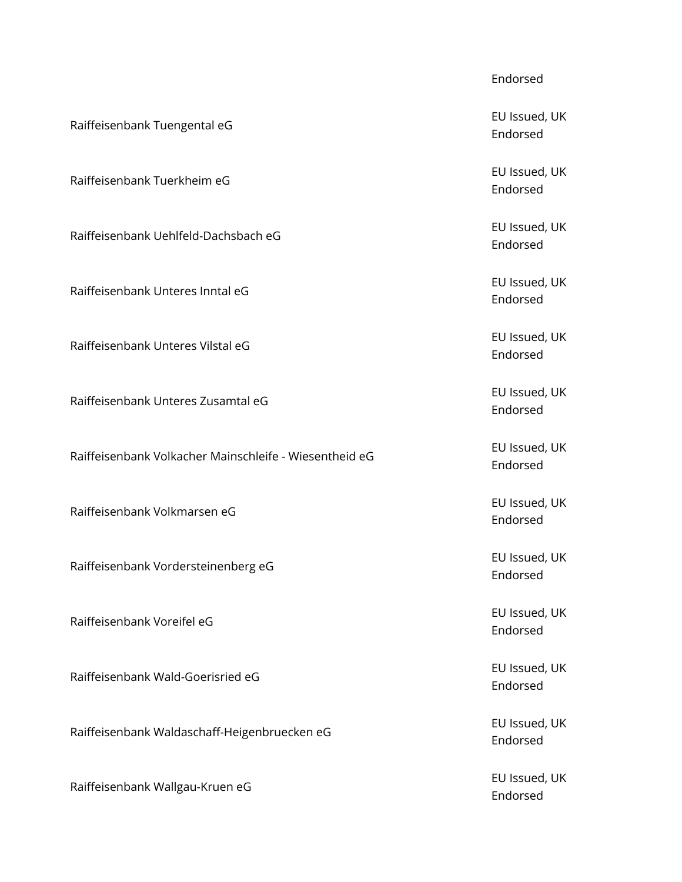Raiffeisenbank Tuengental eG<br>
Raiffeisenbank Tuengental eG<br>
The Current of the Current of the Current of the Current of the Current of the Current of the Current of the Current of the Current of the Current of the Current

Raiffeisenbank Tuerkheim eG et al. et al. et al. et al. et al. et al. et al. et al. et al. et al. et al. et al

Raiffeisenbank Uehlfeld-Dachsbach eG EU Issued, UK

Raiffeisenbank Unteres Inntal eG EU Issued, UK

Raiffeisenbank Unteres Vilstal eG EU Issued, UK

Raiffeisenbank Unteres Zusamtal eG EU Issued, UK

Raiffeisenbank Volkacher Mainschleife - Wiesentheid eG EU Issued, UK

Raiffeisenbank Volkmarsen eG EU Issued, UK

Raiffeisenbank Vordersteinenberg eG EU Issued, UK

Raiffeisenbank Voreifel eG<br>
Raiffeisenbank Voreifel eG

Raiffeisenbank Wald-Goerisried eG EU Issued, UK

Raiffeisenbank Waldaschaff-Heigenbruecken eG<br>
et al., et al., et al., et al., et al., et al., et al., et al., et al., et al., et al., et al., et al., et al

Raiffeisenbank Wallgau-Kruen eG<br>
Raiffeisenbank Wallgau-Kruen eG

#### Endorsed

Endorsed

Endorsed

Endorsed

Endorsed

Endorsed

Endorsed

Endorsed

Endorsed

Endorsed

Endorsed

Endorsed

Endorsed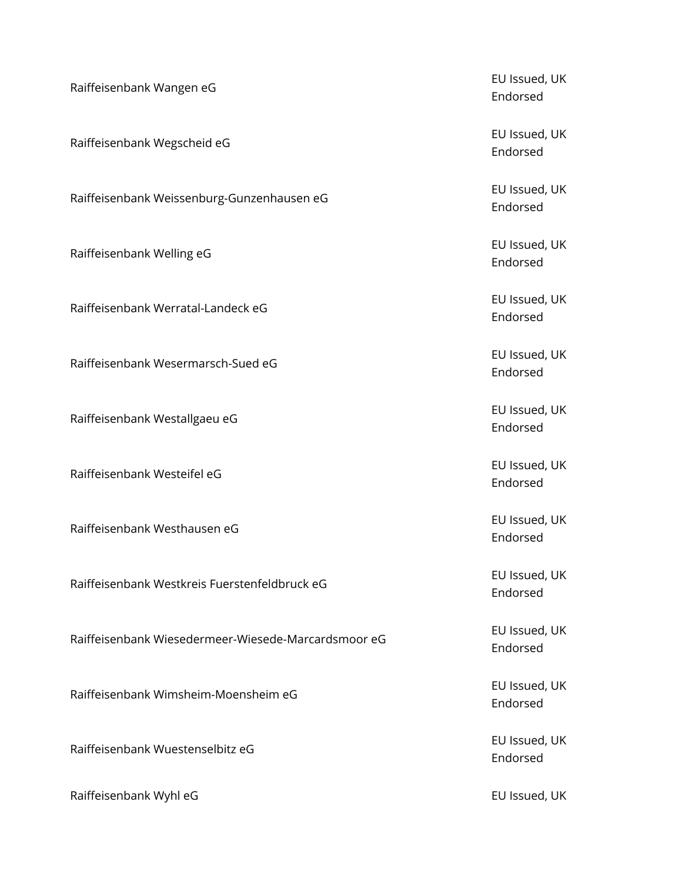| Raiffeisenbank Wangen eG                            | EU Issued, UK<br>Endorsed |
|-----------------------------------------------------|---------------------------|
| Raiffeisenbank Wegscheid eG                         | EU Issued, UK<br>Endorsed |
| Raiffeisenbank Weissenburg-Gunzenhausen eG          | EU Issued, UK<br>Endorsed |
| Raiffeisenbank Welling eG                           | EU Issued, UK<br>Endorsed |
| Raiffeisenbank Werratal-Landeck eG                  | EU Issued, UK<br>Endorsed |
| Raiffeisenbank Wesermarsch-Sued eG                  | EU Issued, UK<br>Endorsed |
| Raiffeisenbank Westallgaeu eG                       | EU Issued, UK<br>Endorsed |
| Raiffeisenbank Westeifel eG                         | EU Issued, UK<br>Endorsed |
| Raiffeisenbank Westhausen eG                        | EU Issued, UK<br>Endorsed |
| Raiffeisenbank Westkreis Fuerstenfeldbruck eG       | EU Issued, UK<br>Endorsed |
| Raiffeisenbank Wiesedermeer-Wiesede-Marcardsmoor eG | EU Issued, UK<br>Endorsed |
| Raiffeisenbank Wimsheim-Moensheim eG                | EU Issued, UK<br>Endorsed |
| Raiffeisenbank Wuestenselbitz eG                    | EU Issued, UK<br>Endorsed |
| Raiffeisenbank Wyhl eG                              | EU Issued, UK             |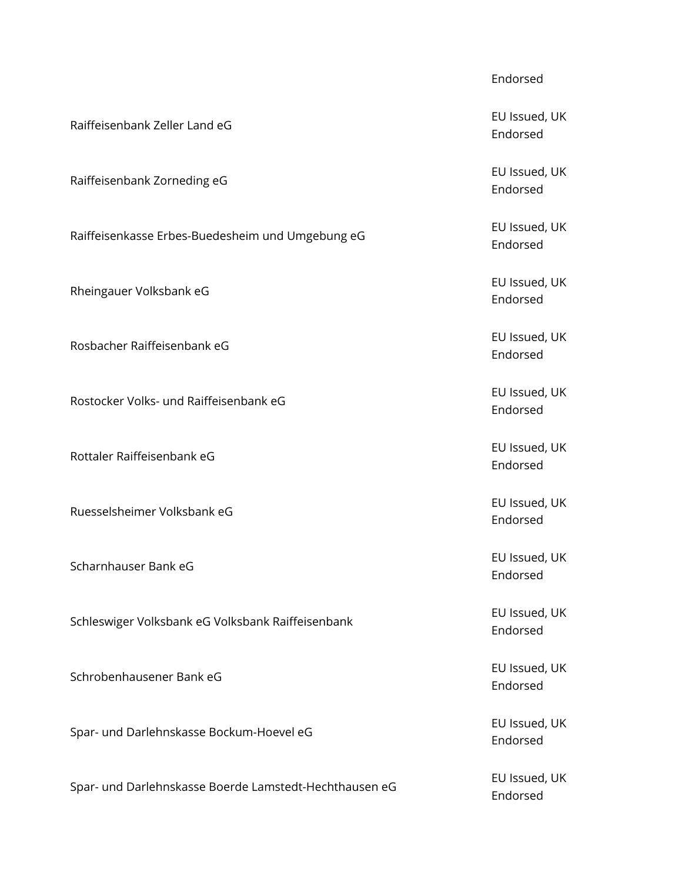Raiffeisenbank Zeller Land eG EU Issued, UK Raiffeisenbank Zorneding eG EU Issued, UK Raiffeisenkasse Erbes-Buedesheim und Umgebung eG<br>EU Issued, UK Rheingauer Volksbank eG EU Issued, UK Rosbacher Raiffeisenbank eG EU Issued, UK Rostocker Volks- und Raiffeisenbank eG EU Issued, UK Rottaler Raiffeisenbank eG EU Issued, UK Ruesselsheimer Volksbank eG EU Issued, UK Scharnhauser Bank eG EU Issued, UK Schleswiger Volksbank eG Volksbank Raiffeisenbank Fund EU Issued, UK Schrobenhausener Bank eG EU Issued, UK Spar- und Darlehnskasse Bockum-Hoevel eG<br>
The Culture of the Culture of the Culture of the Culture of the Culture of the Culture of the Culture of the C Spar- und Darlehnskasse Boerde Lamstedt-Hechthausen eG EU Issued, UK

#### Endorsed

Endorsed

Endorsed

Endorsed

Endorsed

Endorsed

Endorsed

Endorsed

Endorsed

Endorsed

Endorsed

Endorsed

Endorsed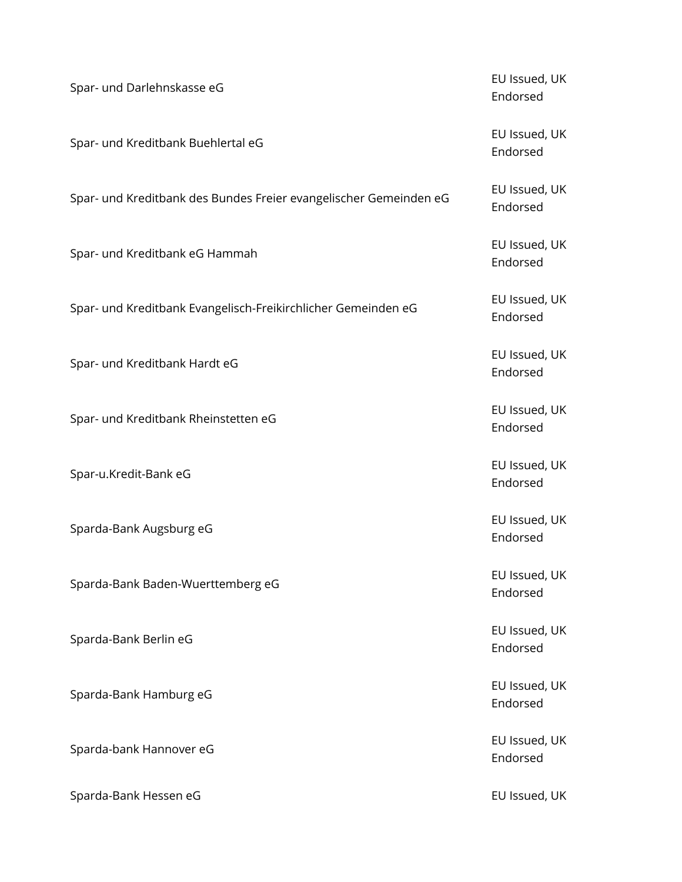| Spar- und Darlehnskasse eG                                        | EU Issued, UK<br>Endorsed |
|-------------------------------------------------------------------|---------------------------|
| Spar- und Kreditbank Buehlertal eG                                | EU Issued, UK<br>Endorsed |
| Spar- und Kreditbank des Bundes Freier evangelischer Gemeinden eG | EU Issued, UK<br>Endorsed |
| Spar- und Kreditbank eG Hammah                                    | EU Issued, UK<br>Endorsed |
| Spar- und Kreditbank Evangelisch-Freikirchlicher Gemeinden eG     | EU Issued, UK<br>Endorsed |
| Spar- und Kreditbank Hardt eG                                     | EU Issued, UK<br>Endorsed |
| Spar- und Kreditbank Rheinstetten eG                              | EU Issued, UK<br>Endorsed |
| Spar-u.Kredit-Bank eG                                             | EU Issued, UK<br>Endorsed |
| Sparda-Bank Augsburg eG                                           | EU Issued, UK<br>Endorsed |
| Sparda-Bank Baden-Wuerttemberg eG                                 | EU Issued, UK<br>Endorsed |
| Sparda-Bank Berlin eG                                             | EU Issued, UK<br>Endorsed |
| Sparda-Bank Hamburg eG                                            | EU Issued, UK<br>Endorsed |
| Sparda-bank Hannover eG                                           | EU Issued, UK<br>Endorsed |
| Sparda-Bank Hessen eG                                             | EU Issued, UK             |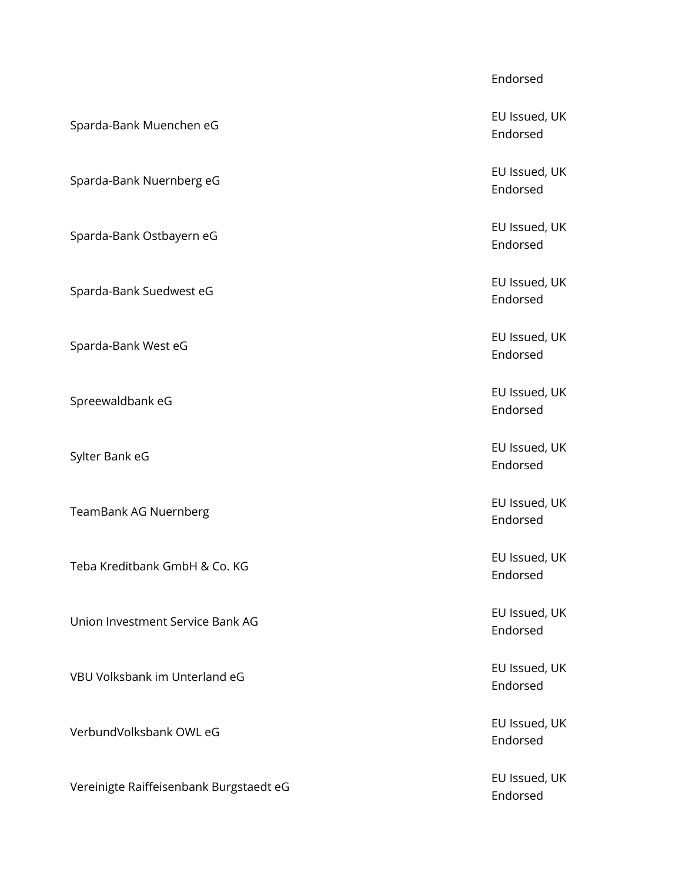Sparda-Bank Muenchen eG EU Issued, UK Sparda-Bank Nuernberg eG EU Issued, UK Sparda-Bank Ostbayern eG EU Issued, UK Sparda-Bank Suedwest eG EU Issued, UK Sparda-Bank West eG EU Issued, UK Spreewaldbank eG EU Issued, UK Sylter Bank eG EU Issued, UK TeamBank AG Nuernberg EU Issued, UK Teba Kreditbank GmbH & Co. KG EU Issued, UK Union Investment Service Bank AG EU Issued, UK VBU Volksbank im Unterland eG EU Issued, UK VerbundVolksbank OWL eG EU Issued, UK Vereinigte Raiffeisenbank Burgstaedt eG<br>
Vereinigte Raiffeisenbank Burgstaedt eG<br>
The Current of Land Current of Land Current of Land Current of Land Current of Land Current of Land Current of Land Current of Land Current

Endorsed

Endorsed

Endorsed

Endorsed

Endorsed

Endorsed

Endorsed

Endorsed

Endorsed

Endorsed

Endorsed

Endorsed

Endorsed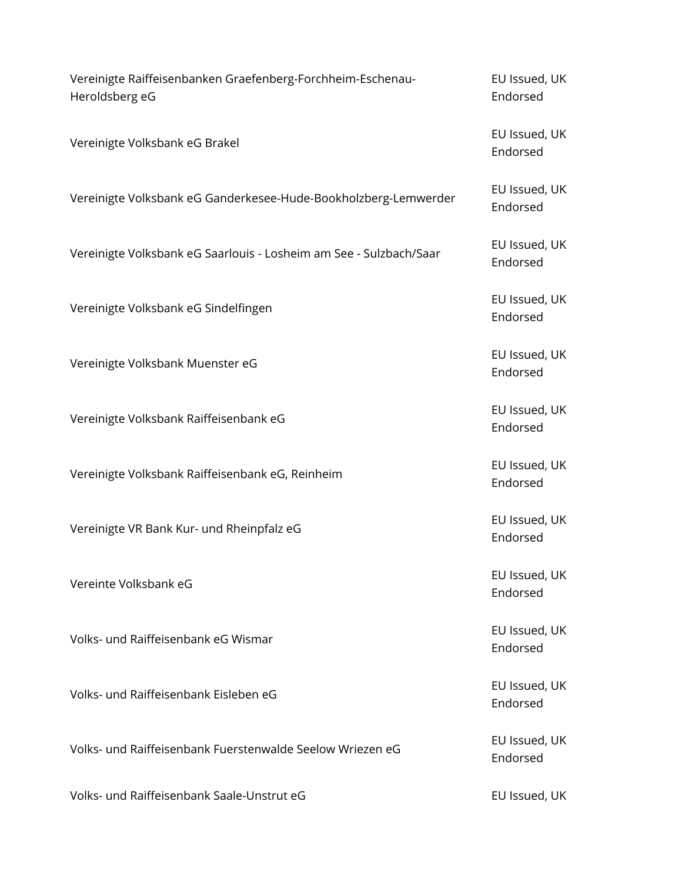| Vereinigte Raiffeisenbanken Graefenberg-Forchheim-Eschenau-<br>Heroldsberg eG | EU Issued, UK<br>Endorsed |
|-------------------------------------------------------------------------------|---------------------------|
| Vereinigte Volksbank eG Brakel                                                | EU Issued, UK<br>Endorsed |
| Vereinigte Volksbank eG Ganderkesee-Hude-Bookholzberg-Lemwerder               | EU Issued, UK<br>Endorsed |
| Vereinigte Volksbank eG Saarlouis - Losheim am See - Sulzbach/Saar            | EU Issued, UK<br>Endorsed |
| Vereinigte Volksbank eG Sindelfingen                                          | EU Issued, UK<br>Endorsed |
| Vereinigte Volksbank Muenster eG                                              | EU Issued, UK<br>Endorsed |
| Vereinigte Volksbank Raiffeisenbank eG                                        | EU Issued, UK<br>Endorsed |
| Vereinigte Volksbank Raiffeisenbank eG, Reinheim                              | EU Issued, UK<br>Endorsed |
| Vereinigte VR Bank Kur- und Rheinpfalz eG                                     | EU Issued, UK<br>Endorsed |
| Vereinte Volksbank eG                                                         | EU Issued, UK<br>Endorsed |
| Volks- und Raiffeisenbank eG Wismar                                           | EU Issued, UK<br>Endorsed |
| Volks- und Raiffeisenbank Eisleben eG                                         | EU Issued, UK<br>Endorsed |
| Volks- und Raiffeisenbank Fuerstenwalde Seelow Wriezen eG                     | EU Issued, UK<br>Endorsed |
| Volks- und Raiffeisenbank Saale-Unstrut eG                                    | EU Issued, UK             |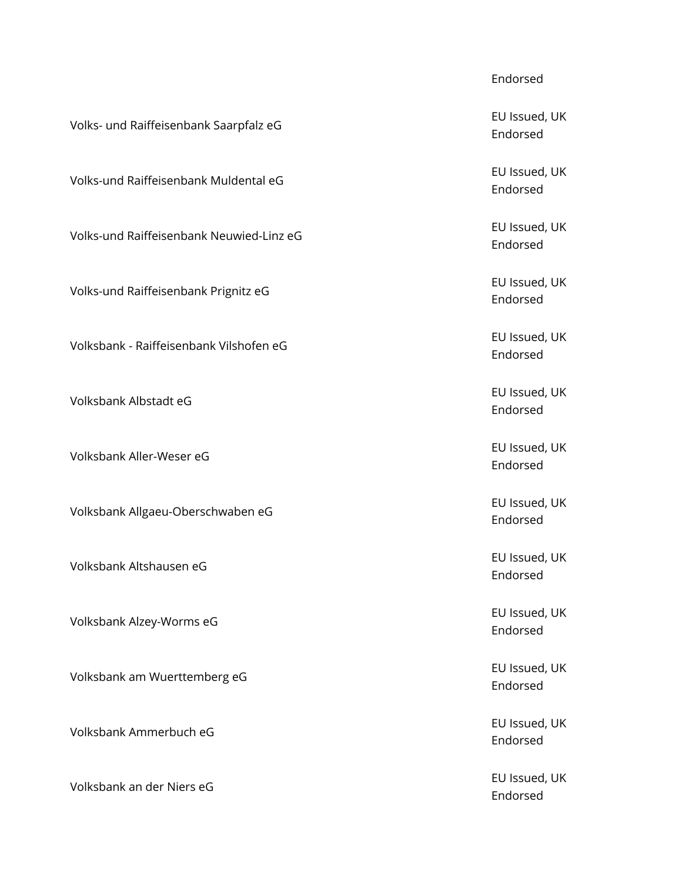#### Endorsed

Endorsed

Endorsed

Endorsed

Endorsed

Endorsed

Volksbank Albstadt eG EU Issued, UK Endorsed

Endorsed

Endorsed

Endorsed

Endorsed

Endorsed

Endorsed

Endorsed

Volks- und Raiffeisenbank Saarpfalz eG<br>
Volks- und Raiffeisenbank Saarpfalz eG

Volks-und Raiffeisenbank Muldental eG EU Issued, UK

Volks-und Raiffeisenbank Neuwied-Linz eG EU Issued, UK

Volks-und Raiffeisenbank Prignitz eG<br>
Volks-und Raiffeisenbank Prignitz eG

Volksbank - Raiffeisenbank Vilshofen eG EU Issued, UK

Volksbank Aller-Weser eG EU Issued, UK

Volksbank Allgaeu-Oberschwaben eG EU Issued, UK

Volksbank Altshausen eG et al. et al. et al. et al. et al. et al. et al. et al. et al. et al. et al. et al. et<br>EU Issued, UK

Volksbank Alzey-Worms eG et al. (2008) which we have a set of the EU Issued, UK

Volksbank am Wuerttemberg eG EU Issued, UK

Volksbank Ammerbuch eG et al. et al. et al. et al. et al. et al. et al. et al. et al. et al. et al. et al. et a

Volksbank an der Niers eG EU Issued, UK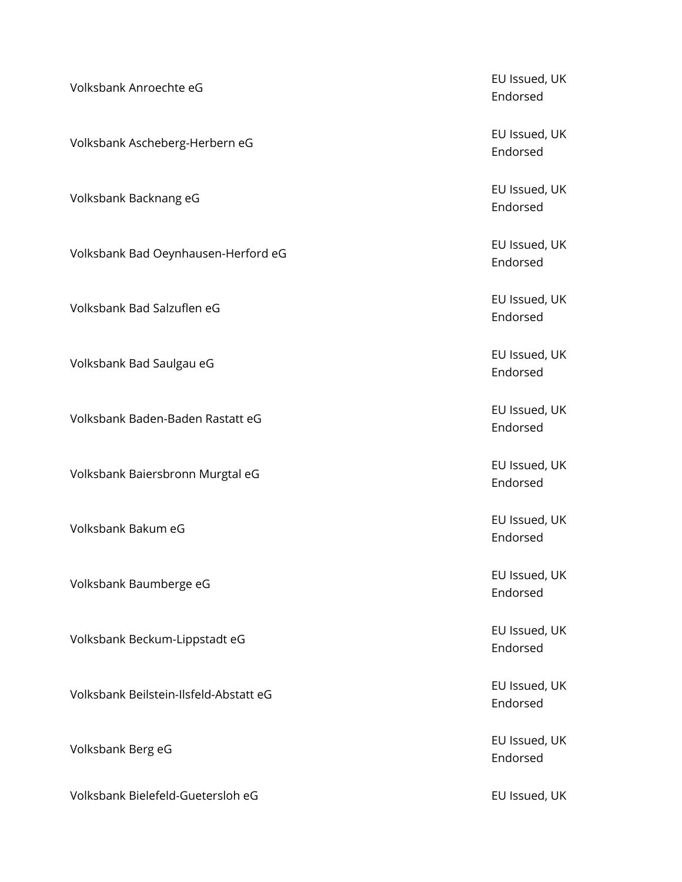| Volksbank Anroechte eG                 | EU Issued, UK<br>Endorsed |
|----------------------------------------|---------------------------|
| Volksbank Ascheberg-Herbern eG         | EU Issued, UK<br>Endorsed |
| Volksbank Backnang eG                  | EU Issued, UK<br>Endorsed |
| Volksbank Bad Oeynhausen-Herford eG    | EU Issued, UK<br>Endorsed |
| Volksbank Bad Salzuflen eG             | EU Issued, UK<br>Endorsed |
| Volksbank Bad Saulgau eG               | EU Issued, UK<br>Endorsed |
| Volksbank Baden-Baden Rastatt eG       | EU Issued, UK<br>Endorsed |
| Volksbank Baiersbronn Murgtal eG       | EU Issued, UK<br>Endorsed |
| Volksbank Bakum eG                     | EU Issued, UK<br>Endorsed |
| Volksbank Baumberge eG                 | EU Issued, UK<br>Endorsed |
| Volksbank Beckum-Lippstadt eG          | EU Issued, UK<br>Endorsed |
| Volksbank Beilstein-Ilsfeld-Abstatt eG | EU Issued, UK<br>Endorsed |
| Volksbank Berg eG                      | EU Issued, UK             |

Endorsed

Volksbank Bielefeld-Guetersloh eG EU Issued, UK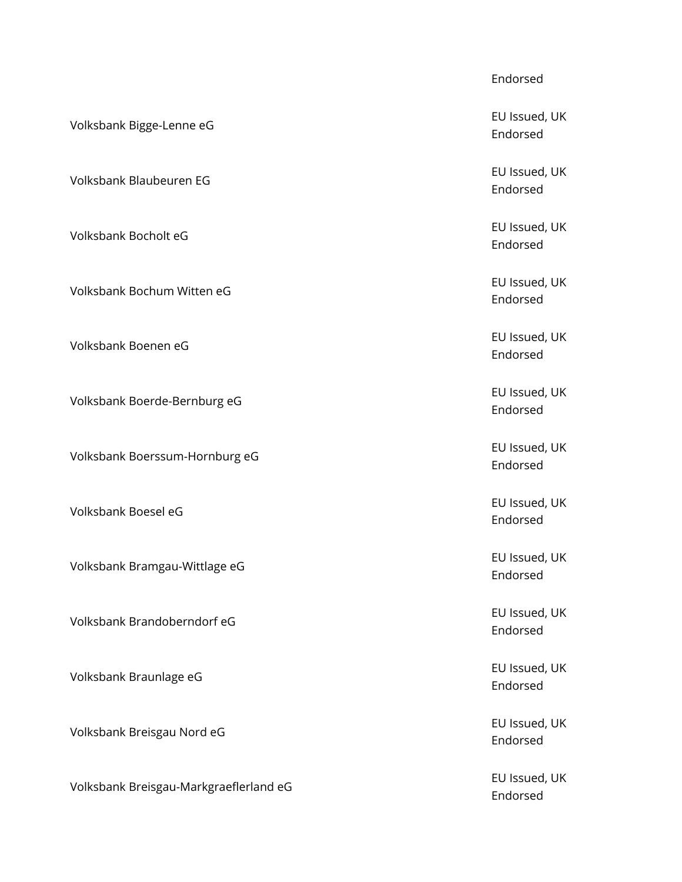Volksbank Bigge-Lenne eG EU Issued, UK and the U Issued, UK and the U Issued, UK Volksbank Blaubeuren EG EU Issued, UK Volksbank Bocholt eG EU Issued, UK Volksbank Bochum Witten eG **EU Issued, UK** Volksbank Boenen eG et al. et al. et al. et al. et al. et al. et al. et al. et al. et al. et al. et al. et al. et a<br>EU Issued, UK Volksbank Boerde-Bernburg eG EU Issued, UK Volksbank Boerssum-Hornburg eG EU Issued, UK Volksbank Boesel eG EU Issued, UK Volksbank Bramgau-Wittlage eG EU Issued, UK Volksbank Brandoberndorf eG EU Issued, UK Volksbank Braunlage eG EU Issued, UK and the U Issued, UK and the U Issued, UK and the U Issued, UK

Volksbank Breisgau Nord eG EU Issued, UK Colksbank Breisgau Nord eG

Volksbank Breisgau-Markgraeflerland eG<br>
Volksbank Breisgau-Markgraeflerland eG

#### Endorsed

Endorsed

Endorsed

Endorsed

Endorsed

Endorsed

Endorsed

Endorsed

Endorsed

Endorsed

Endorsed

Endorsed

Endorsed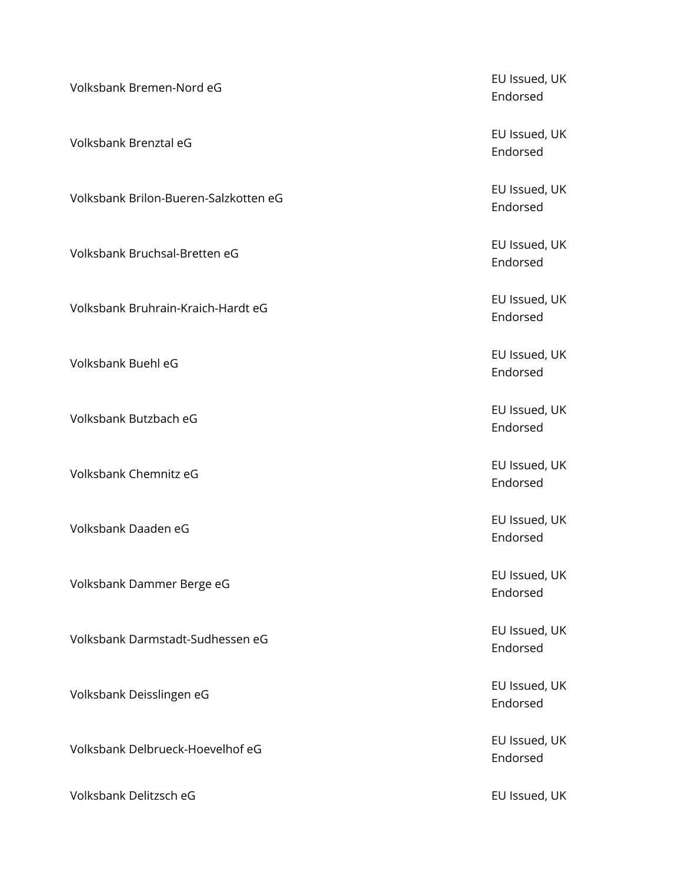| Volksbank Bremen-Nord eG              | EU Issued, UK<br>Endorsed |
|---------------------------------------|---------------------------|
| Volksbank Brenztal eG                 | EU Issued, UK<br>Endorsed |
| Volksbank Brilon-Bueren-Salzkotten eG | EU Issued, UK<br>Endorsed |
| Volksbank Bruchsal-Bretten eG         | EU Issued, UK<br>Endorsed |
| Volksbank Bruhrain-Kraich-Hardt eG    | EU Issued, UK<br>Endorsed |
| Volksbank Buehl eG                    | EU Issued, UK<br>Endorsed |
| Volksbank Butzbach eG                 | EU Issued, UK<br>Endorsed |
| Volksbank Chemnitz eG                 | EU Issued, UK<br>Endorsed |
| Volksbank Daaden eG                   | EU Issued, UK<br>Endorsed |
| Volksbank Dammer Berge eG             | EU Issued, UK<br>Endorsed |
| Volksbank Darmstadt-Sudhessen eG      | EU Issued, UK<br>Endorsed |
| Volksbank Deisslingen eG              | EU Issued, UK<br>Endorsed |
| Volksbank Delbrueck-Hoevelhof eG      | EU Issued, UK<br>Endorsed |
| Volksbank Delitzsch eG                | EU Issued, UK             |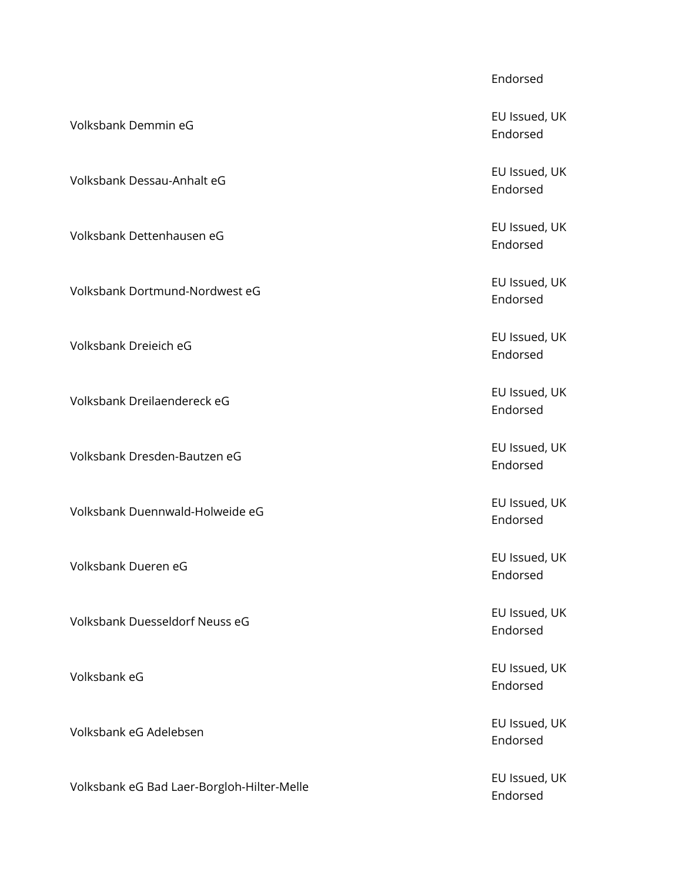Volksbank Demmin eG et al. (2008) which is a set of the EU Issued, UK Volksbank Dessau-Anhalt eG EU Issued, UK Volksbank Dettenhausen eG EU Issued, UK Volksbank Dortmund-Nordwest eG EU Issued, UK Volksbank Dreieich eG EU Issued, UK Volksbank Dreilaendereck eG EU Issued, UK Volksbank Dresden-Bautzen eG EU Issued, UK Volksbank Duennwald-Holweide eG EU Issued, UK Volksbank Dueren eG EU Issued, UK Volksbank Duesseldorf Neuss eG EU Issued, UK Volksbank eG EU Issued, UK

Volksbank eG Bad Laer-Borgloh-Hilter-Melle EU Issued, UK

#### Endorsed

Endorsed

Endorsed

Endorsed

Endorsed

Endorsed

Endorsed

Endorsed

Endorsed

Endorsed

Endorsed

Endorsed

Volksbank eG Adelebsen EU Issued, UK Endorsed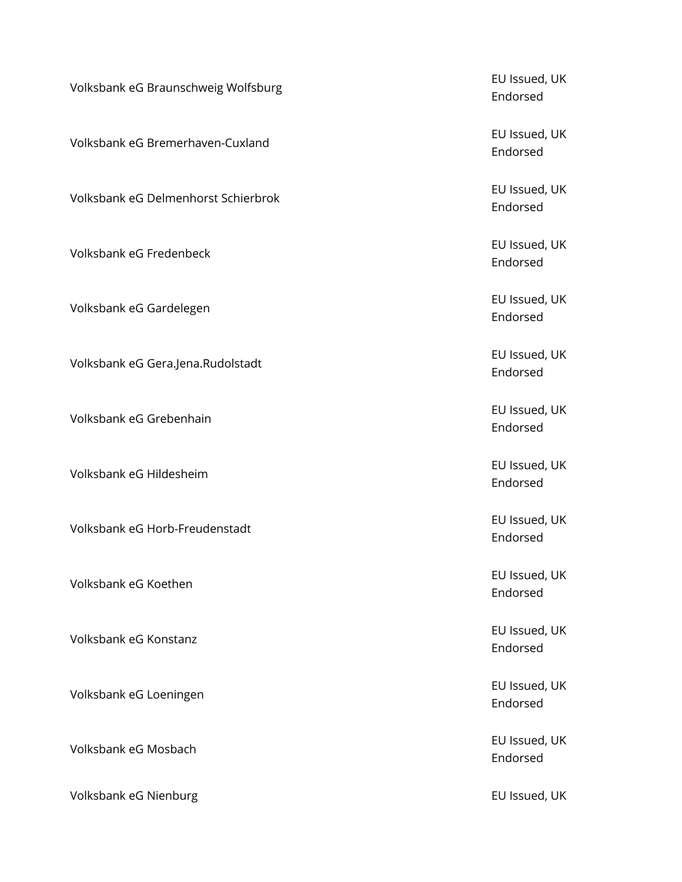Volksbank eG Braunschweig Wolfsburg EU Issued, UK Volksbank eG Bremerhaven-Cuxland EU Issued, UK Volksbank eG Delmenhorst Schierbrok EU Issued, UK Volksbank eG Fredenbeck EU Issued, UK Volksbank eG Gardelegen EU Issued, UK and the U Issued, UK and the U Issued, UK and the U Issued, UK Volksbank eG Gera.Jena.Rudolstadt EU Issued, UK Volksbank eG Grebenhain et al. et al. et al. et al. et al. et al. et al. et al. et al. et al. et al. et al. et<br>Volksbank eG Grebenhain Volksbank eG Hildesheim EU Issued, UK Volksbank eG Horb-Freudenstadt EU Issued, UK Volksbank eG Koethen EU Issued, UK Volksbank eG Konstanz EU Issued, UK Volksbank eG Loeningen EU Issued, UK Volksbank eG Mosbach EU Issued, UK Volksbank eG Nienburg et al. et al. et al. et al. et al. et al. et al. et al. et al. et al. et al. et al. et a

Endorsed

Endorsed

Endorsed

Endorsed

Endorsed

Endorsed

Endorsed

Endorsed

Endorsed

Endorsed

Endorsed

Endorsed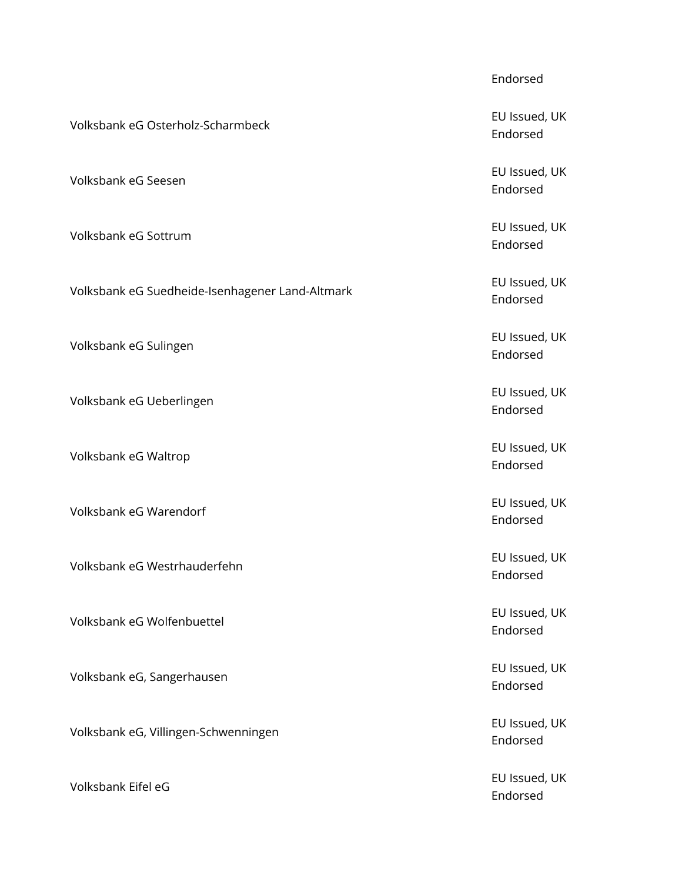|                                                 | Endorsed                  |
|-------------------------------------------------|---------------------------|
| Volksbank eG Osterholz-Scharmbeck               | EU Issued, UK<br>Endorsed |
| Volksbank eG Seesen                             | EU Issued, UK<br>Endorsed |
| Volksbank eG Sottrum                            | EU Issued, UK<br>Endorsed |
| Volksbank eG Suedheide-Isenhagener Land-Altmark | EU Issued, UK<br>Endorsed |
| Volksbank eG Sulingen                           | EU Issued, UK<br>Endorsed |
| Volksbank eG Ueberlingen                        | EU Issued, UK<br>Endorsed |
| Volksbank eG Waltrop                            | EU Issued, UK<br>Endorsed |
| Volksbank eG Warendorf                          | EU Issued, UK<br>Endorsed |
| Volksbank eG Westrhauderfehn                    | EU Issued, UK<br>Endorsed |
| Volksbank eG Wolfenbuettel                      | EU Issued, UK<br>Endorsed |
| Volksbank eG, Sangerhausen                      | EU Issued, UK<br>Endorsed |
| Volksbank eG, Villingen-Schwenningen            | EU Issued, UK<br>Endorsed |
| Volksbank Eifel eG                              | EU Issued, UK<br>Endorcod |

Endorsed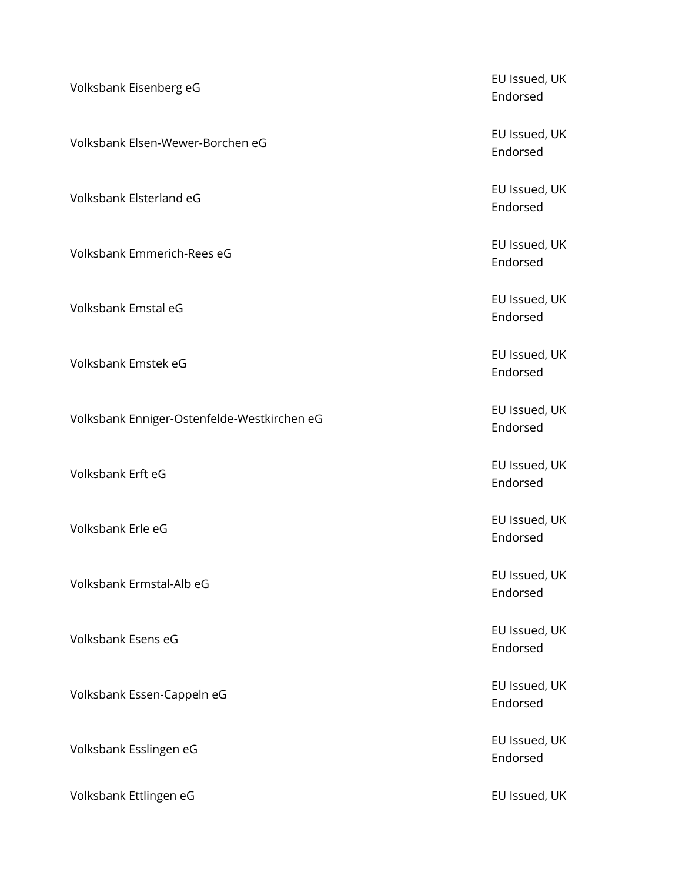Volksbank Eisenberg eG EU Issued, UK Discovering the U Issued, UK Discovering the EU Issued, UK Volksbank Elsen-Wewer-Borchen eG entitled and the extent of the EU Issued, UK Volksbank Elsterland eG EU Issued, UK Volksbank Emmerich-Rees eG EU Issued, UK Volksbank Emstal eG EU Issued, UK Volksbank Emstek eG EU Issued, UK Volksbank Enniger-Ostenfelde-Westkirchen eG<br>
Volksbank Enniger-Ostenfelde-Westkirchen eG Volksbank Erft eG EU Issued, UK Volksbank Erle eG EU Issued, UK Volksbank Ermstal-Alb eG et al. et al. et al. et al. et al. et al. et al. et al. et al. et al. et al. et al. e<br>EU Issued, UK Volksbank Esens eG EU Issued, UK Volksbank Essen-Cappeln eG EU Issued, UK EU Issued, UK Volksbank Esslingen eG EU Issued, UK Volksbank Ettlingen eG EU Issued, UK

Endorsed

Endorsed

Endorsed

Endorsed

Endorsed

Endorsed

Endorsed

Endorsed

Endorsed

Endorsed

Endorsed

Endorsed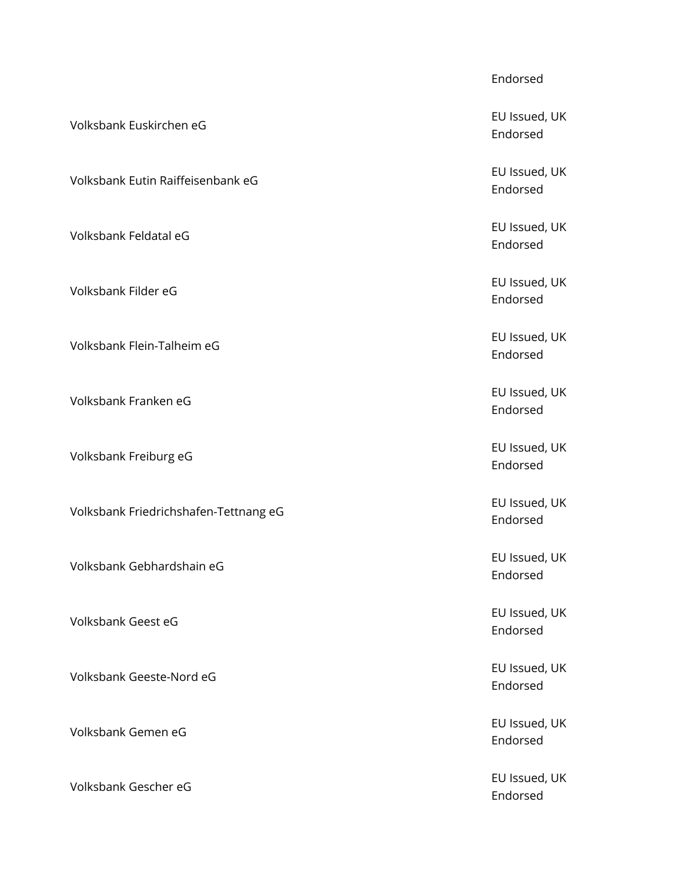Volksbank Euskirchen eG EU Issued, UK Volksbank Eutin Raiffeisenbank eG EU Issued, UK Volksbank Feldatal eG EU Issued, UK Volksbank Filder eG EU Issued, UK Volksbank Flein-Talheim eG<br>
Volksbank Flein-Talheim eG Volksbank Franken eG EU Issued, UK Volksbank Freiburg eG EU Issued, UK Volksbank Friedrichshafen-Tettnang eG EU Issued, UK Volksbank Gebhardshain eG EU Issued, UK Volksbank Geest eG EU Issued, UK Volksbank Geeste-Nord eG EU Issued, UK Volksbank Gemen eG **EU** Issued, UK Volksbank Gescher eG EU Issued, UK

#### Endorsed

Endorsed

Endorsed

Endorsed

Endorsed

Endorsed

Endorsed

Endorsed

Endorsed

Endorsed

Endorsed

Endorsed

Endorsed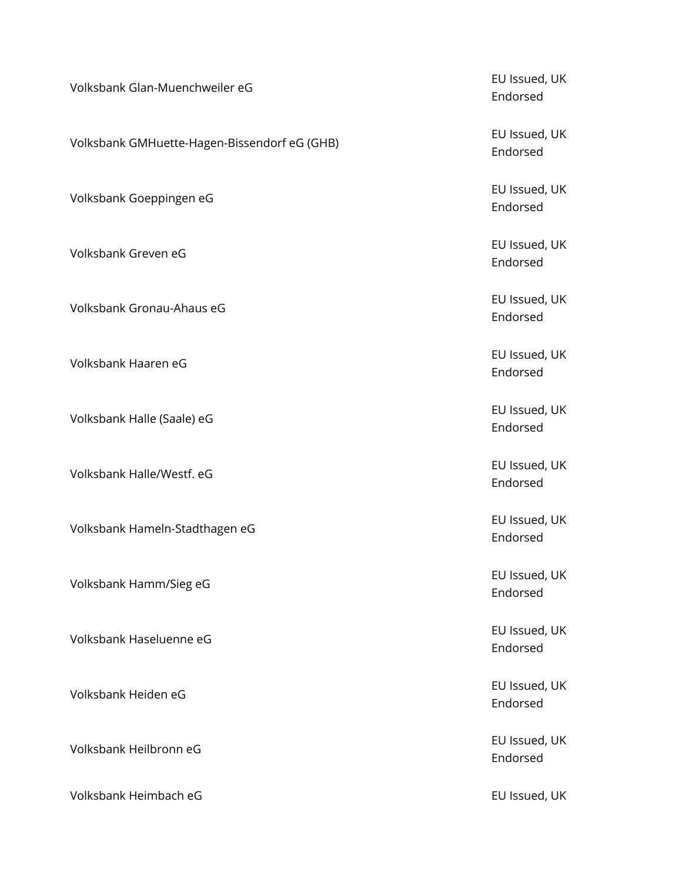Volksbank Glan-Muenchweiler eG EU Issued, UK Volksbank GMHuette-Hagen-Bissendorf eG (GHB) FU Issued, UK Volksbank Goeppingen eG EU Issued, UK Volksbank Greven eG **EU** Issued, UK Volksbank Gronau-Ahaus eG EU Issued, UK Volksbank Haaren eG EU Issued, UK Volksbank Halle (Saale) eG EU Issued, UK EU Issued, UK Volksbank Halle/Westf. eG EU Issued, UK Volksbank Hameln-Stadthagen eG EU Issued, UK Volksbank Hamm/Sieg eG et al. (2008) and the state of the EU Issued, UK of the EU Issued, UK Volksbank Haseluenne eG et al. et al. et al. et al. et al. et al. et al. et al. et al. et al. et al. et al. et<br>EU Issued, UK Volksbank Heiden eG EU Issued, UK Volksbank Heilbronn eG EU Issued, UK

Endorsed

Endorsed

Endorsed

Endorsed

Endorsed

Endorsed

Endorsed

Endorsed

Endorsed

Endorsed

Endorsed

Endorsed

Endorsed

Volksbank Heimbach eG **EU Issued, UK**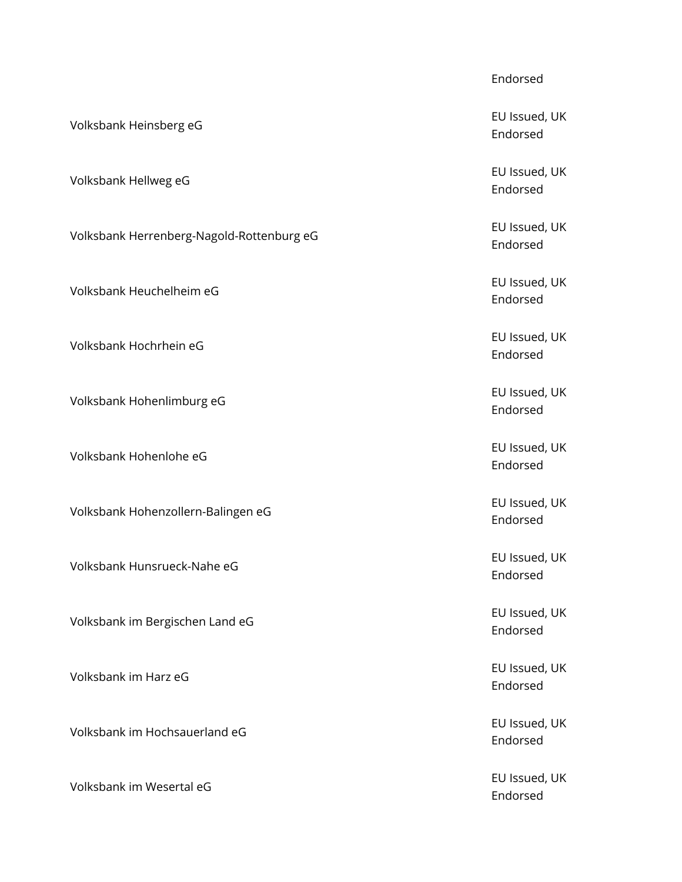Volksbank Heinsberg eG EU Issued, UK Letter and the UK Letter and Text and Text and Text and Text and Text and Text and Text and Text and Text and Text and Text and Text and Text and Text and Text and Text and Text and Tex Volksbank Hellweg eG **EU** Issued, UK Volksbank Herrenberg-Nagold-Rottenburg eG EU Issued, UK Volksbank Heuchelheim eG et al. et al. et al. et al. et al. et al. et al. et al. et al. et al. et al. et al. e<br>EU Issued, UK Volksbank Hochrhein eG EU Issued, UK Volksbank Hohenlimburg eG et al. (2008) and the state of the EU Issued, UK of the EU Issued, UK Volksbank Hohenlohe eG EU Issued, UK Volksbank Hohenzollern-Balingen eG EU Issued, UK Volksbank Hunsrueck-Nahe eG EU Issued, UK Volksbank im Bergischen Land eG<br>
Volksbank im Bergischen Land eG Volksbank im Harz eG EU Issued, UK Volksbank im Hochsauerland eG EU Issued, UK

Volksbank im Wesertal eG EU Issued, UK

#### Endorsed

Endorsed

Endorsed

Endorsed

Endorsed

Endorsed

Endorsed

Endorsed

Endorsed

Endorsed

Endorsed

Endorsed

Endorsed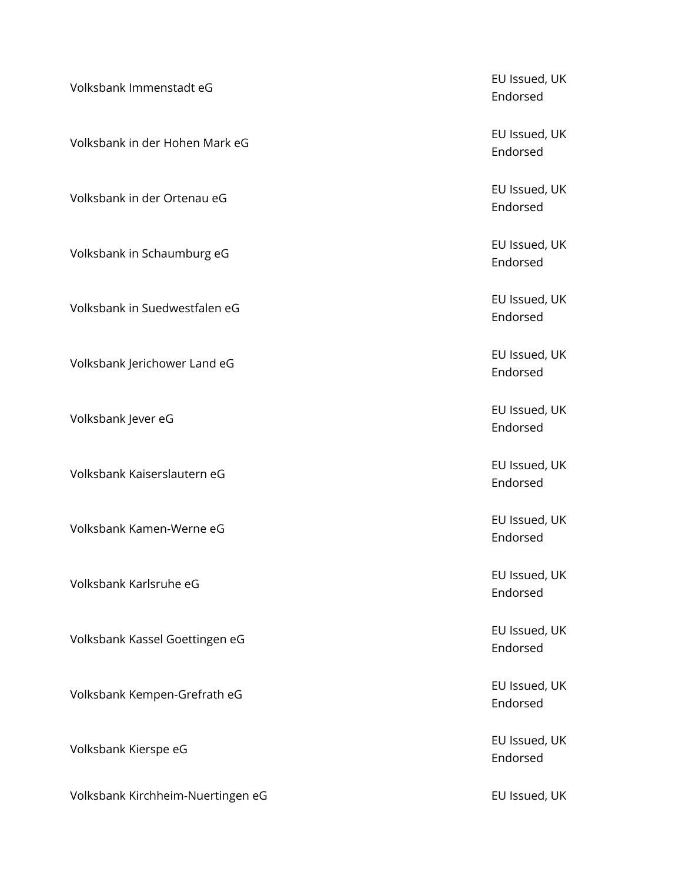Volksbank Immenstadt eG et al. et al. et al. et al. et al. et al. et al. et al. et al. et al. et al. et al. et<br>EU Issued, UK Volksbank in der Hohen Mark eG EU Issued, UK Volksbank in der Ortenau eG EU Issued, UK Volksbank in Schaumburg eG et al. (2008) which we have the state of the EU Issued, UK Volksbank in Suedwestfalen eG EU Issued, UK Volksbank Jerichower Land eG EU Issued, UK Land and the U Issued, UK Land and the U Issued, UK Volksbank Jever eG **EU** Issued, UK Volksbank Kaiserslautern eG EU Issued, UK Volksbank Kamen-Werne eG et al. et al. et al. et al. et al. et al. et al. et al. et al. et al. et al. et al. e Volksbank Karlsruhe eG EU Issued, UK Volksbank Kassel Goettingen eG EU Issued, UK Volksbank Kempen-Grefrath eG EU Issued, UK Volksbank Kierspe eG EU Issued, UK Letter and Security and Security and Security and Security and Security and S Volksbank Kirchheim-Nuertingen eG EU Issued, UK

Endorsed

Endorsed

Endorsed

Endorsed

Endorsed

Endorsed

Endorsed

Endorsed

Endorsed

Endorsed

Endorsed

Endorsed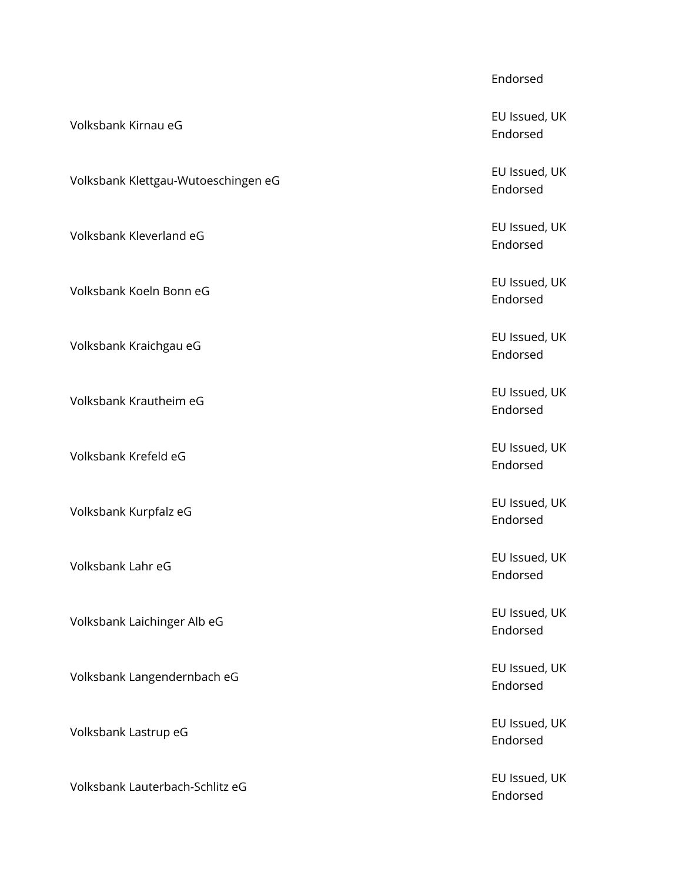|                                     | Endorsed                  |
|-------------------------------------|---------------------------|
| Volksbank Kirnau eG                 | EU Issued, UK<br>Endorsed |
| Volksbank Klettgau-Wutoeschingen eG | EU Issued, UK<br>Endorsed |
| Volksbank Kleverland eG             | EU Issued, UK<br>Endorsed |
| Volksbank Koeln Bonn eG             | EU Issued, UK<br>Endorsed |
| Volksbank Kraichgau eG              | EU Issued, UK<br>Endorsed |
| Volksbank Krautheim eG              | EU Issued, UK<br>Endorsed |
| Volksbank Krefeld eG                | EU Issued, UK<br>Endorsed |
| Volksbank Kurpfalz eG               | EU Issued, UK<br>Endorsed |
| Volksbank Lahr eG                   | EU Issued, UK<br>Endorsed |
| Volksbank Laichinger Alb eG         | EU Issued, UK<br>Endorsed |
| Volksbank Langendernbach eG         | EU Issued, UK<br>Endorsed |
| Volksbank Lastrup eG                | EU Issued, UK<br>Endorsed |
| Volksbank Lauterbach-Schlitz eG     | EU Issued, UK<br>Endorsed |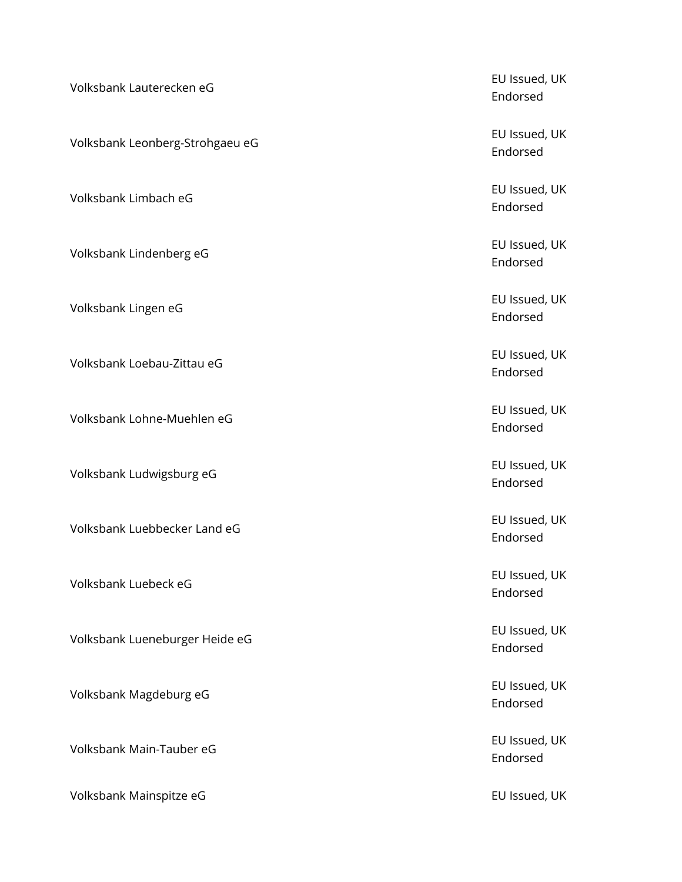Volksbank Lauterecken eG EU Issued, UK Volksbank Leonberg-Strohgaeu eG<br>
Volksbank Leonberg-Strohgaeu eG Volksbank Limbach eG EU Issued, UK Volksbank Lindenberg eG EU Issued, UK Lindenberg eG Volksbank Lingen eG EU Issued, UK and the U Issued, UK and the U Issued, UK and the U Issued, UK Volksbank Loebau-Zittau eG EU Issued, UK Volksbank Lohne-Muehlen eG EU Issued, UK Volksbank Ludwigsburg eG et al. (2008) and the state of the EU Issued, UK of the EU Issued, UK Volksbank Luebbecker Land eG EU Issued, UK Volksbank Luebeck eG EU Issued, UK Volksbank Lueneburger Heide eG EU Issued, UK Lueneburger Heide eG Volksbank Magdeburg eG EU Issued, UK Diskup and Magdeburg eG EU Issued, UK Volksbank Main-Tauber eG EU Issued, UK Volksbank Mainspitze eG entitled and the extent of the EU Issued, UK

Endorsed

Endorsed

Endorsed

Endorsed

Endorsed

Endorsed

Endorsed

Endorsed

Endorsed

Endorsed

Endorsed

Endorsed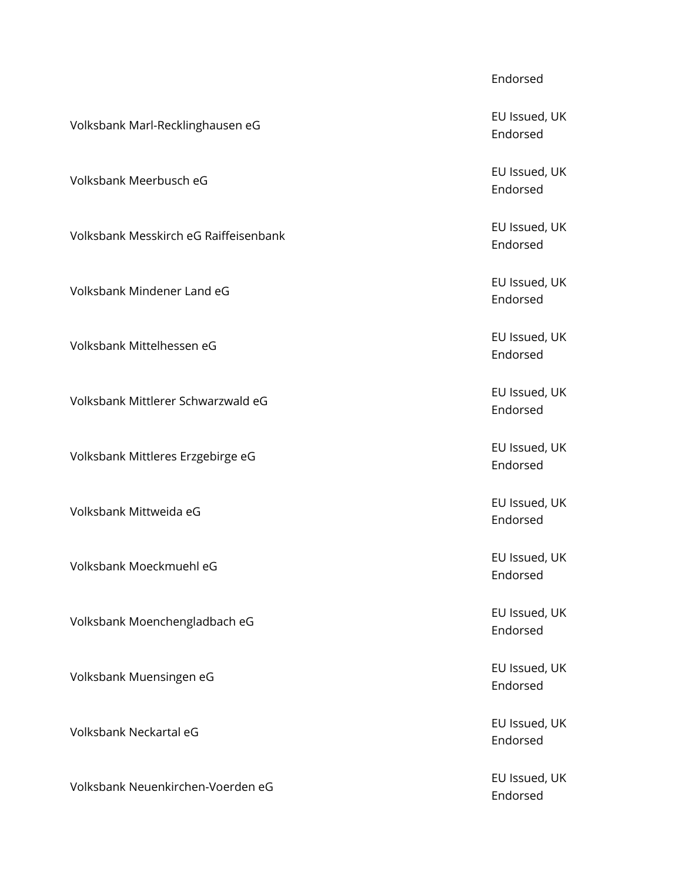Volksbank Meerbusch eG EU Issued, UK Volksbank Messkirch eG Raiffeisenbank EU Issued, UK Volksbank Mindener Land eG EU Issued, UK Volksbank Mittelhessen eG EU Issued, UK Volksbank Mittlerer Schwarzwald eG EU Issued, UK Volksbank Mittleres Erzgebirge eG EU Issued, UK Volksbank Mittweida eG EU Issued, UK Volksbank Moeckmuehl eG et al. et al. et al. et al. et al. et al. et al. et al. et al. et al. et al. et al. et<br>EU Issued, UK Volksbank Moenchengladbach eG EU Issued, UK Volksbank Muensingen eG EU Issued, UK Diskups and EU Issued, UK Volksbank Neckartal eG EU Issued, UK

Volksbank Neuenkirchen-Voerden eG EU Issued, UK

#### Endorsed

Volksbank Marl-Recklinghausen eG EU Issued, UK Endorsed

Endorsed

Endorsed

Endorsed

Endorsed

Endorsed

Endorsed

Endorsed

Endorsed

Endorsed

Endorsed

Endorsed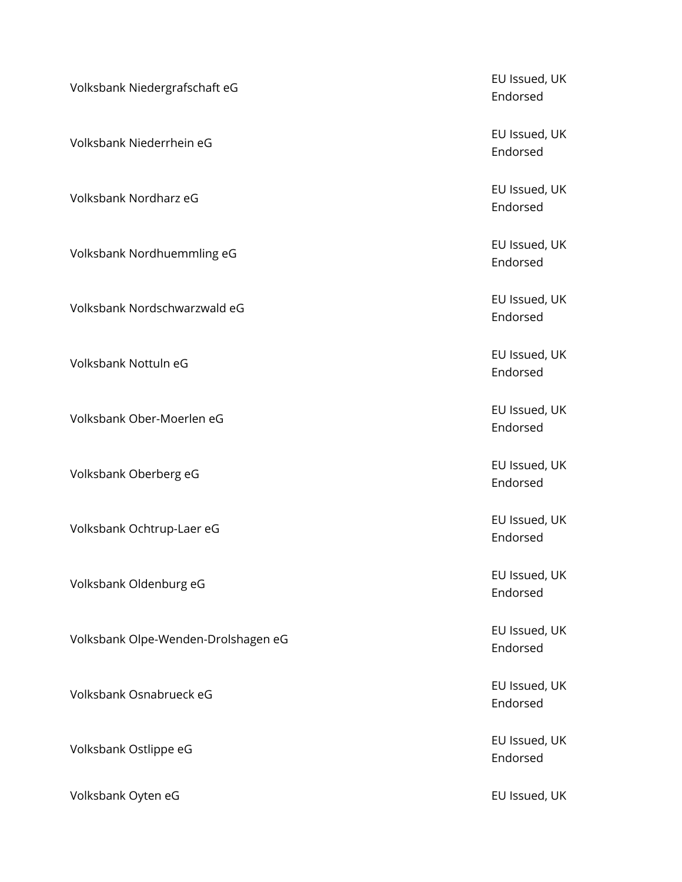Volksbank Niedergrafschaft eG EU Issued, UK Volksbank Niederrhein eG EU Issued, UK Volksbank Nordharz eG EU Issued, UK Volksbank Nordhuemmling eG et al. (2008) and the state of the EU Issued, UK of the EU Issued, UK Volksbank Nordschwarzwald eG EU Issued, UK Volksbank Nottuln eG **EU** Issued, UK Volksbank Ober-Moerlen eG EU Issued, UK Volksbank Oberberg eG EU Issued, UK Discovering the U Issued, UK Volksbank Ochtrup-Laer eG EU Issued, UK Later and the UK Later and Telecommunication of the EU Issued, UK Volksbank Oldenburg eG EU Issued, UK Volksbank Olpe-Wenden-Drolshagen eG EU Issued, UK Volksbank Osnabrueck eG EU Issued, UK Volksbank Ostlippe eG EU Issued, UK Volksbank Oyten eG **EU Issued, UK** 

Endorsed

Endorsed

Endorsed

Endorsed

Endorsed

Endorsed

Endorsed

Endorsed

Endorsed

Endorsed

Endorsed

Endorsed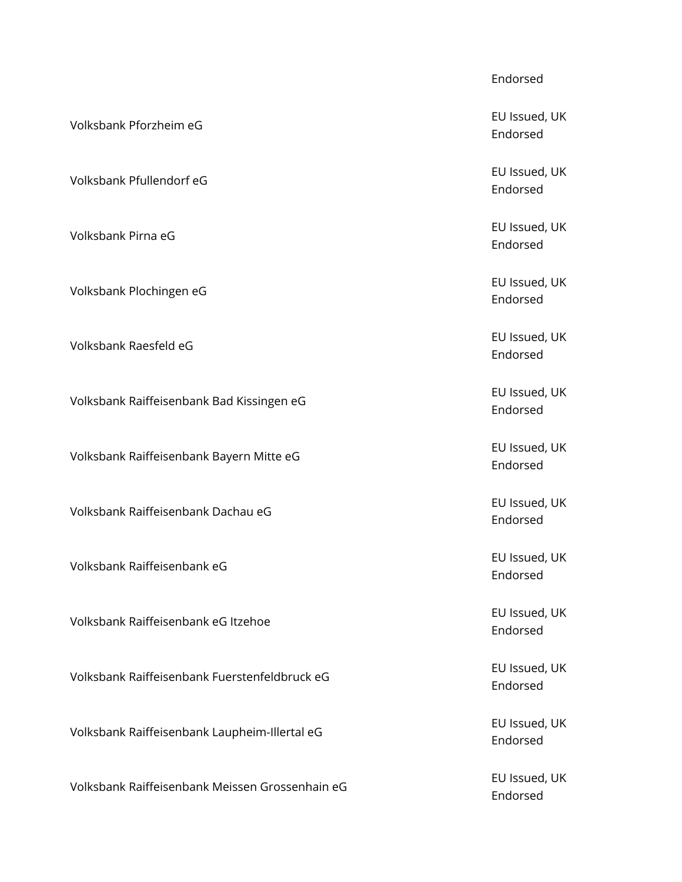Volksbank Pforzheim eG EU Issued, UK Volksbank Pfullendorf eG EU Issued, UK Volksbank Pirna eG EU Issued, UK Volksbank Plochingen eG EU Issued, UK Volksbank Raesfeld eG EU Issued, UK Volksbank Raiffeisenbank Bad Kissingen eG<br>
Volksbank Raiffeisenbank Bad Kissingen eG Volksbank Raiffeisenbank Bayern Mitte eG<br>The EU Issued, UK Volksbank Raiffeisenbank Dachau eG EU Issued, UK Volksbank Raiffeisenbank eG EU Issued, UK Volksbank Raiffeisenbank eG Itzehoe EU Issued, UK Volksbank Raiffeisenbank Fuerstenfeldbruck eG EU Issued, UK Volksbank Raiffeisenbank Laupheim-Illertal eG<br>
Volksbank Raiffeisenbank Laupheim-Illertal eG<br>
The Current of Laupheim entry and the Current of Laupheim end of Laupheim end and the Current of Laupheim end and the UK Volksbank Raiffeisenbank Meissen Grossenhain eG Fernanden Studies and EU Issued, UK

#### Endorsed

Endorsed

Endorsed

Endorsed

Endorsed

Endorsed

Endorsed

Endorsed

Endorsed

Endorsed

Endorsed

Endorsed

Endorsed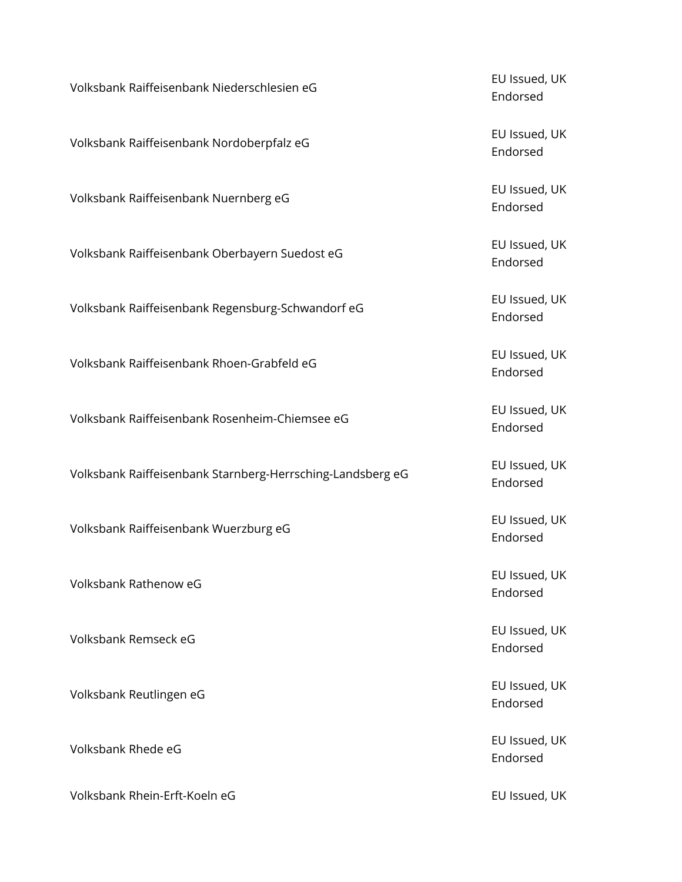Volksbank Raiffeisenbank Niederschlesien eG EU Issued, UK

Volksbank Raiffeisenbank Nordoberpfalz eG<br>
Holksbank Raiffeisenbank Nordoberpfalz eG

Volksbank Raiffeisenbank Nuernberg eG<br>
Volksbank Raiffeisenbank Nuernberg eG<br>
The Current Current Current Current Current Current Current Current Current Current Current Current Current Cu

Volksbank Raiffeisenbank Oberbayern Suedost eG<br>The Culture of the EU Issued, UK

Volksbank Raiffeisenbank Regensburg-Schwandorf eG<br>Later Schwandorf eG

Volksbank Raiffeisenbank Rhoen-Grabfeld eG EU Issued, UK

Volksbank Raiffeisenbank Rosenheim-Chiemsee eG Fulled and EU Issued, UK

Volksbank Raiffeisenbank Starnberg-Herrsching-Landsberg eG EU Issued, UK

Volksbank Raiffeisenbank Wuerzburg eG<br>
Volksbank Raiffeisenbank Wuerzburg eG<br>
The Current Contract of the Current Current Current Current Current Current Current Current Current Current Cu

Volksbank Rathenow eG **EU Issued, UK** 

Volksbank Reutlingen eG EU Issued, UK Letter and The U Issued, UK

Volksbank Rhein-Erft-Koeln eG et al. et al. et al. et al. et al. et al. et al. et al. et al. et al. et al. et a

Endorsed

Endorsed

Endorsed

Endorsed

Endorsed

Endorsed

Endorsed

Endorsed

Endorsed

Endorsed

Volksbank Remseck eG EU Issued, UK Endorsed

Endorsed

Volksbank Rhede eG EU Issued, UK Endorsed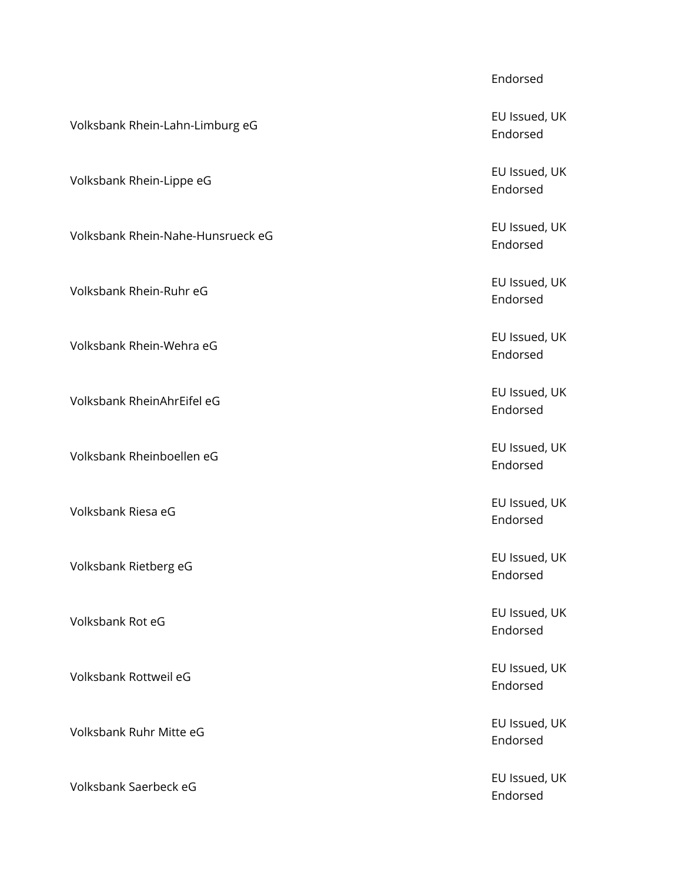| Volksbank Rhein-Lahn-Limburg eG   | EU Issued, UK<br>Endorsed        |
|-----------------------------------|----------------------------------|
| Volksbank Rhein-Lippe eG          | EU Issued, UK<br>Endorsed        |
| Volksbank Rhein-Nahe-Hunsrueck eG | EU Issued, UK<br>Endorsed        |
| Volksbank Rhein-Ruhr eG           | EU Issued, UK<br>Endorsed        |
| Volksbank Rhein-Wehra eG          | EU Issued, UK<br>Endorsed        |
| Volksbank RheinAhrEifel eG        | EU Issued, UK<br>Endorsed        |
| Volksbank Rheinboellen eG         | EU Issued, UK<br>Endorsed        |
| Volksbank Riesa eG                | EU Issued, UK<br>Endorsed        |
| Volksbank Rietberg eG             | EU Issued, UK<br>Endorsed        |
| Volksbank Rot eG                  | EU Issued, UK<br>Endorsed        |
| Volksbank Rottweil eG             | EU Issued, UK<br>Endorsed        |
| Volksbank Ruhr Mitte eG           | EU Issued, UK<br>Endorsed        |
| Volksbank Saerbeck eG             | EU Issued, UK<br><b>Endorsed</b> |

#### Endorsed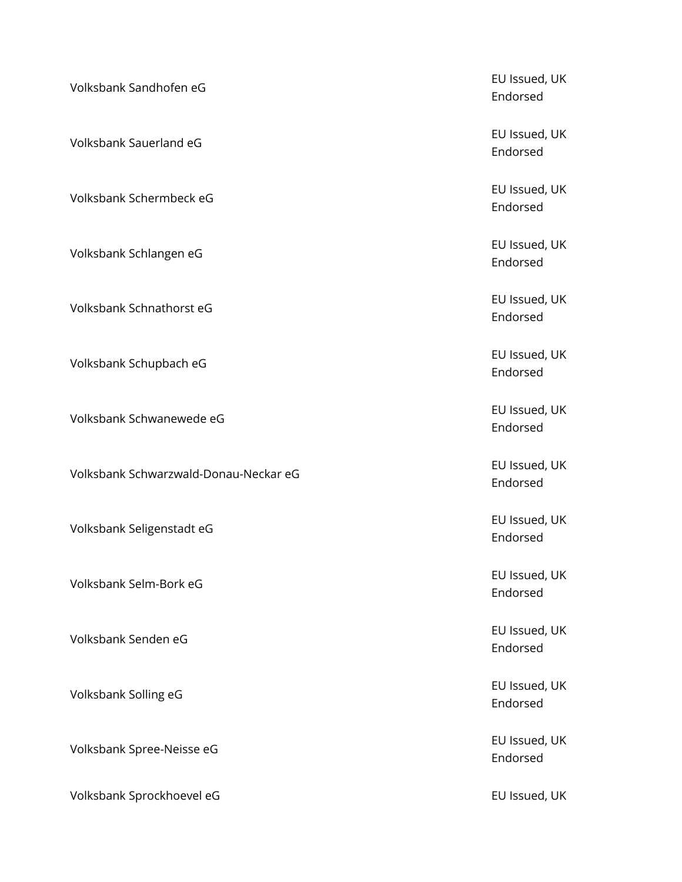| Volksbank Sandhofen eG                | EU Issued, UK<br>Endorsed |
|---------------------------------------|---------------------------|
| Volksbank Sauerland eG                | EU Issued, UK<br>Endorsed |
| Volksbank Schermbeck eG               | EU Issued, UK<br>Endorsed |
| Volksbank Schlangen eG                | EU Issued, UK<br>Endorsed |
| Volksbank Schnathorst eG              | EU Issued, UK<br>Endorsed |
| Volksbank Schupbach eG                | EU Issued, UK<br>Endorsed |
| Volksbank Schwanewede eG              | EU Issued, UK<br>Endorsed |
| Volksbank Schwarzwald-Donau-Neckar eG | EU Issued, UK<br>Endorsed |
| Volksbank Seligenstadt eG             | EU Issued, UK<br>Endorsed |
| Volksbank Selm-Bork eG                | EU Issued, UK<br>Endorsed |
| Volksbank Senden eG                   | EU Issued, UK<br>Endorsed |
| Volksbank Solling eG                  | EU Issued, UK<br>Endorsed |
| Volksbank Spree-Neisse eG             | EU Issued, UK<br>Endorsed |
| Volksbank Sprockhoevel eG             | EU Issued, UK             |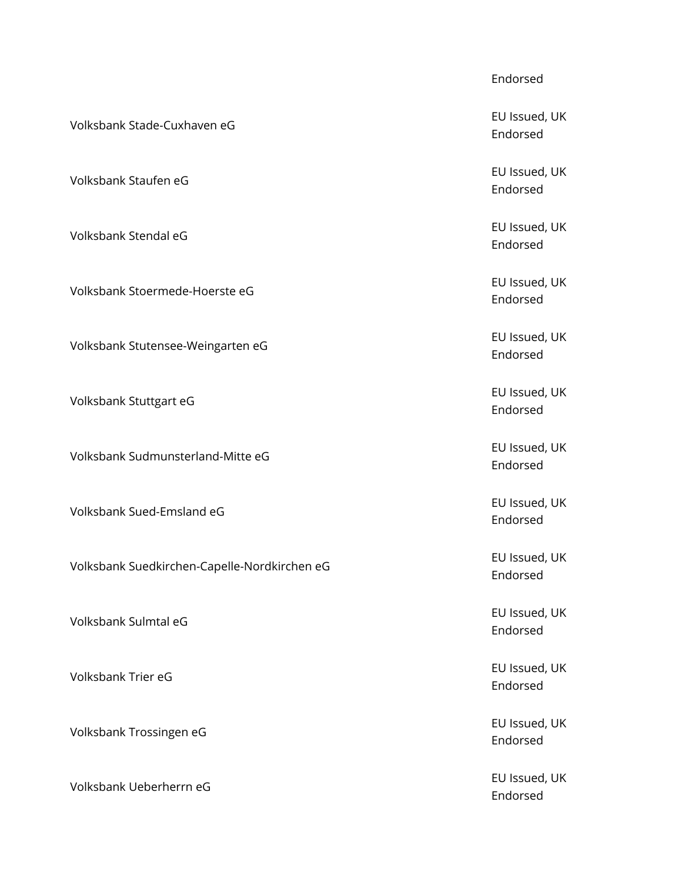Volksbank Stade-Cuxhaven eG EU Issued, UK Volksbank Staufen eG EU Issued, UK Volksbank Stendal eG EU Issued, UK Volksbank Stoermede-Hoerste eG EU Issued, UK Volksbank Stutensee-Weingarten eG<br>
Volksbank Stutensee-Weingarten eG Volksbank Stuttgart eG EU Issued, UK Volksbank Sudmunsterland-Mitte eG Volksbank Sued-Emsland eG Europe and EU Issued, UK Volksbank Suedkirchen-Capelle-Nordkirchen eG<br>The EU Issued, UK Volksbank Sulmtal eG EU Issued, UK Volksbank Trier eG EU Issued, UK Volksbank Trossingen eG EU Issued, UK EU Issued, UK Volksbank Ueberherrn eG EU Issued, UK

Endorsed

Endorsed

Endorsed

Endorsed

Endorsed

Endorsed

Endorsed

Endorsed

Endorsed

Endorsed

Endorsed

Endorsed

Endorsed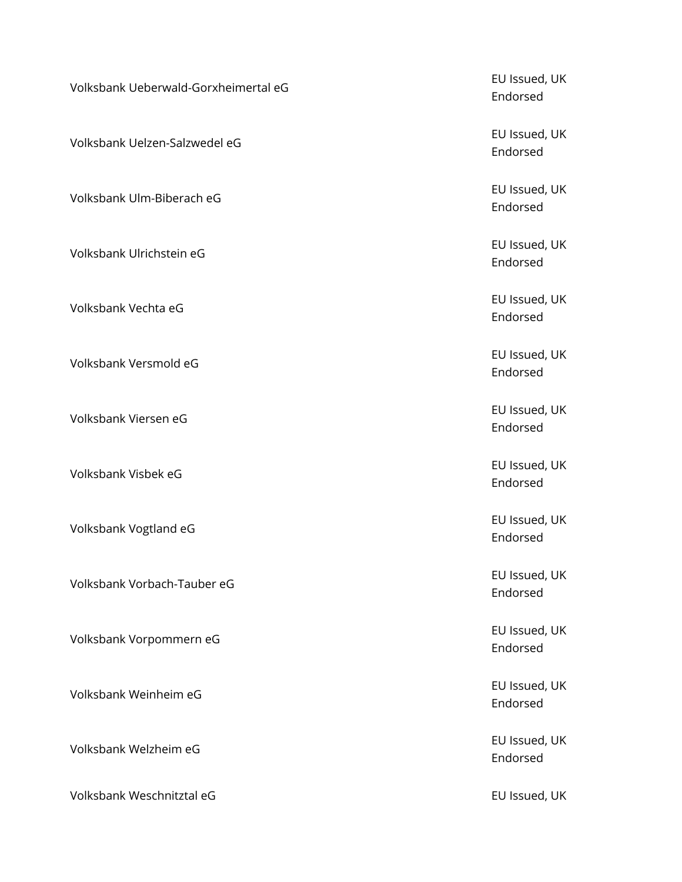| Volksbank Ueberwald-Gorxheimertal eG | EU Issued, UK<br>Endorsed |
|--------------------------------------|---------------------------|
| Volksbank Uelzen-Salzwedel eG        | EU Issued, UK<br>Endorsed |
| Volksbank Ulm-Biberach eG            | EU Issued, UK<br>Endorsed |
| Volksbank Ulrichstein eG             | EU Issued, UK<br>Endorsed |
| Volksbank Vechta eG                  | EU Issued, UK<br>Endorsed |
| Volksbank Versmold eG                | EU Issued, UK<br>Endorsed |
| Volksbank Viersen eG                 | EU Issued, UK<br>Endorsed |
| Volksbank Visbek eG                  | EU Issued, UK<br>Endorsed |
| Volksbank Vogtland eG                | EU Issued, UK<br>Endorsed |
| Volksbank Vorbach-Tauber eG          | EU Issued, UK<br>Endorsed |
| Volksbank Vorpommern eG              | EU Issued, UK<br>Endorsed |
| Volksbank Weinheim eG                | EU Issued, UK<br>Endorsed |
| Volksbank Welzheim eG                | EU Issued, UK<br>Endorsed |
| Volksbank Weschnitztal eG            | EU Issued, UK             |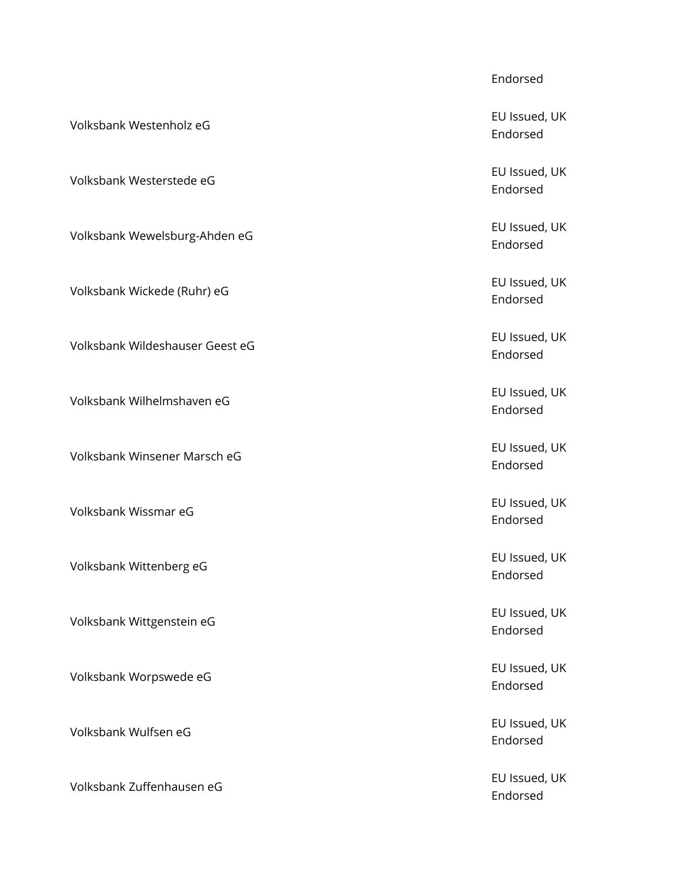Volksbank Westenholz eG EU Issued, UK Volksbank Westerstede eG EU Issued, UK Volksbank Wewelsburg-Ahden eG EU Issued, UK Volksbank Wickede (Ruhr) eG EU Issued, UK EU Issued, UK Volksbank Wildeshauser Geest eG EU Issued, UK Volksbank Wilhelmshaven eG EU Issued, UK Volksbank Winsener Marsch eG EU Issued, UK Volksbank Wissmar eG **EU Issued, UK** Volksbank Wittenberg eG EU Issued, UK Volksbank Wittgenstein eG<br>
Volksbank Wittgenstein eG Volksbank Worpswede eG entitled and the state of the EU Issued, UK of the EU Issued, UK Volksbank Wulfsen eG **EU Issued, UK** 

Volksbank Zuffenhausen eG EU Issued, UK

#### Endorsed

Endorsed

Endorsed

Endorsed

Endorsed

Endorsed

Endorsed

Endorsed

Endorsed

Endorsed

Endorsed

Endorsed

Endorsed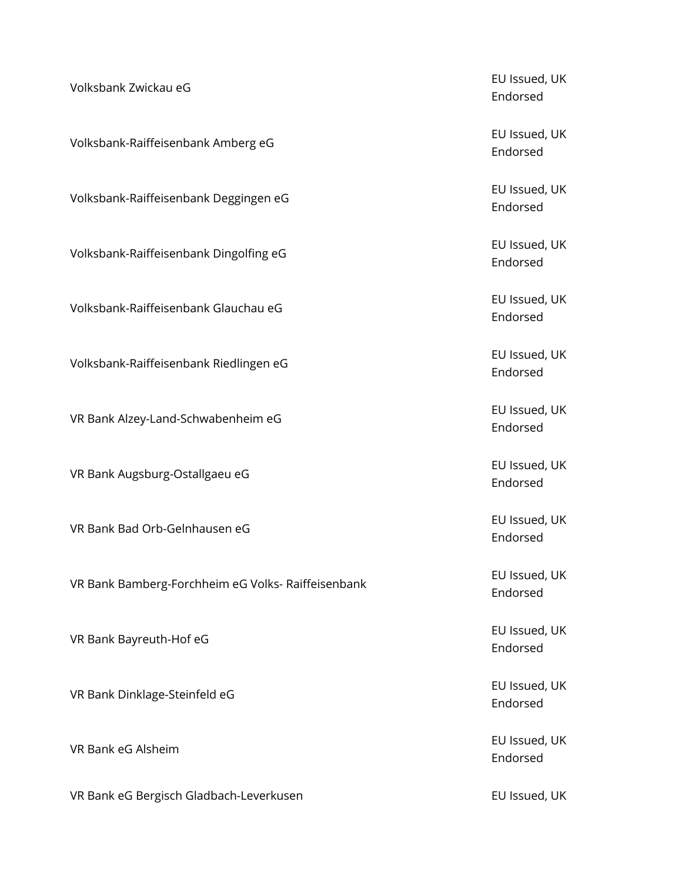| Volksbank Zwickau eG                               | EU Issued, UK<br>Endorsed |
|----------------------------------------------------|---------------------------|
| Volksbank-Raiffeisenbank Amberg eG                 | EU Issued, UK<br>Endorsed |
| Volksbank-Raiffeisenbank Deggingen eG              | EU Issued, UK<br>Endorsed |
| Volksbank-Raiffeisenbank Dingolfing eG             | EU Issued, UK<br>Endorsed |
| Volksbank-Raiffeisenbank Glauchau eG               | EU Issued, UK<br>Endorsed |
| Volksbank-Raiffeisenbank Riedlingen eG             | EU Issued, UK<br>Endorsed |
| VR Bank Alzey-Land-Schwabenheim eG                 | EU Issued, UK<br>Endorsed |
| VR Bank Augsburg-Ostallgaeu eG                     | EU Issued, UK<br>Endorsed |
| VR Bank Bad Orb-Gelnhausen eG                      | EU Issued, UK<br>Endorsed |
| VR Bank Bamberg-Forchheim eG Volks- Raiffeisenbank | EU Issued, UK<br>Endorsed |
| VR Bank Bayreuth-Hof eG                            | EU Issued, UK<br>Endorsed |
| VR Bank Dinklage-Steinfeld eG                      | EU Issued, UK<br>Endorsed |
| VR Bank eG Alsheim                                 | EU Issued, UK<br>Endorsed |
| VR Bank eG Bergisch Gladbach-Leverkusen            | EU Issued, UK             |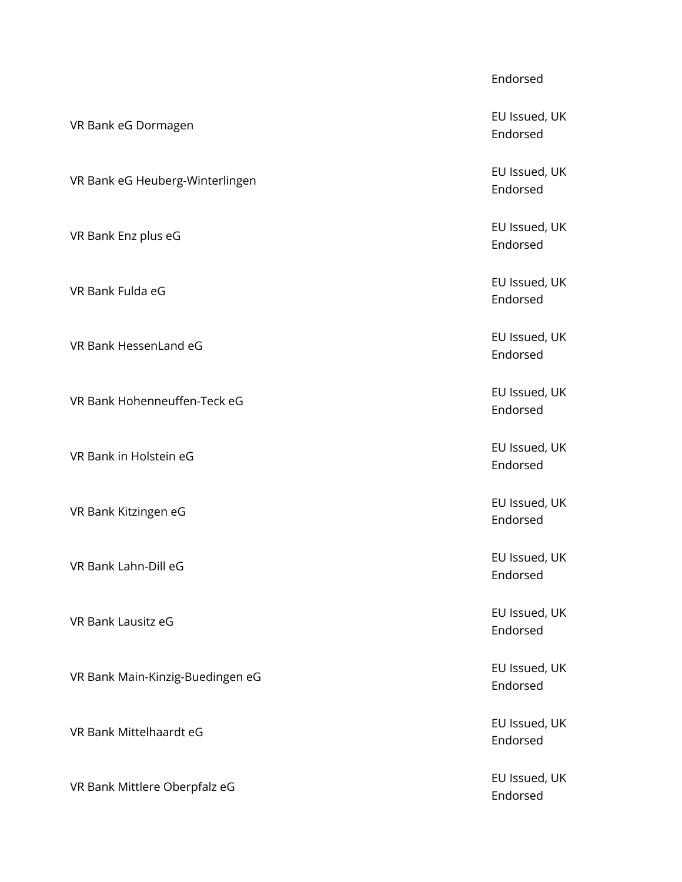VR Bank eG Dormagen EU Issued, UK VR Bank eG Heuberg-Winterlingen EU Issued, UK VR Bank Enz plus eG et al. (2008) and the set of the set of the set of the set of the set of the set of the set of the set of the set of the set of the set of the set of the set of the set of the set of the set of the set VR Bank Fulda eG et al. (2008) and the set of the control of the EU Issued, UK VR Bank HessenLand eG EU Issued, UK VR Bank Hohenneuffen-Teck eG EU Issued, UK VR Bank in Holstein eG et al. (2008) We have the study of the EU Issued, UK VR Bank Kitzingen eG EU Issued, UK VR Bank Lahn-Dill eG **EU Issued, UK** VR Bank Lausitz eG EU Issued, UK VR Bank Main-Kinzig-Buedingen eG<br>
VR Bank Main-Kinzig-Buedingen eG VR Bank Mittelhaardt eG EU Issued, UK VR Bank Mittlere Oberpfalz eG EU Issued, UK

#### Endorsed

Endorsed

Endorsed

Endorsed

Endorsed

Endorsed

Endorsed

Endorsed

Endorsed

Endorsed

Endorsed

Endorsed

Endorsed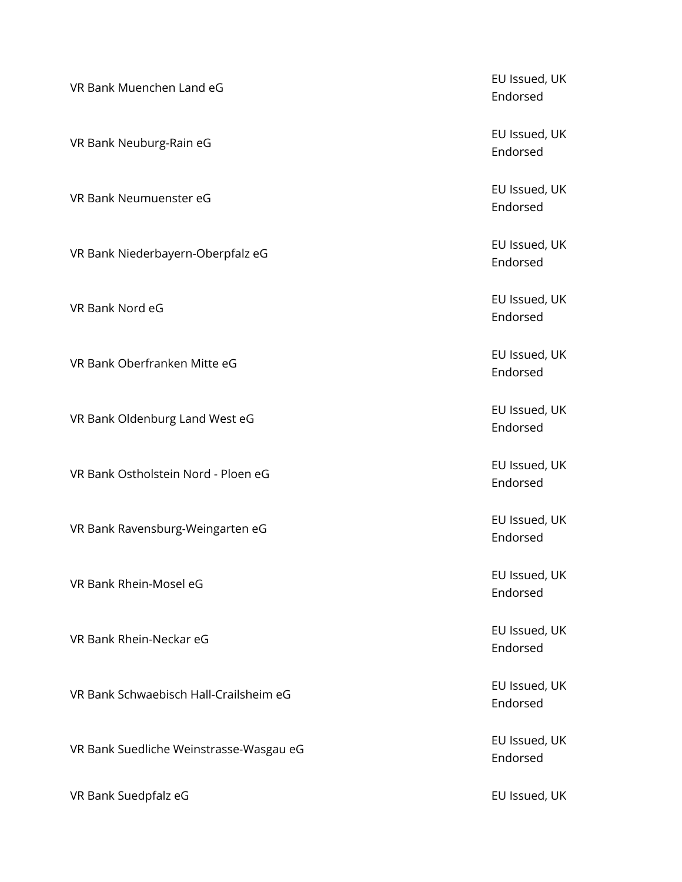VR Bank Muenchen Land eG EU Issued, UK VR Bank Neuburg-Rain eG EU Issued, UK VR Bank Neumuenster eG EU Issued, UK VR Bank Niederbayern-Oberpfalz eG<br>
VR Bank Niederbayern-Oberpfalz eG VR Bank Nord eG **EU** Issued, UK VR Bank Oberfranken Mitte eG EU Issued, UK VR Bank Oldenburg Land West eG<br>
VR Bank Oldenburg Land West eG VR Bank Ostholstein Nord - Ploen eG EU Issued, UK VR Bank Ravensburg-Weingarten eG<br>
VR Bank Ravensburg-Weingarten eG VR Bank Rhein-Mosel eG EU Issued, UK VR Bank Rhein-Neckar eG EU Issued, UK VR Bank Schwaebisch Hall-Crailsheim eG EU Issued, UK VR Bank Suedliche Weinstrasse-Wasgau eG<br>
VR Bank Suedliche Weinstrasse-Wasgau eG VR Bank Suedpfalz eG **EU Issued, UK** 

Endorsed

Endorsed

Endorsed

Endorsed

Endorsed

Endorsed

Endorsed

Endorsed

Endorsed

Endorsed

Endorsed

Endorsed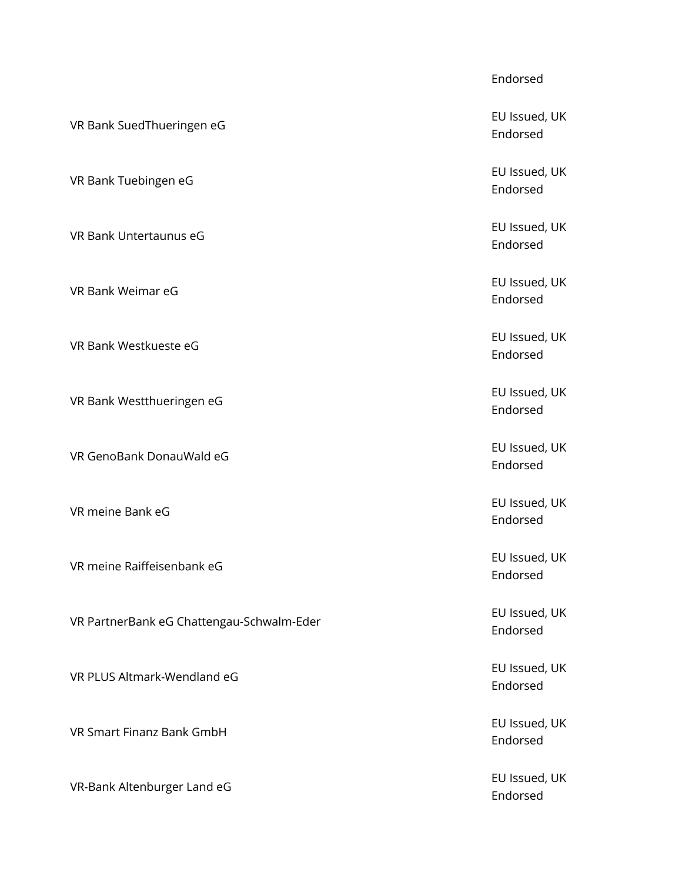VR Bank SuedThueringen eG<br>
VR Bank SuedThueringen eG VR Bank Tuebingen eG EU Issued, UK VR Bank Untertaunus eG et al. et al. et al. et al. et al. et al. et al. et al. et al. et al. et al. et al. et a VR Bank Weimar eG **EU Issued, UK** VR Bank Westkueste eG EU Issued, UK VR Bank Westthueringen eG<br>
VR Bank Westthueringen eG VR GenoBank DonauWald eG EU Issued, UK VR meine Bank eG **EU Issued, UK** VR meine Raiffeisenbank eG et al. EU Issued, UK VR PartnerBank eG Chattengau-Schwalm-Eder EU Issued, UK VR PLUS Altmark-Wendland eG EU Issued, UK VR Smart Finanz Bank GmbH EU Issued, UK VR-Bank Altenburger Land eG EU Issued, UK

Endorsed

Endorsed

Endorsed

Endorsed

Endorsed

Endorsed

Endorsed

Endorsed

Endorsed

Endorsed

Endorsed

Endorsed

Endorsed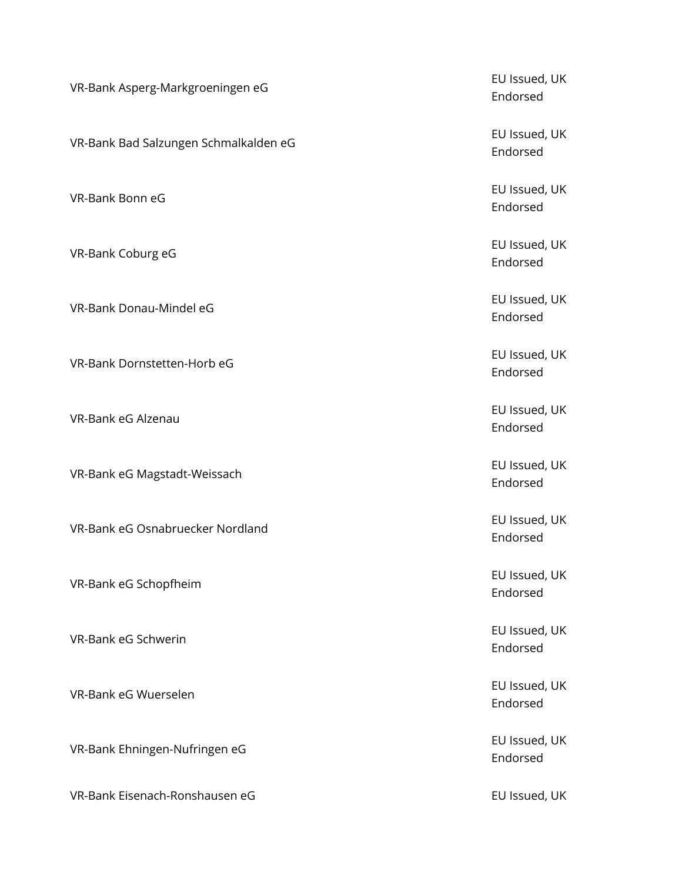| VR-Bank Asperg-Markgroeningen eG      | EU Issued, UK<br>Endorsed |
|---------------------------------------|---------------------------|
| VR-Bank Bad Salzungen Schmalkalden eG | EU Issued, UK<br>Endorsed |
| VR-Bank Bonn eG                       | EU Issued, UK<br>Endorsed |
| VR-Bank Coburg eG                     | EU Issued, UK<br>Endorsed |
| VR-Bank Donau-Mindel eG               | EU Issued, UK<br>Endorsed |
| VR-Bank Dornstetten-Horb eG           | EU Issued, UK<br>Endorsed |
| VR-Bank eG Alzenau                    | EU Issued, UK<br>Endorsed |
| VR-Bank eG Magstadt-Weissach          | EU Issued, UK<br>Endorsed |
| VR-Bank eG Osnabruecker Nordland      | EU Issued, UK<br>Endorsed |
| VR-Bank eG Schopfheim                 | EU Issued, UK<br>Endorsed |
| VR-Bank eG Schwerin                   | EU Issued, UK<br>Endorsed |
| VR-Bank eG Wuerselen                  | EU Issued, UK<br>Endorsed |
| VR-Bank Ehningen-Nufringen eG         | EU Issued, UK<br>Endorsed |
| VR-Bank Eisenach-Ronshausen eG        | EU Issued, UK             |

Endorsed Endorsed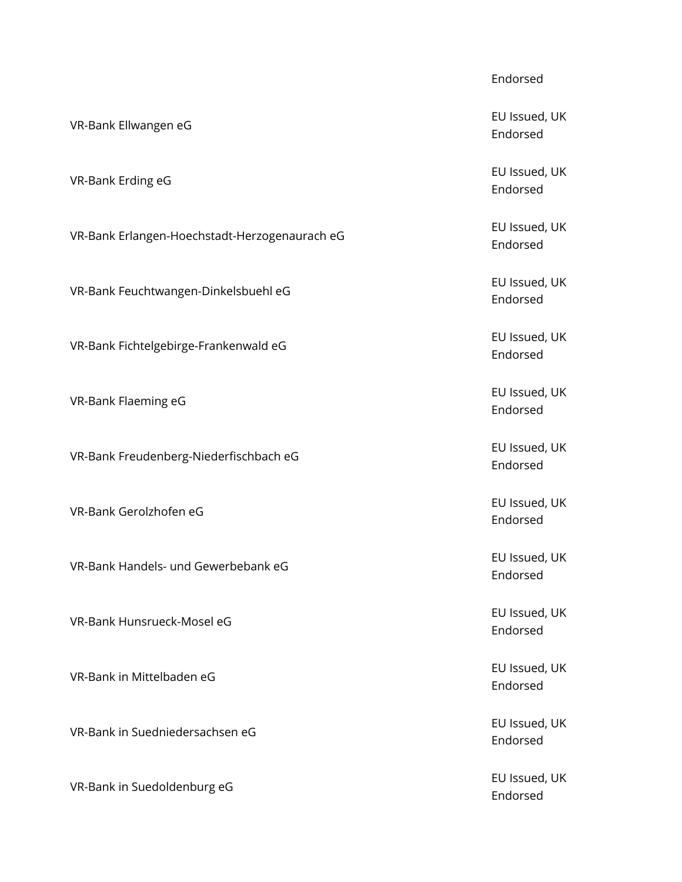VR-Bank Ellwangen eG et al. et al. et al. et al. et al. et al. et al. et al. et al. et al. et al. et al. et al. et al. et al. et al. et al. et al. et al. et al. et al. et al. et al. et al. et al. et al. et al. et al. et al VR-Bank Erding eG **EU** Issued, UK VR-Bank Erlangen-Hoechstadt-Herzogenaurach eG<br>
U Issued, UK VR-Bank Feuchtwangen-Dinkelsbuehl eG<br>
VR-Bank Feuchtwangen-Dinkelsbuehl eG VR-Bank Fichtelgebirge-Frankenwald eG EU Issued, UK VR-Bank Flaeming eG **EU** Issued, UK VR-Bank Freudenberg-Niederfischbach eG<br>
VR-Bank Freudenberg-Niederfischbach eG<br>
The Current of the Current of the Current of the Current of the Current of the Current of the Current of the Current of the Current of the Cur VR-Bank Gerolzhofen eG EU Issued, UK VR-Bank Handels- und Gewerbebank eG et al. EU Issued, UK VR-Bank Hunsrueck-Mosel eG EU Issued, UK VR-Bank in Mittelbaden eG EU Issued, UK VR-Bank in Suedniedersachsen eG EU Issued, UK VR-Bank in Suedoldenburg eG EU Issued, UK

#### Endorsed

Endorsed

Endorsed

Endorsed

Endorsed

Endorsed

Endorsed

Endorsed

Endorsed

Endorsed

Endorsed

Endorsed

Endorsed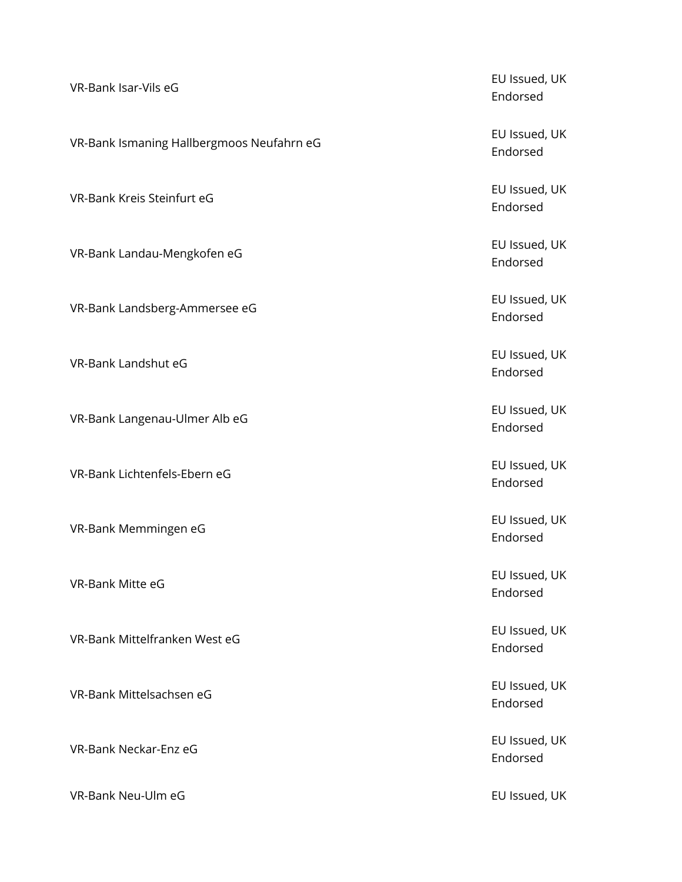| VR-Bank Isar-Vils eG                      | EU Issued, UK<br>Endorsed |
|-------------------------------------------|---------------------------|
| VR-Bank Ismaning Hallbergmoos Neufahrn eG | EU Issued, UK<br>Endorsed |
| VR-Bank Kreis Steinfurt eG                | EU Issued, UK<br>Endorsed |
| VR-Bank Landau-Mengkofen eG               | EU Issued, UK<br>Endorsed |
| VR-Bank Landsberg-Ammersee eG             | EU Issued, UK<br>Endorsed |
| VR-Bank Landshut eG                       | EU Issued, UK<br>Endorsed |
| VR-Bank Langenau-Ulmer Alb eG             | EU Issued, UK<br>Endorsed |
| VR-Bank Lichtenfels-Ebern eG              | EU Issued, UK<br>Endorsed |
| VR-Bank Memmingen eG                      | EU Issued, UK<br>Endorsed |
| VR-Bank Mitte eG                          | EU Issued, UK<br>Endorsed |
| VR-Bank Mittelfranken West eG             | EU Issued, UK<br>Endorsed |
| VR-Bank Mittelsachsen eG                  | EU Issued, UK<br>Endorsed |
| VR-Bank Neckar-Enz eG                     | EU Issued, UK<br>Endorsed |
|                                           |                           |

VR-Bank Neu-Ulm eG **EU** Issued, UK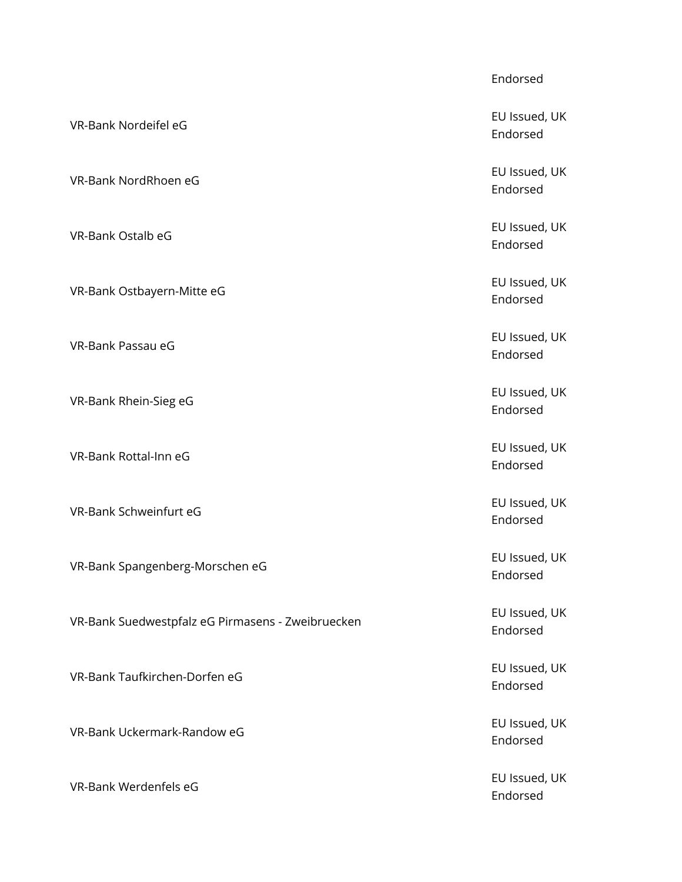|                                                   | Endorsed                  |
|---------------------------------------------------|---------------------------|
| VR-Bank Nordeifel eG                              | EU Issued, UK<br>Endorsed |
| VR-Bank NordRhoen eG                              | EU Issued, UK<br>Endorsed |
| VR-Bank Ostalb eG                                 | EU Issued, UK<br>Endorsed |
| VR-Bank Ostbayern-Mitte eG                        | EU Issued, UK<br>Endorsed |
| VR-Bank Passau eG                                 | EU Issued, UK<br>Endorsed |
| VR-Bank Rhein-Sieg eG                             | EU Issued, UK<br>Endorsed |
| VR-Bank Rottal-Inn eG                             | EU Issued, UK<br>Endorsed |
| VR-Bank Schweinfurt eG                            | EU Issued, UK<br>Endorsed |
| VR-Bank Spangenberg-Morschen eG                   | EU Issued, UK<br>Endorsed |
| VR-Bank Suedwestpfalz eG Pirmasens - Zweibruecken | EU Issued, UK<br>Endorsed |
| VR-Bank Taufkirchen-Dorfen eG                     | EU Issued, UK<br>Endorsed |
| VR-Bank Uckermark-Randow eG                       | EU Issued, UK<br>Endorsed |
| VR-Bank Werdenfels eG                             | EU Issued, UK<br>Endorsed |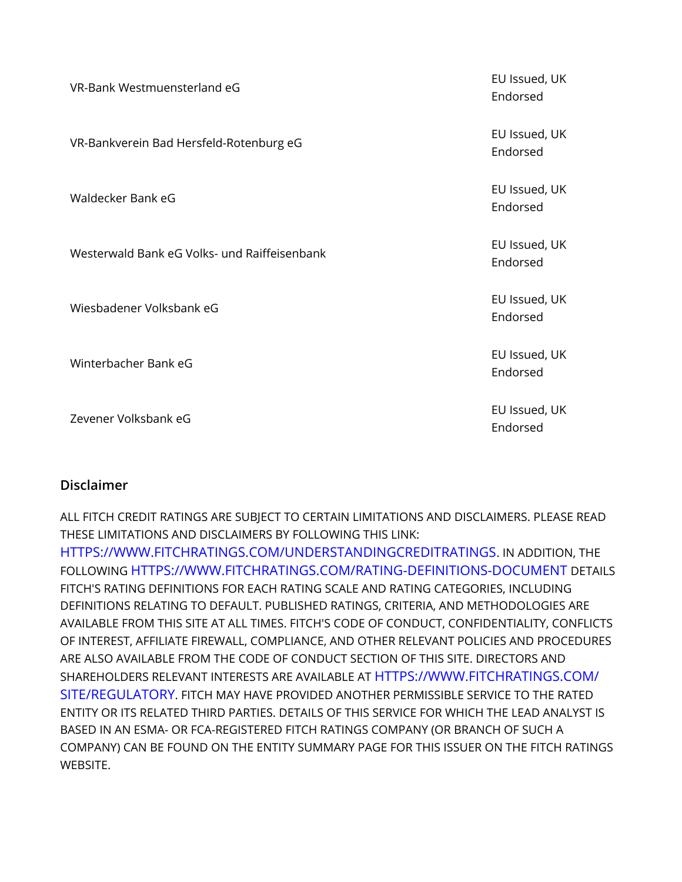| VR-Bank Westmuensterland eG                  | EU Issued, UK<br>Endorsed |
|----------------------------------------------|---------------------------|
| VR-Bankverein Bad Hersfeld-Rotenburg eG      | EU Issued, UK<br>Endorsed |
| Waldecker Bank eG                            | EU Issued, UK<br>Endorsed |
| Westerwald Bank eG Volks- und Raiffeisenbank | EU Issued, UK<br>Endorsed |
| Wiesbadener Volksbank eG                     | EU Issued, UK<br>Endorsed |
| Winterbacher Bank eG                         | EU Issued, UK<br>Endorsed |
| Zevener Volksbank eG                         | EU Issued, UK<br>Endorsed |

## **Disclaimer**

ALL FITCH CREDIT RATINGS ARE SUBJECT TO CERTAIN LIMITATIONS AND DISCLAIMERS. PLEASE READ THESE LIMITATIONS AND DISCLAIMERS BY FOLLOWING THIS LINK: [HTTPS://WWW.FITCHRATINGS.COM/UNDERSTANDINGCREDITRATINGS](https://www.fitchratings.com/UNDERSTANDINGCREDITRATINGS). IN ADDITION, THE FOLLOWING [HTTPS://WWW.FITCHRATINGS.COM/RATING-DEFINITIONS-DOCUMENT](https://www.fitchratings.com/rating-definitions-document) DETAILS FITCH'S RATING DEFINITIONS FOR EACH RATING SCALE AND RATING CATEGORIES, INCLUDING DEFINITIONS RELATING TO DEFAULT. PUBLISHED RATINGS, CRITERIA, AND METHODOLOGIES ARE AVAILABLE FROM THIS SITE AT ALL TIMES. FITCH'S CODE OF CONDUCT, CONFIDENTIALITY, CONFLICTS OF INTEREST, AFFILIATE FIREWALL, COMPLIANCE, AND OTHER RELEVANT POLICIES AND PROCEDURES ARE ALSO AVAILABLE FROM THE CODE OF CONDUCT SECTION OF THIS SITE. DIRECTORS AND SHAREHOLDERS RELEVANT INTERESTS ARE AVAILABLE AT [HTTPS://WWW.FITCHRATINGS.COM/](https://www.fitchratings.com/site/regulatory) [SITE/REGULATORY](https://www.fitchratings.com/site/regulatory). FITCH MAY HAVE PROVIDED ANOTHER PERMISSIBLE SERVICE TO THE RATED ENTITY OR ITS RELATED THIRD PARTIES. DETAILS OF THIS SERVICE FOR WHICH THE LEAD ANALYST IS BASED IN AN ESMA- OR FCA-REGISTERED FITCH RATINGS COMPANY (OR BRANCH OF SUCH A COMPANY) CAN BE FOUND ON THE ENTITY SUMMARY PAGE FOR THIS ISSUER ON THE FITCH RATINGS WEBSITE.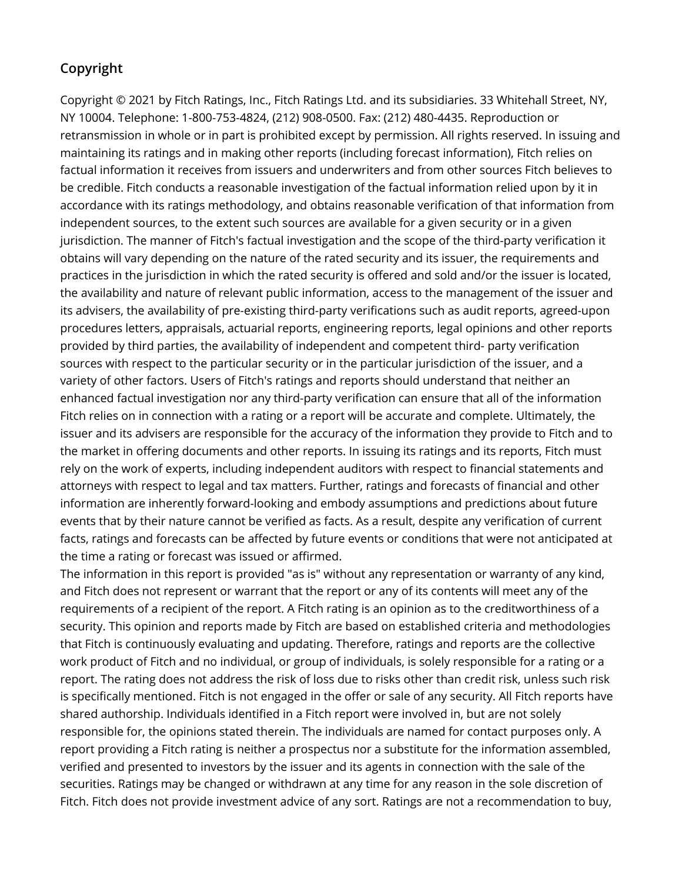## **Copyright**

Copyright © 2021 by Fitch Ratings, Inc., Fitch Ratings Ltd. and its subsidiaries. 33 Whitehall Street, NY, NY 10004. Telephone: 1-800-753-4824, (212) 908-0500. Fax: (212) 480-4435. Reproduction or retransmission in whole or in part is prohibited except by permission. All rights reserved. In issuing and maintaining its ratings and in making other reports (including forecast information), Fitch relies on factual information it receives from issuers and underwriters and from other sources Fitch believes to be credible. Fitch conducts a reasonable investigation of the factual information relied upon by it in accordance with its ratings methodology, and obtains reasonable verification of that information from independent sources, to the extent such sources are available for a given security or in a given jurisdiction. The manner of Fitch's factual investigation and the scope of the third-party verification it obtains will vary depending on the nature of the rated security and its issuer, the requirements and practices in the jurisdiction in which the rated security is offered and sold and/or the issuer is located, the availability and nature of relevant public information, access to the management of the issuer and its advisers, the availability of pre-existing third-party verifications such as audit reports, agreed-upon procedures letters, appraisals, actuarial reports, engineering reports, legal opinions and other reports provided by third parties, the availability of independent and competent third- party verification sources with respect to the particular security or in the particular jurisdiction of the issuer, and a variety of other factors. Users of Fitch's ratings and reports should understand that neither an enhanced factual investigation nor any third-party verification can ensure that all of the information Fitch relies on in connection with a rating or a report will be accurate and complete. Ultimately, the issuer and its advisers are responsible for the accuracy of the information they provide to Fitch and to the market in offering documents and other reports. In issuing its ratings and its reports, Fitch must rely on the work of experts, including independent auditors with respect to financial statements and attorneys with respect to legal and tax matters. Further, ratings and forecasts of financial and other information are inherently forward-looking and embody assumptions and predictions about future events that by their nature cannot be verified as facts. As a result, despite any verification of current facts, ratings and forecasts can be affected by future events or conditions that were not anticipated at the time a rating or forecast was issued or affirmed.

The information in this report is provided "as is" without any representation or warranty of any kind, and Fitch does not represent or warrant that the report or any of its contents will meet any of the requirements of a recipient of the report. A Fitch rating is an opinion as to the creditworthiness of a security. This opinion and reports made by Fitch are based on established criteria and methodologies that Fitch is continuously evaluating and updating. Therefore, ratings and reports are the collective work product of Fitch and no individual, or group of individuals, is solely responsible for a rating or a report. The rating does not address the risk of loss due to risks other than credit risk, unless such risk is specifically mentioned. Fitch is not engaged in the offer or sale of any security. All Fitch reports have shared authorship. Individuals identified in a Fitch report were involved in, but are not solely responsible for, the opinions stated therein. The individuals are named for contact purposes only. A report providing a Fitch rating is neither a prospectus nor a substitute for the information assembled, verified and presented to investors by the issuer and its agents in connection with the sale of the securities. Ratings may be changed or withdrawn at any time for any reason in the sole discretion of Fitch. Fitch does not provide investment advice of any sort. Ratings are not a recommendation to buy,